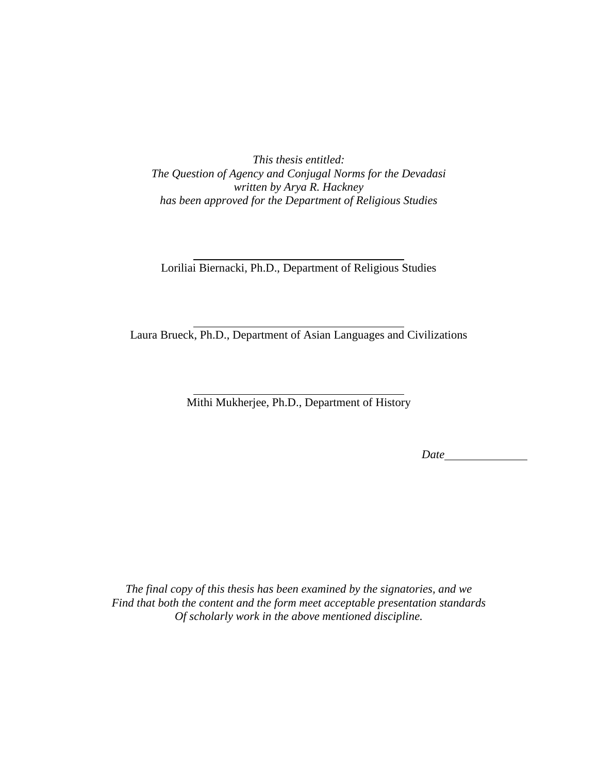*This thesis entitled: The Question of Agency and Conjugal Norms for the Devadasi written by Arya R. Hackney has been approved for the Department of Religious Studies* 

Loriliai Biernacki, Ph.D., Department of Religious Studies

Laura Brueck, Ph.D., Department of Asian Languages and Civilizations

Mithi Mukherjee, Ph.D., Department of History

Date

*The final copy of this thesis has been examined by the signatories, and we Find that both the content and the form meet acceptable presentation standards Of scholarly work in the above mentioned discipline.*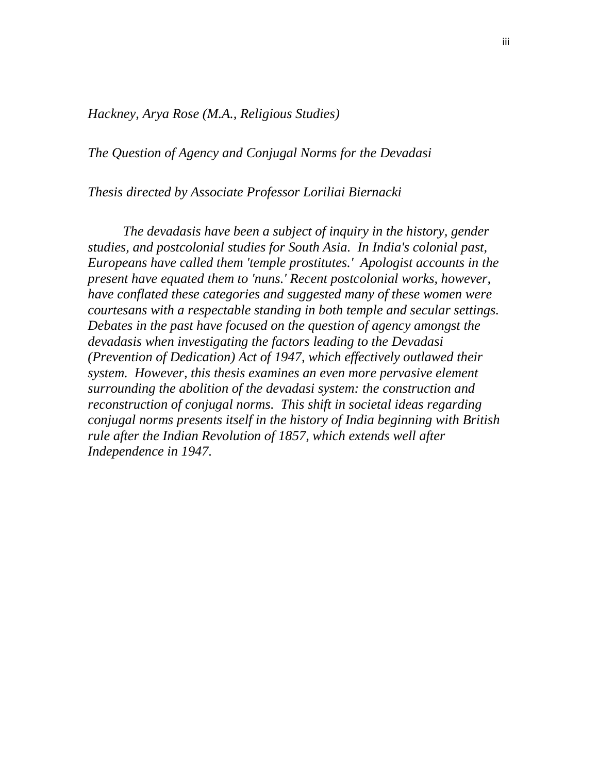*Hackney, Arya Rose (M.A., Religious Studies)* 

*The Question of Agency and Conjugal Norms for the Devadasi* 

*Thesis directed by Associate Professor Loriliai Biernacki* 

 *The devadasis have been a subject of inquiry in the history, gender studies, and postcolonial studies for South Asia. In India's colonial past, Europeans have called them 'temple prostitutes.' Apologist accounts in the present have equated them to 'nuns.' Recent postcolonial works, however, have conflated these categories and suggested many of these women were courtesans with a respectable standing in both temple and secular settings. Debates in the past have focused on the question of agency amongst the devadasis when investigating the factors leading to the Devadasi (Prevention of Dedication) Act of 1947, which effectively outlawed their system. However, this thesis examines an even more pervasive element surrounding the abolition of the devadasi system: the construction and reconstruction of conjugal norms. This shift in societal ideas regarding conjugal norms presents itself in the history of India beginning with British rule after the Indian Revolution of 1857, which extends well after Independence in 1947.*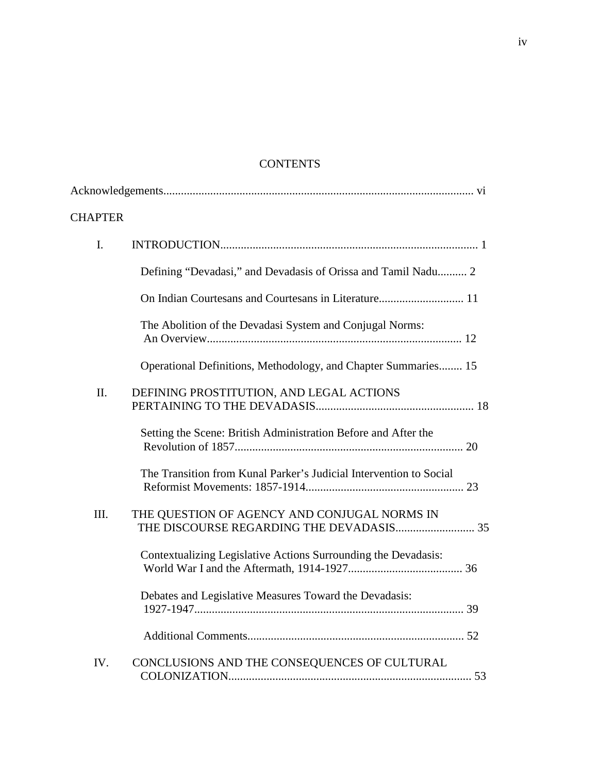# **CONTENTS**

| <b>CHAPTER</b> |                                                                    |
|----------------|--------------------------------------------------------------------|
| I.             |                                                                    |
|                | Defining "Devadasi," and Devadasis of Orissa and Tamil Nadu 2      |
|                | On Indian Courtesans and Courtesans in Literature 11               |
|                | The Abolition of the Devadasi System and Conjugal Norms:           |
|                | Operational Definitions, Methodology, and Chapter Summaries 15     |
| II.            | DEFINING PROSTITUTION, AND LEGAL ACTIONS                           |
|                | Setting the Scene: British Administration Before and After the     |
|                | The Transition from Kunal Parker's Judicial Intervention to Social |
| III.           | THE QUESTION OF AGENCY AND CONJUGAL NORMS IN                       |
|                | Contextualizing Legislative Actions Surrounding the Devadasis:     |
|                | Debates and Legislative Measures Toward the Devadasis:             |
|                |                                                                    |
| IV.            | CONCLUSIONS AND THE CONSEQUENCES OF CULTURAL                       |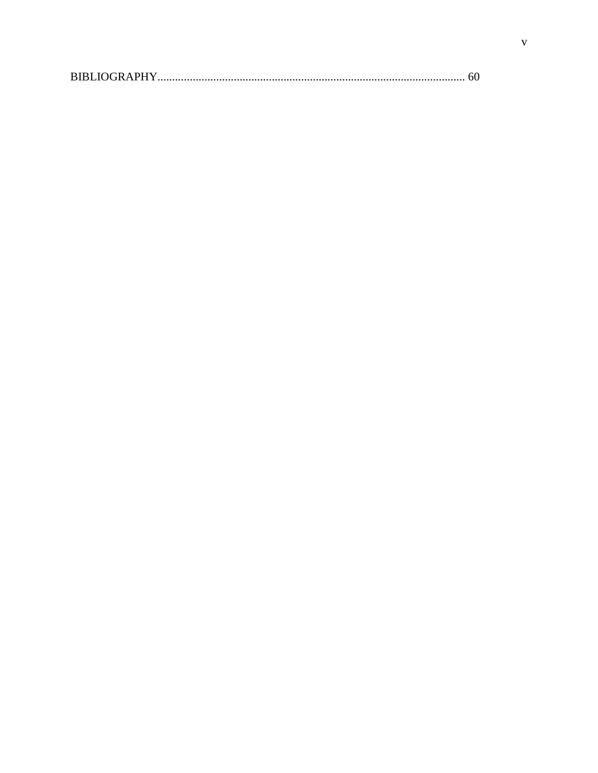| <b>BIBLIOGRAPHY.</b> |  |
|----------------------|--|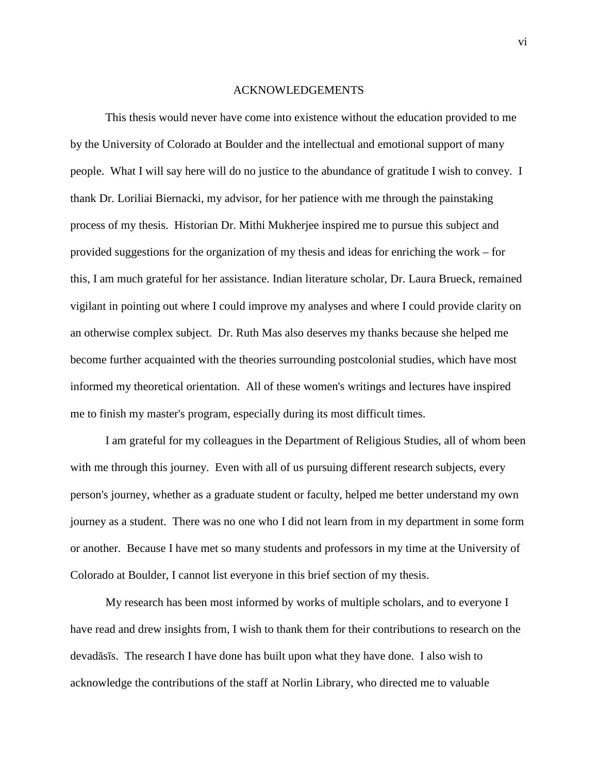#### ACKNOWLEDGEMENTS

 This thesis would never have come into existence without the education provided to me by the University of Colorado at Boulder and the intellectual and emotional support of many people. What I will say here will do no justice to the abundance of gratitude I wish to convey. I thank Dr. Loriliai Biernacki, my advisor, for her patience with me through the painstaking process of my thesis. Historian Dr. Mithi Mukherjee inspired me to pursue this subject and provided suggestions for the organization of my thesis and ideas for enriching the work – for this, I am much grateful for her assistance. Indian literature scholar, Dr. Laura Brueck, remained vigilant in pointing out where I could improve my analyses and where I could provide clarity on an otherwise complex subject. Dr. Ruth Mas also deserves my thanks because she helped me become further acquainted with the theories surrounding postcolonial studies, which have most informed my theoretical orientation. All of these women's writings and lectures have inspired me to finish my master's program, especially during its most difficult times.

 I am grateful for my colleagues in the Department of Religious Studies, all of whom been with me through this journey. Even with all of us pursuing different research subjects, every person's journey, whether as a graduate student or faculty, helped me better understand my own journey as a student. There was no one who I did not learn from in my department in some form or another. Because I have met so many students and professors in my time at the University of Colorado at Boulder, I cannot list everyone in this brief section of my thesis.

 My research has been most informed by works of multiple scholars, and to everyone I have read and drew insights from, I wish to thank them for their contributions to research on the devadāsīs. The research I have done has built upon what they have done. I also wish to acknowledge the contributions of the staff at Norlin Library, who directed me to valuable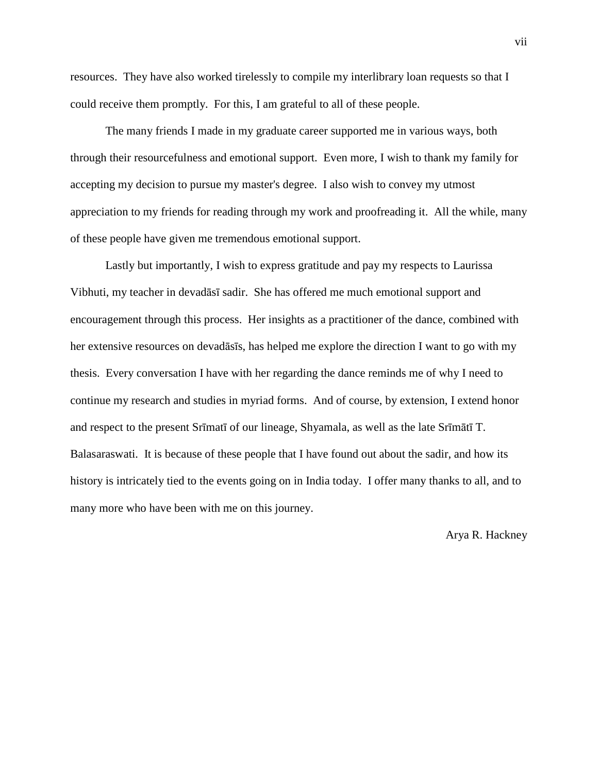resources. They have also worked tirelessly to compile my interlibrary loan requests so that I could receive them promptly. For this, I am grateful to all of these people.

 The many friends I made in my graduate career supported me in various ways, both through their resourcefulness and emotional support. Even more, I wish to thank my family for accepting my decision to pursue my master's degree. I also wish to convey my utmost appreciation to my friends for reading through my work and proofreading it. All the while, many of these people have given me tremendous emotional support.

 Lastly but importantly, I wish to express gratitude and pay my respects to Laurissa Vibhuti, my teacher in devadāsī sadir. She has offered me much emotional support and encouragement through this process. Her insights as a practitioner of the dance, combined with her extensive resources on devadāsīs, has helped me explore the direction I want to go with my thesis. Every conversation I have with her regarding the dance reminds me of why I need to continue my research and studies in myriad forms. And of course, by extension, I extend honor and respect to the present Srīmatī of our lineage, Shyamala, as well as the late Srīmātī T. Balasaraswati. It is because of these people that I have found out about the sadir, and how its history is intricately tied to the events going on in India today. I offer many thanks to all, and to many more who have been with me on this journey.

Arya R. Hackney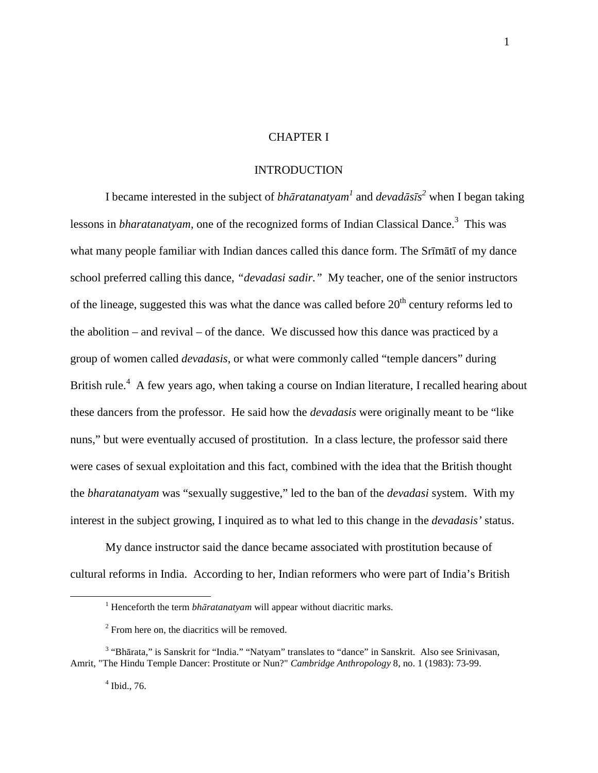### CHAPTER I

### INTRODUCTION

 I became interested in the subject of *bhāratanatyam<sup>1</sup>* and *devadāsīs 2* when I began taking lessons in *bharatanatyam*, one of the recognized forms of Indian Classical Dance.<sup>3</sup> This was what many people familiar with Indian dances called this dance form. The Srīmātī of my dance school preferred calling this dance, *"devadasi sadir."* My teacher, one of the senior instructors of the lineage, suggested this was what the dance was called before  $20<sup>th</sup>$  century reforms led to the abolition – and revival – of the dance. We discussed how this dance was practiced by a group of women called *devadasis*, or what were commonly called "temple dancers" during British rule.<sup>4</sup> A few years ago, when taking a course on Indian literature, I recalled hearing about these dancers from the professor. He said how the *devadasis* were originally meant to be "like nuns," but were eventually accused of prostitution. In a class lecture, the professor said there were cases of sexual exploitation and this fact, combined with the idea that the British thought the *bharatanatyam* was "sexually suggestive," led to the ban of the *devadasi* system. With my interest in the subject growing, I inquired as to what led to this change in the *devadasis'* status.

 My dance instructor said the dance became associated with prostitution because of cultural reforms in India. According to her, Indian reformers who were part of India's British

<sup>&</sup>lt;sup>1</sup> Henceforth the term *bhāratanatyam* will appear without diacritic marks.

<sup>&</sup>lt;sup>2</sup> From here on, the diacritics will be removed.

<sup>&</sup>lt;sup>3</sup> "Bhārata," is Sanskrit for "India." "Natyam" translates to "dance" in Sanskrit. Also see Srinivasan, Amrit, "The Hindu Temple Dancer: Prostitute or Nun?" *Cambridge Anthropology* 8, no. 1 (1983): 73-99.

<sup>4</sup> Ibid., 76.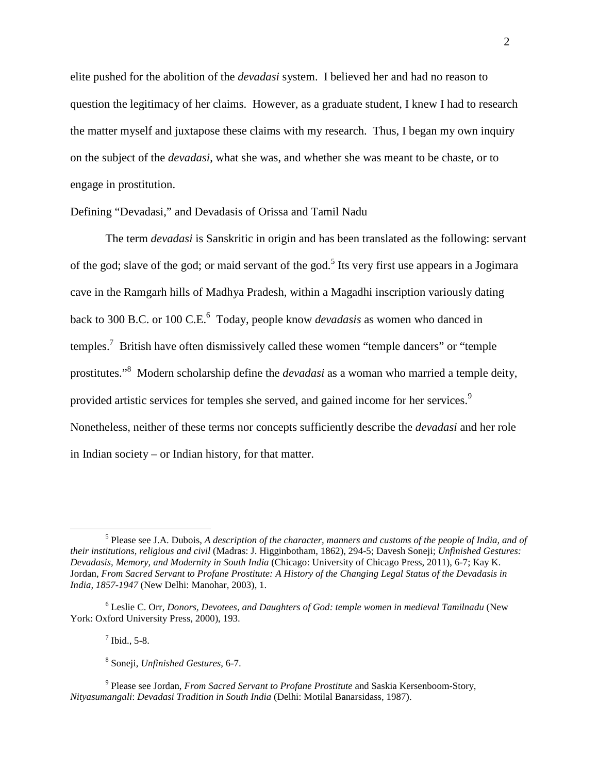elite pushed for the abolition of the *devadasi* system. I believed her and had no reason to question the legitimacy of her claims. However, as a graduate student, I knew I had to research the matter myself and juxtapose these claims with my research. Thus, I began my own inquiry on the subject of the *devadasi*, what she was, and whether she was meant to be chaste, or to engage in prostitution.

Defining "Devadasi," and Devadasis of Orissa and Tamil Nadu

 The term *devadasi* is Sanskritic in origin and has been translated as the following: servant of the god; slave of the god; or maid servant of the god.<sup>5</sup> Its very first use appears in a Jogimara cave in the Ramgarh hills of Madhya Pradesh, within a Magadhi inscription variously dating back to 300 B.C. or 100 C.E.<sup>6</sup> Today, people know *devadasis* as women who danced in temples.<sup>7</sup> British have often dismissively called these women "temple dancers" or "temple prostitutes."<sup>8</sup> Modern scholarship define the *devadasi* as a woman who married a temple deity, provided artistic services for temples she served, and gained income for her services.<sup>9</sup> Nonetheless, neither of these terms nor concepts sufficiently describe the *devadasi* and her role in Indian society – or Indian history, for that matter.

 $<sup>7</sup>$  Ibid., 5-8.</sup>

<sup>&</sup>lt;sup>5</sup> Please see J.A. Dubois, *A description of the character, manners and customs of the people of India, and of their institutions, religious and civil* (Madras: J. Higginbotham, 1862), 294-5; Davesh Soneji; *Unfinished Gestures: Devadasis, Memory, and Modernity in South India* (Chicago: University of Chicago Press, 2011), 6-7; Kay K. Jordan, *From Sacred Servant to Profane Prostitute: A History of the Changing Legal Status of the Devadasis in India, 1857-1947* (New Delhi: Manohar, 2003), 1.

<sup>6</sup> Leslie C. Orr, *Donors, Devotees, and Daughters of God: temple women in medieval Tamilnadu* (New York: Oxford University Press, 2000), 193.

<sup>8</sup> Soneji, *Unfinished Gestures*, 6-7.

<sup>&</sup>lt;sup>9</sup> Please see Jordan, *From Sacred Servant to Profane Prostitute* and Saskia Kersenboom-Story, *Nityasumangali*: *Devadasi Tradition in South India* (Delhi: Motilal Banarsidass, 1987).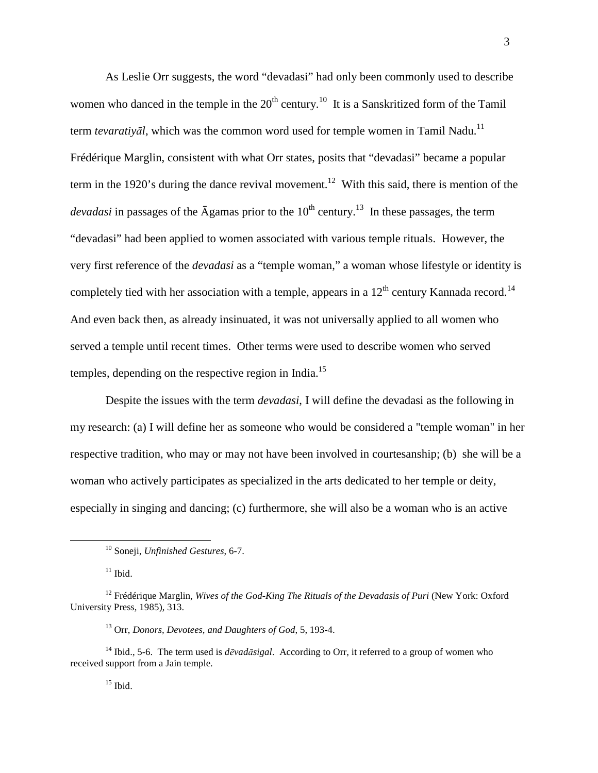As Leslie Orr suggests, the word "devadasi" had only been commonly used to describe women who danced in the temple in the  $20<sup>th</sup>$  century.<sup>10</sup> It is a Sanskritized form of the Tamil term *tevaratiyāl*, which was the common word used for temple women in Tamil Nadu.<sup>11</sup> Frédérique Marglin, consistent with what Orr states, posits that "devadasi" became a popular term in the 1920's during the dance revival movement.<sup>12</sup> With this said, there is mention of the *devadasi* in passages of the  $\bar{A}$ gamas prior to the 10<sup>th</sup> century.<sup>13</sup> In these passages, the term "devadasi" had been applied to women associated with various temple rituals. However, the very first reference of the *devadasi* as a "temple woman," a woman whose lifestyle or identity is completely tied with her association with a temple, appears in a  $12<sup>th</sup>$  century Kannada record.<sup>14</sup> And even back then, as already insinuated, it was not universally applied to all women who served a temple until recent times. Other terms were used to describe women who served temples, depending on the respective region in India.<sup>15</sup>

 Despite the issues with the term *devadasi*, I will define the devadasi as the following in my research: (a) I will define her as someone who would be considered a "temple woman" in her respective tradition, who may or may not have been involved in courtesanship; (b) she will be a woman who actively participates as specialized in the arts dedicated to her temple or deity, especially in singing and dancing; (c) furthermore, she will also be a woman who is an active

<sup>10</sup> Soneji, *Unfinished Gestures*, 6-7.

 $11$  Ibid.

<sup>&</sup>lt;sup>12</sup> Frédérique Marglin, *Wives of the God-King The Rituals of the Devadasis of Puri* (New York: Oxford University Press, 1985), 313.

<sup>13</sup> Orr, *Donors, Devotees, and Daughters of God*, 5, 193-4.

<sup>14</sup> Ibid., 5-6. The term used is *dēvadāsigal*. According to Orr, it referred to a group of women who received support from a Jain temple.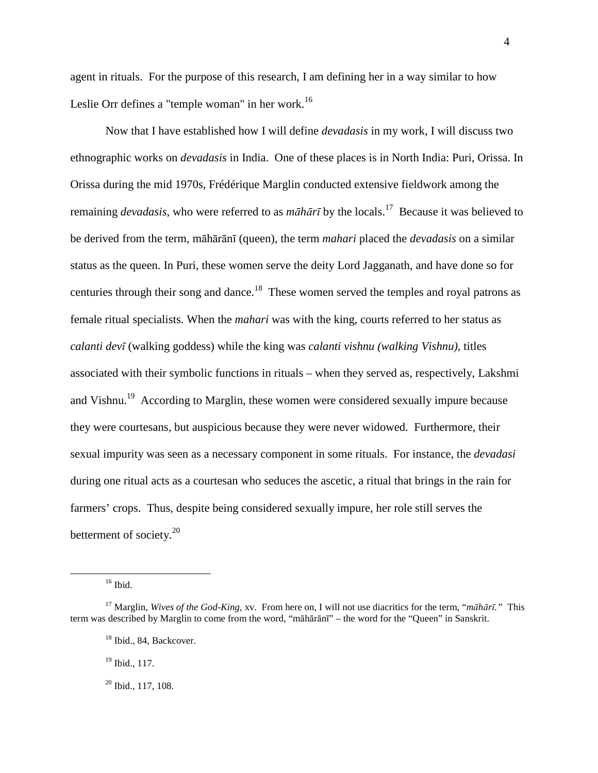agent in rituals. For the purpose of this research, I am defining her in a way similar to how Leslie Orr defines a "temple woman" in her work.<sup>16</sup>

Now that I have established how I will define *devadasis* in my work, I will discuss two ethnographic works on *devadasis* in India. One of these places is in North India: Puri, Orissa. In Orissa during the mid 1970s, Frédérique Marglin conducted extensive fieldwork among the remaining *devadasis*, who were referred to as *māhārī* by the locals.<sup>17</sup> Because it was believed to be derived from the term, māhārānī (queen), the term *mahari* placed the *devadasis* on a similar status as the queen. In Puri, these women serve the deity Lord Jagganath, and have done so for centuries through their song and dance.<sup>18</sup> These women served the temples and royal patrons as female ritual specialists. When the *mahari* was with the king, courts referred to her status as *calanti devī* (walking goddess) while the king was *calanti vishnu (walking Vishnu)*, titles associated with their symbolic functions in rituals – when they served as, respectively, Lakshmi and Vishnu.<sup>19</sup> According to Marglin, these women were considered sexually impure because they were courtesans, but auspicious because they were never widowed. Furthermore, their sexual impurity was seen as a necessary component in some rituals. For instance, the *devadasi* during one ritual acts as a courtesan who seduces the ascetic, a ritual that brings in the rain for farmers' crops. Thus, despite being considered sexually impure, her role still serves the betterment of society. $20$ 

<sup>16</sup> Ibid.

<sup>17</sup> Marglin, *Wives of the God-King*, xv. From here on, I will not use diacritics for the term, "*māhārī."* This term was described by Marglin to come from the word, "māhārānī" – the word for the "Queen" in Sanskrit.

<sup>&</sup>lt;sup>18</sup> Ibid., 84, Backcover.

<sup>&</sup>lt;sup>19</sup> Ibid., 117.

 $20$  Ibid., 117, 108.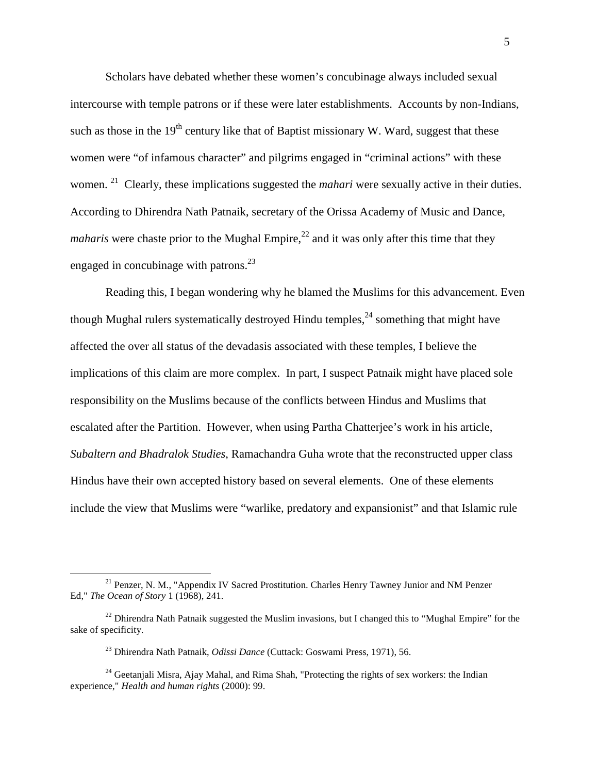Scholars have debated whether these women's concubinage always included sexual intercourse with temple patrons or if these were later establishments. Accounts by non-Indians, such as those in the  $19<sup>th</sup>$  century like that of Baptist missionary W. Ward, suggest that these women were "of infamous character" and pilgrims engaged in "criminal actions" with these women. <sup>21</sup> Clearly, these implications suggested the *mahari* were sexually active in their duties. According to Dhirendra Nath Patnaik, secretary of the Orissa Academy of Music and Dance, *maharis* were chaste prior to the Mughal Empire,<sup>22</sup> and it was only after this time that they engaged in concubinage with patrons.<sup>23</sup>

Reading this, I began wondering why he blamed the Muslims for this advancement. Even though Mughal rulers systematically destroyed Hindu temples,  $24$  something that might have affected the over all status of the devadasis associated with these temples, I believe the implications of this claim are more complex. In part, I suspect Patnaik might have placed sole responsibility on the Muslims because of the conflicts between Hindus and Muslims that escalated after the Partition. However, when using Partha Chatterjee's work in his article, *Subaltern and Bhadralok Studies*, Ramachandra Guha wrote that the reconstructed upper class Hindus have their own accepted history based on several elements. One of these elements include the view that Muslims were "warlike, predatory and expansionist" and that Islamic rule

 $21$  Penzer, N. M., "Appendix IV Sacred Prostitution. Charles Henry Tawney Junior and NM Penzer Ed," *The Ocean of Story* 1 (1968), 241.

 $^{22}$  Dhirendra Nath Patnaik suggested the Muslim invasions, but I changed this to "Mughal Empire" for the sake of specificity.

<sup>23</sup> Dhirendra Nath Patnaik, *Odissi Dance* (Cuttack: Goswami Press, 1971), 56.

<sup>&</sup>lt;sup>24</sup> Geetanjali Misra, Ajay Mahal, and Rima Shah, "Protecting the rights of sex workers: the Indian experience," *Health and human rights* (2000): 99.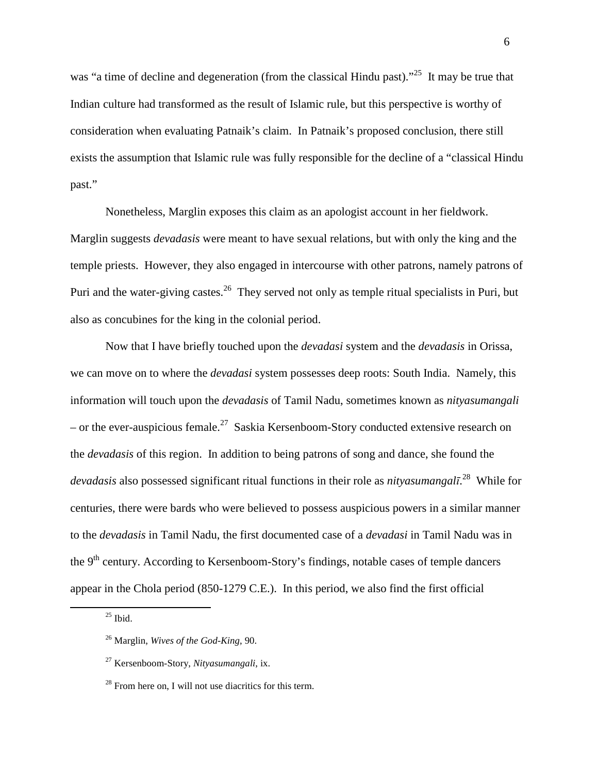was "a time of decline and degeneration (from the classical Hindu past)."<sup>25</sup> It may be true that Indian culture had transformed as the result of Islamic rule, but this perspective is worthy of consideration when evaluating Patnaik's claim. In Patnaik's proposed conclusion, there still exists the assumption that Islamic rule was fully responsible for the decline of a "classical Hindu past."

Nonetheless, Marglin exposes this claim as an apologist account in her fieldwork. Marglin suggests *devadasis* were meant to have sexual relations, but with only the king and the temple priests. However, they also engaged in intercourse with other patrons, namely patrons of Puri and the water-giving castes.<sup>26</sup> They served not only as temple ritual specialists in Puri, but also as concubines for the king in the colonial period.

Now that I have briefly touched upon the *devadasi* system and the *devadasis* in Orissa, we can move on to where the *devadasi* system possesses deep roots: South India. Namely, this information will touch upon the *devadasis* of Tamil Nadu, sometimes known as *nityasumangali*  – or the ever-auspicious female.<sup>27</sup> Saskia Kersenboom-Story conducted extensive research on the *devadasis* of this region. In addition to being patrons of song and dance, she found the *devadasis* also possessed significant ritual functions in their role as *nityasumangalī*. <sup>28</sup> While for centuries, there were bards who were believed to possess auspicious powers in a similar manner to the *devadasis* in Tamil Nadu, the first documented case of a *devadasi* in Tamil Nadu was in the 9<sup>th</sup> century. According to Kersenboom-Story's findings, notable cases of temple dancers appear in the Chola period (850-1279 C.E.). In this period, we also find the first official

 $25$  Ibid.

<sup>26</sup> Marglin, *Wives of the God-King*, 90.

<sup>27</sup> Kersenboom-Story, *Nityasumangali*, ix.

 $^{28}$  From here on. I will not use diacritics for this term.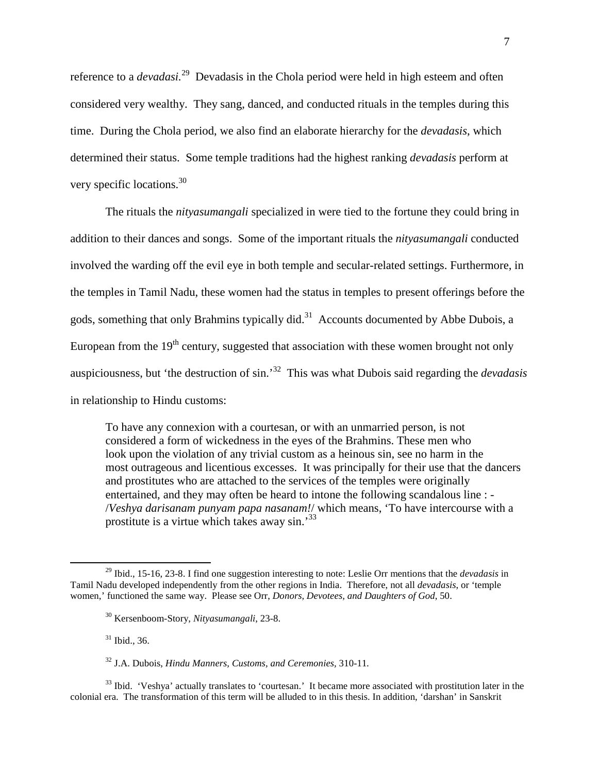reference to a *devadasi.*<sup>29</sup> Devadasis in the Chola period were held in high esteem and often considered very wealthy. They sang, danced, and conducted rituals in the temples during this time. During the Chola period, we also find an elaborate hierarchy for the *devadasis*, which determined their status. Some temple traditions had the highest ranking *devadasis* perform at very specific locations.<sup>30</sup>

The rituals the *nityasumangali* specialized in were tied to the fortune they could bring in addition to their dances and songs. Some of the important rituals the *nityasumangali* conducted involved the warding off the evil eye in both temple and secular-related settings. Furthermore, in the temples in Tamil Nadu, these women had the status in temples to present offerings before the gods, something that only Brahmins typically did.<sup>31</sup> Accounts documented by Abbe Dubois, a European from the  $19<sup>th</sup>$  century, suggested that association with these women brought not only auspiciousness, but 'the destruction of sin.'<sup>32</sup> This was what Dubois said regarding the *devadasis*  in relationship to Hindu customs:

To have any connexion with a courtesan, or with an unmarried person, is not considered a form of wickedness in the eyes of the Brahmins. These men who look upon the violation of any trivial custom as a heinous sin, see no harm in the most outrageous and licentious excesses. It was principally for their use that the dancers and prostitutes who are attached to the services of the temples were originally entertained, and they may often be heard to intone the following scandalous line : - /*Veshya darisanam punyam papa nasanam!*/ which means, 'To have intercourse with a prostitute is a virtue which takes away sin.'<sup>33</sup>

<sup>31</sup> Ibid., 36.

 $\overline{a}$ 

<sup>33</sup> Ibid. 'Veshya' actually translates to 'courtesan.' It became more associated with prostitution later in the colonial era. The transformation of this term will be alluded to in this thesis. In addition, 'darshan' in Sanskrit

<sup>29</sup> Ibid., 15-16, 23-8. I find one suggestion interesting to note: Leslie Orr mentions that the *devadasis* in Tamil Nadu developed independently from the other regions in India. Therefore, not all *devadasis*, or 'temple women,' functioned the same way. Please see Orr, *Donors, Devotees, and Daughters of God*, 50.

<sup>30</sup> Kersenboom-Story, *Nityasumangali*, 23-8.

<sup>32</sup> J.A. Dubois, *Hindu Manners, Customs, and Ceremonies,* 310-11*.*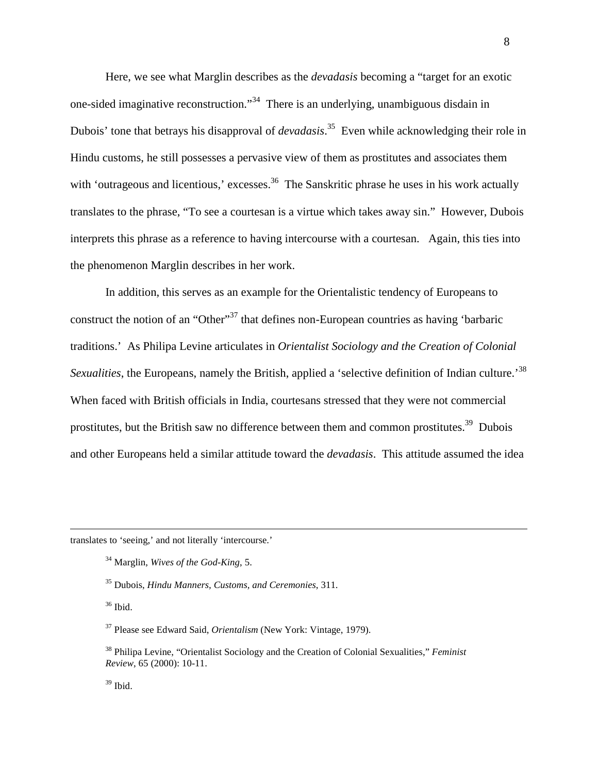Here, we see what Marglin describes as the *devadasis* becoming a "target for an exotic one-sided imaginative reconstruction."<sup>34</sup> There is an underlying, unambiguous disdain in Dubois' tone that betrays his disapproval of *devadasis*. <sup>35</sup> Even while acknowledging their role in Hindu customs, he still possesses a pervasive view of them as prostitutes and associates them with 'outrageous and licentious,' excesses.<sup>36</sup> The Sanskritic phrase he uses in his work actually translates to the phrase, "To see a courtesan is a virtue which takes away sin." However, Dubois interprets this phrase as a reference to having intercourse with a courtesan. Again, this ties into the phenomenon Marglin describes in her work.

In addition, this serves as an example for the Orientalistic tendency of Europeans to construct the notion of an "Other"<sup>37</sup> that defines non-European countries as having 'barbaric traditions.' As Philipa Levine articulates in *Orientalist Sociology and the Creation of Colonial Sexualities*, the Europeans, namely the British, applied a 'selective definition of Indian culture.'<sup>38</sup> When faced with British officials in India, courtesans stressed that they were not commercial prostitutes, but the British saw no difference between them and common prostitutes.<sup>39</sup> Dubois and other Europeans held a similar attitude toward the *devadasis*. This attitude assumed the idea

translates to 'seeing,' and not literally 'intercourse.'

<sup>36</sup> Ibid.

<sup>34</sup> Marglin, *Wives of the God-King*, 5.

<sup>35</sup> Dubois, *Hindu Manners, Customs, and Ceremonies*, 311.

<sup>37</sup> Please see Edward Said, *Orientalism* (New York: Vintage, 1979).

<sup>38</sup> Philipa Levine, "Orientalist Sociology and the Creation of Colonial Sexualities," *Feminist Review*, 65 (2000): 10-11.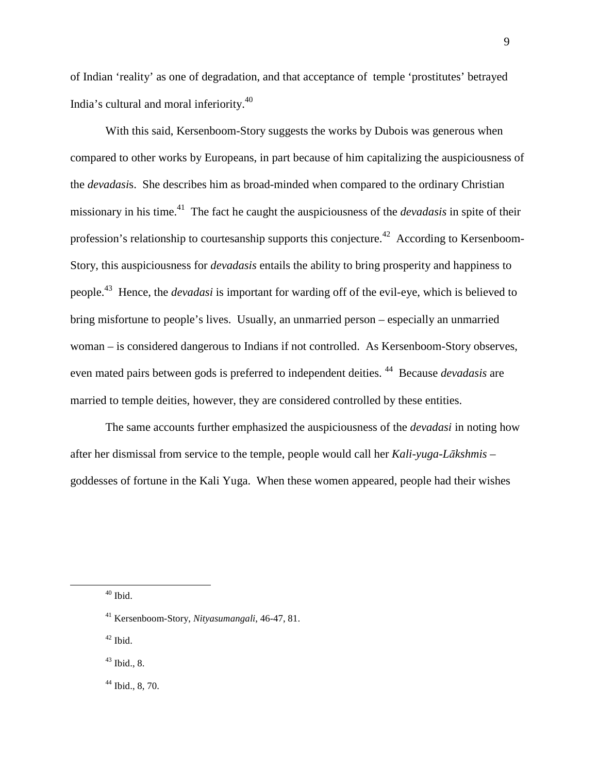of Indian 'reality' as one of degradation, and that acceptance of temple 'prostitutes' betrayed India's cultural and moral inferiority.<sup>40</sup>

With this said, Kersenboom-Story suggests the works by Dubois was generous when compared to other works by Europeans, in part because of him capitalizing the auspiciousness of the *devadasi*s. She describes him as broad-minded when compared to the ordinary Christian missionary in his time.<sup>41</sup> The fact he caught the auspiciousness of the *devadasis* in spite of their profession's relationship to courtesanship supports this conjecture.<sup>42</sup> According to Kersenboom-Story, this auspiciousness for *devadasis* entails the ability to bring prosperity and happiness to people.<sup>43</sup> Hence, the *devadasi* is important for warding off of the evil-eye, which is believed to bring misfortune to people's lives. Usually, an unmarried person – especially an unmarried woman – is considered dangerous to Indians if not controlled. As Kersenboom-Story observes, even mated pairs between gods is preferred to independent deities. <sup>44</sup> Because *devadasis* are married to temple deities, however, they are considered controlled by these entities.

The same accounts further emphasized the auspiciousness of the *devadasi* in noting how after her dismissal from service to the temple, people would call her *Kali-yuga-Lākshmis* – goddesses of fortune in the Kali Yuga. When these women appeared, people had their wishes

l

 $42$  Ibid.

 $43$  Ibid., 8.

 $44$  Ibid., 8, 70.

 $40$  Ibid.

<sup>41</sup> Kersenboom-Story, *Nityasumangali*, 46-47, 81.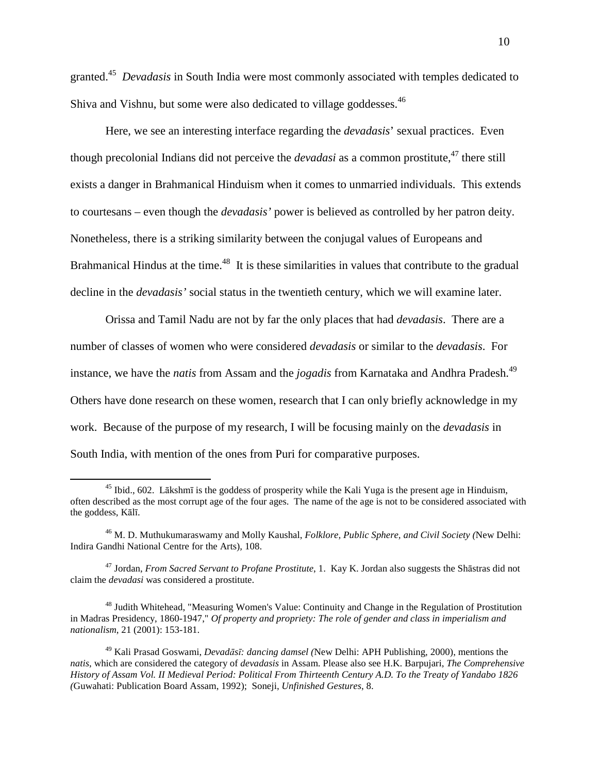granted.<sup>45</sup> *Devadasis* in South India were most commonly associated with temples dedicated to Shiva and Vishnu, but some were also dedicated to village goddesses.<sup>46</sup>

Here, we see an interesting interface regarding the *devadasis*' sexual practices. Even though precolonial Indians did not perceive the *devadasi* as a common prostitute,<sup>47</sup> there still exists a danger in Brahmanical Hinduism when it comes to unmarried individuals. This extends to courtesans – even though the *devadasis'* power is believed as controlled by her patron deity. Nonetheless, there is a striking similarity between the conjugal values of Europeans and Brahmanical Hindus at the time.<sup>48</sup> It is these similarities in values that contribute to the gradual decline in the *devadasis'* social status in the twentieth century, which we will examine later.

 Orissa and Tamil Nadu are not by far the only places that had *devadasis*. There are a number of classes of women who were considered *devadasis* or similar to the *devadasis*. For instance, we have the *natis* from Assam and the *jogadis* from Karnataka and Andhra Pradesh.<sup>49</sup> Others have done research on these women, research that I can only briefly acknowledge in my work. Because of the purpose of my research, I will be focusing mainly on the *devadasis* in South India, with mention of the ones from Puri for comparative purposes.

 $45$  Ibid., 602. Lākshmī is the goddess of prosperity while the Kali Yuga is the present age in Hinduism, often described as the most corrupt age of the four ages. The name of the age is not to be considered associated with the goddess, Kālī.

<sup>46</sup> M. D. Muthukumaraswamy and Molly Kaushal, *Folklore, Public Sphere, and Civil Society (*New Delhi: Indira Gandhi National Centre for the Arts)*,* 108.

<sup>47</sup> Jordan, *From Sacred Servant to Profane Prostitute*, 1. Kay K. Jordan also suggests the Shāstras did not claim the *devadasi* was considered a prostitute.

<sup>48</sup> Judith Whitehead, "Measuring Women's Value: Continuity and Change in the Regulation of Prostitution in Madras Presidency, 1860-1947," *Of property and propriety: The role of gender and class in imperialism and nationalism*, 21 (2001): 153-181.

<sup>49</sup> Kali Prasad Goswami, *Devadāsī: dancing damsel (*New Delhi: APH Publishing, 2000), mentions the *natis*, which are considered the category of *devadasis* in Assam. Please also see H.K. Barpujari, *The Comprehensive History of Assam Vol. II Medieval Period: Political From Thirteenth Century A.D. To the Treaty of Yandabo 1826 (*Guwahati: Publication Board Assam, 1992); Soneji, *Unfinished Gestures*, 8.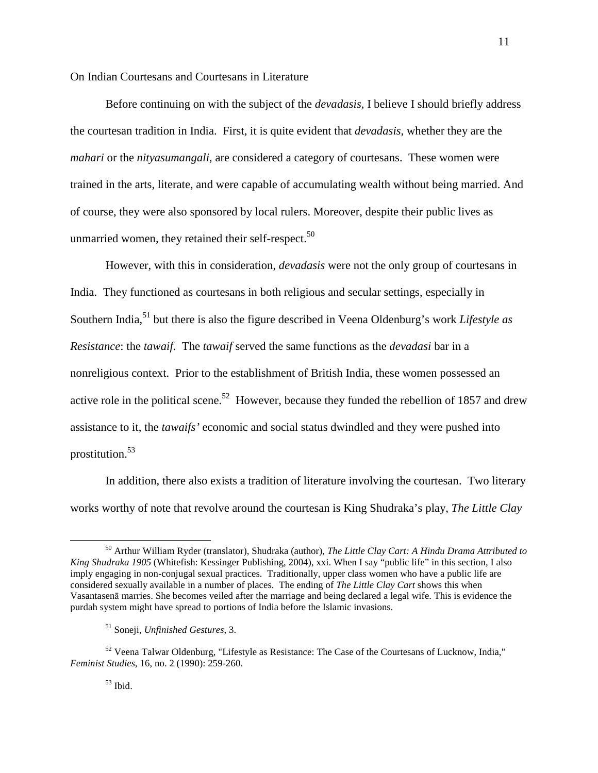On Indian Courtesans and Courtesans in Literature

 Before continuing on with the subject of the *devadasis*, I believe I should briefly address the courtesan tradition in India. First, it is quite evident that *devadasis*, whether they are the *mahari* or the *nityasumangali*, are considered a category of courtesans. These women were trained in the arts, literate, and were capable of accumulating wealth without being married. And of course, they were also sponsored by local rulers. Moreover, despite their public lives as unmarried women, they retained their self-respect. $50$ 

 However, with this in consideration, *devadasis* were not the only group of courtesans in India. They functioned as courtesans in both religious and secular settings, especially in Southern India,<sup>51</sup> but there is also the figure described in Veena Oldenburg's work *Lifestyle as Resistance*: the *tawaif*. The *tawaif* served the same functions as the *devadasi* bar in a nonreligious context. Prior to the establishment of British India, these women possessed an active role in the political scene.<sup>52</sup> However, because they funded the rebellion of 1857 and drew assistance to it, the *tawaifs'* economic and social status dwindled and they were pushed into prostitution.<sup>53</sup>

 In addition, there also exists a tradition of literature involving the courtesan. Two literary works worthy of note that revolve around the courtesan is King Shudraka's play, *The Little Clay* 

<sup>50</sup> Arthur William Ryder (translator), Shudraka (author), *The Little Clay Cart: A Hindu Drama Attributed to King Shudraka 1905* (Whitefish: Kessinger Publishing, 2004), xxi. When I say "public life" in this section, I also imply engaging in non-conjugal sexual practices. Traditionally, upper class women who have a public life are considered sexually available in a number of places. The ending of *The Little Clay Cart* shows this when Vasantasenā marries. She becomes veiled after the marriage and being declared a legal wife. This is evidence the purdah system might have spread to portions of India before the Islamic invasions.

<sup>51</sup> Soneji, *Unfinished Gestures*, 3.

 $52$  Veena Talwar Oldenburg, "Lifestyle as Resistance: The Case of the Courtesans of Lucknow, India," *Feminist Studies*, 16, no. 2 (1990): 259-260.

 $53$  Ibid.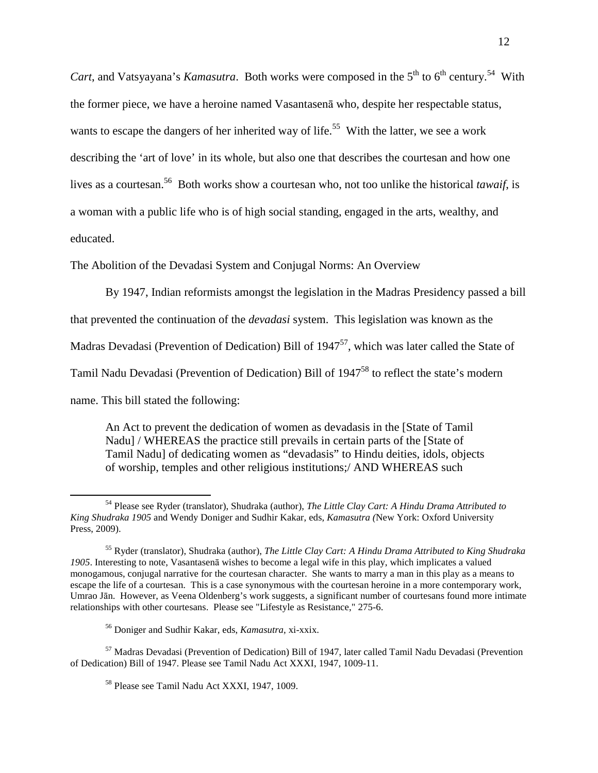*Cart*, and Vatsyayana's *Kamasutra*. Both works were composed in the  $5<sup>th</sup>$  to  $6<sup>th</sup>$  century.<sup>54</sup> With the former piece, we have a heroine named Vasantasenā who, despite her respectable status, wants to escape the dangers of her inherited way of life.<sup>55</sup> With the latter, we see a work describing the 'art of love' in its whole, but also one that describes the courtesan and how one lives as a courtesan.<sup>56</sup> Both works show a courtesan who, not too unlike the historical *tawaif*, is a woman with a public life who is of high social standing, engaged in the arts, wealthy, and educated.

The Abolition of the Devadasi System and Conjugal Norms: An Overview

By 1947, Indian reformists amongst the legislation in the Madras Presidency passed a bill that prevented the continuation of the *devadasi* system. This legislation was known as the Madras Devadasi (Prevention of Dedication) Bill of  $1947^{57}$ , which was later called the State of Tamil Nadu Devadasi (Prevention of Dedication) Bill of 1947<sup>58</sup> to reflect the state's modern name. This bill stated the following:

An Act to prevent the dedication of women as devadasis in the [State of Tamil Nadu] / WHEREAS the practice still prevails in certain parts of the [State of Tamil Nadu] of dedicating women as "devadasis" to Hindu deities, idols, objects of worship, temples and other religious institutions;/ AND WHEREAS such

 $\overline{a}$ 

<sup>57</sup> Madras Devadasi (Prevention of Dedication) Bill of 1947, later called Tamil Nadu Devadasi (Prevention of Dedication) Bill of 1947. Please see Tamil Nadu Act XXXI, 1947, 1009-11.

<sup>54</sup> Please see Ryder (translator), Shudraka (author), *The Little Clay Cart: A Hindu Drama Attributed to King Shudraka 1905* and Wendy Doniger and Sudhir Kakar, eds, *Kamasutra (*New York: Oxford University Press, 2009).

<sup>55</sup> Ryder (translator), Shudraka (author), *The Little Clay Cart: A Hindu Drama Attributed to King Shudraka 1905*. Interesting to note, Vasantasenā wishes to become a legal wife in this play, which implicates a valued monogamous, conjugal narrative for the courtesan character. She wants to marry a man in this play as a means to escape the life of a courtesan. This is a case synonymous with the courtesan heroine in a more contemporary work, Umrao Jān. However, as Veena Oldenberg's work suggests, a significant number of courtesans found more intimate relationships with other courtesans. Please see "Lifestyle as Resistance," 275-6.

<sup>56</sup> Doniger and Sudhir Kakar, eds, *Kamasutra*, xi-xxix.

<sup>58</sup> Please see Tamil Nadu Act XXXI, 1947, 1009.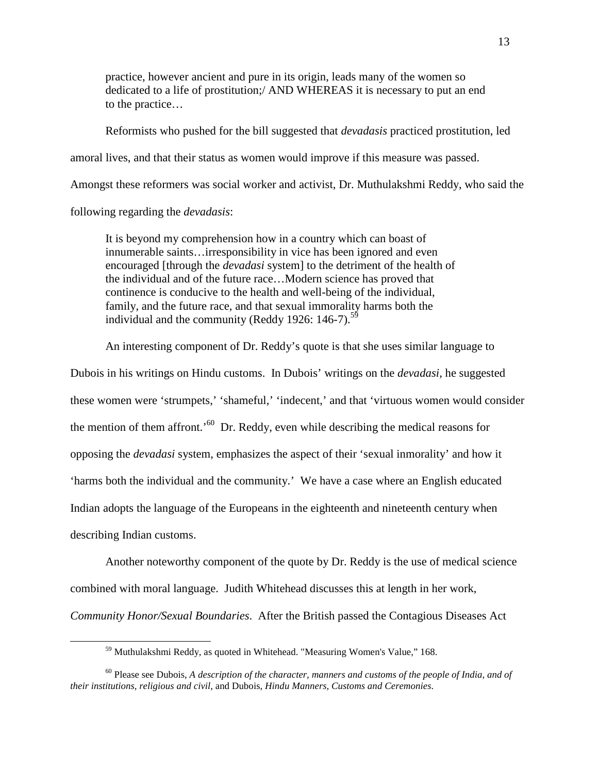practice, however ancient and pure in its origin, leads many of the women so dedicated to a life of prostitution;/ AND WHEREAS it is necessary to put an end to the practice…

Reformists who pushed for the bill suggested that *devadasis* practiced prostitution, led amoral lives, and that their status as women would improve if this measure was passed. Amongst these reformers was social worker and activist, Dr. Muthulakshmi Reddy, who said the following regarding the *devadasis*:

It is beyond my comprehension how in a country which can boast of innumerable saints…irresponsibility in vice has been ignored and even encouraged [through the *devadasi* system] to the detriment of the health of the individual and of the future race…Modern science has proved that continence is conducive to the health and well-being of the individual, family, and the future race, and that sexual immorality harms both the individual and the community (Reddy 1926: 146-7).<sup>59</sup>

An interesting component of Dr. Reddy's quote is that she uses similar language to

Dubois in his writings on Hindu customs. In Dubois' writings on the *devadasi*, he suggested these women were 'strumpets,' 'shameful,' 'indecent,' and that 'virtuous women would consider the mention of them affront.<sup>'60</sup> Dr. Reddy, even while describing the medical reasons for opposing the *devadasi* system, emphasizes the aspect of their 'sexual inmorality' and how it 'harms both the individual and the community.' We have a case where an English educated Indian adopts the language of the Europeans in the eighteenth and nineteenth century when describing Indian customs.

Another noteworthy component of the quote by Dr. Reddy is the use of medical science combined with moral language. Judith Whitehead discusses this at length in her work, *Community Honor/Sexual Boundaries*. After the British passed the Contagious Diseases Act

<sup>59</sup> Muthulakshmi Reddy, as quoted in Whitehead. "Measuring Women's Value," 168.

<sup>60</sup> Please see Dubois, *A description of the character, manners and customs of the people of India, and of their institutions, religious and civil*, and Dubois, *Hindu Manners, Customs and Ceremonies*.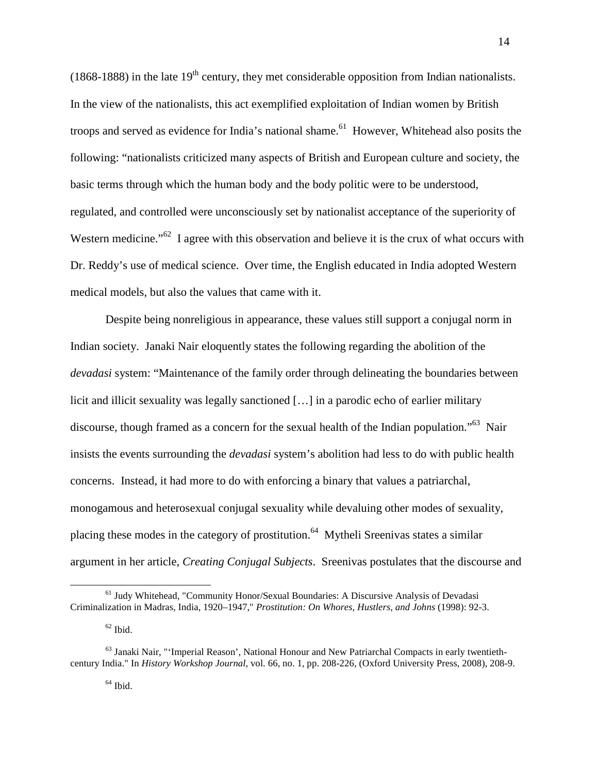(1868-1888) in the late  $19<sup>th</sup>$  century, they met considerable opposition from Indian nationalists. In the view of the nationalists, this act exemplified exploitation of Indian women by British troops and served as evidence for India's national shame.<sup>61</sup> However, Whitehead also posits the following: "nationalists criticized many aspects of British and European culture and society, the basic terms through which the human body and the body politic were to be understood, regulated, and controlled were unconsciously set by nationalist acceptance of the superiority of Western medicine."<sup>62</sup> I agree with this observation and believe it is the crux of what occurs with Dr. Reddy's use of medical science. Over time, the English educated in India adopted Western medical models, but also the values that came with it.

Despite being nonreligious in appearance, these values still support a conjugal norm in Indian society. Janaki Nair eloquently states the following regarding the abolition of the *devadasi* system: "Maintenance of the family order through delineating the boundaries between licit and illicit sexuality was legally sanctioned […] in a parodic echo of earlier military discourse, though framed as a concern for the sexual health of the Indian population."<sup>63</sup> Nair insists the events surrounding the *devadasi* system's abolition had less to do with public health concerns. Instead, it had more to do with enforcing a binary that values a patriarchal, monogamous and heterosexual conjugal sexuality while devaluing other modes of sexuality, placing these modes in the category of prostitution.<sup>64</sup> Mytheli Sreenivas states a similar argument in her article, *Creating Conjugal Subjects*. Sreenivas postulates that the discourse and

<sup>&</sup>lt;sup>61</sup> Judy Whitehead, "Community Honor/Sexual Boundaries: A Discursive Analysis of Devadasi Criminalization in Madras, India, 1920–1947," *Prostitution: On Whores, Hustlers, and Johns* (1998): 92-3.

 $62$  Ibid.

 $<sup>63</sup>$  Janaki Nair, "'Imperial Reason', National Honour and New Patriarchal Compacts in early twentieth-</sup> century India." In *History Workshop Journal*, vol. 66, no. 1, pp. 208-226, (Oxford University Press, 2008), 208-9.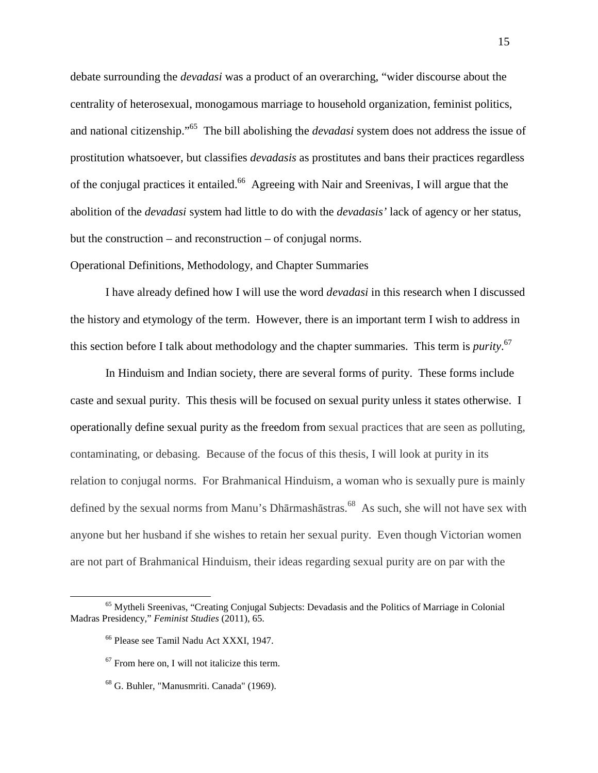debate surrounding the *devadasi* was a product of an overarching, "wider discourse about the centrality of heterosexual, monogamous marriage to household organization, feminist politics, and national citizenship."<sup>65</sup> The bill abolishing the *devadasi* system does not address the issue of prostitution whatsoever, but classifies *devadasis* as prostitutes and bans their practices regardless of the conjugal practices it entailed.<sup>66</sup> Agreeing with Nair and Sreenivas, I will argue that the abolition of the *devadasi* system had little to do with the *devadasis'* lack of agency or her status, but the construction – and reconstruction – of conjugal norms.

Operational Definitions, Methodology, and Chapter Summaries

 I have already defined how I will use the word *devadasi* in this research when I discussed the history and etymology of the term. However, there is an important term I wish to address in this section before I talk about methodology and the chapter summaries. This term is *purity*. 67

 In Hinduism and Indian society, there are several forms of purity. These forms include caste and sexual purity. This thesis will be focused on sexual purity unless it states otherwise. I operationally define sexual purity as the freedom from sexual practices that are seen as polluting, contaminating, or debasing. Because of the focus of this thesis, I will look at purity in its relation to conjugal norms. For Brahmanical Hinduism, a woman who is sexually pure is mainly defined by the sexual norms from Manu's Dhārmashāstras.<sup>68</sup> As such, she will not have sex with anyone but her husband if she wishes to retain her sexual purity. Even though Victorian women are not part of Brahmanical Hinduism, their ideas regarding sexual purity are on par with the

<sup>65</sup> Mytheli Sreenivas, "Creating Conjugal Subjects: Devadasis and the Politics of Marriage in Colonial Madras Presidency," *Feminist Studies* (2011), 65.

<sup>66</sup> Please see Tamil Nadu Act XXXI, 1947.

 $67$  From here on, I will not italicize this term.

<sup>68</sup> G. Buhler, "Manusmriti. Canada" (1969).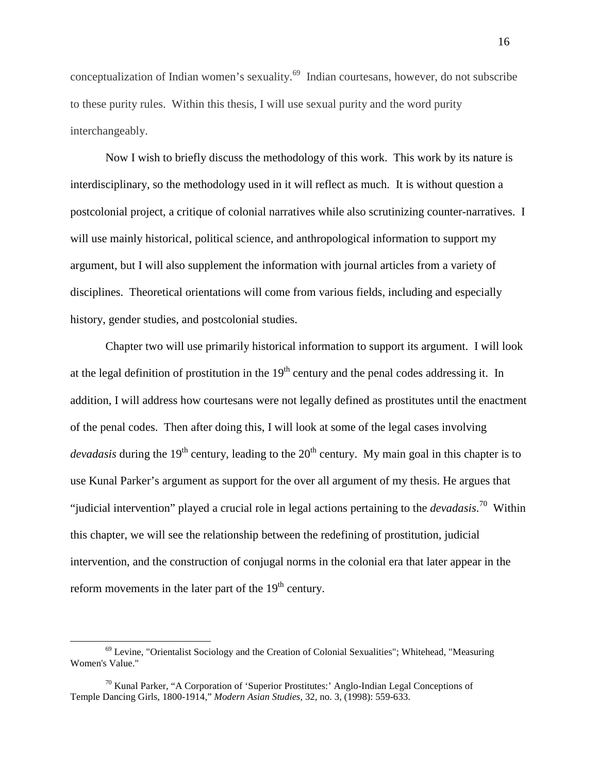conceptualization of Indian women's sexuality.<sup>69</sup> Indian courtesans, however, do not subscribe to these purity rules. Within this thesis, I will use sexual purity and the word purity interchangeably.

Now I wish to briefly discuss the methodology of this work. This work by its nature is interdisciplinary, so the methodology used in it will reflect as much. It is without question a postcolonial project, a critique of colonial narratives while also scrutinizing counter-narratives. I will use mainly historical, political science, and anthropological information to support my argument, but I will also supplement the information with journal articles from a variety of disciplines. Theoretical orientations will come from various fields, including and especially history, gender studies, and postcolonial studies.

Chapter two will use primarily historical information to support its argument. I will look at the legal definition of prostitution in the  $19<sup>th</sup>$  century and the penal codes addressing it. In addition, I will address how courtesans were not legally defined as prostitutes until the enactment of the penal codes. Then after doing this, I will look at some of the legal cases involving *devadasis* during the 19<sup>th</sup> century, leading to the 20<sup>th</sup> century. My main goal in this chapter is to use Kunal Parker's argument as support for the over all argument of my thesis. He argues that "judicial intervention" played a crucial role in legal actions pertaining to the *devadasis*. <sup>70</sup> Within this chapter, we will see the relationship between the redefining of prostitution, judicial intervention, and the construction of conjugal norms in the colonial era that later appear in the reform movements in the later part of the  $19<sup>th</sup>$  century.

 $69$  Levine, "Orientalist Sociology and the Creation of Colonial Sexualities"; Whitehead, "Measuring Women's Value."

 $70$  Kunal Parker, "A Corporation of 'Superior Prostitutes:' Anglo-Indian Legal Conceptions of Temple Dancing Girls, 1800-1914," *Modern Asian Studies*, 32, no. 3, (1998): 559-633.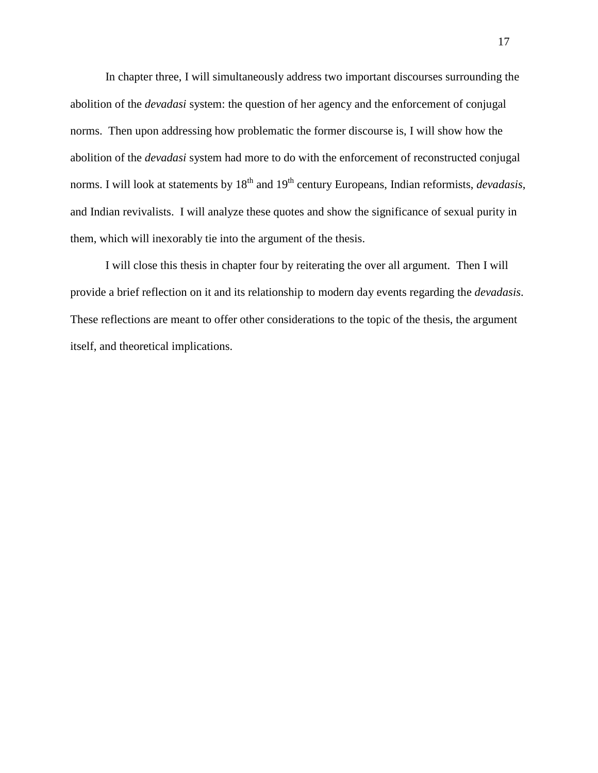In chapter three, I will simultaneously address two important discourses surrounding the abolition of the *devadasi* system: the question of her agency and the enforcement of conjugal norms. Then upon addressing how problematic the former discourse is, I will show how the abolition of the *devadasi* system had more to do with the enforcement of reconstructed conjugal norms. I will look at statements by 18<sup>th</sup> and 19<sup>th</sup> century Europeans, Indian reformists, *devadasis*, and Indian revivalists. I will analyze these quotes and show the significance of sexual purity in them, which will inexorably tie into the argument of the thesis.

I will close this thesis in chapter four by reiterating the over all argument. Then I will provide a brief reflection on it and its relationship to modern day events regarding the *devadasis*. These reflections are meant to offer other considerations to the topic of the thesis, the argument itself, and theoretical implications.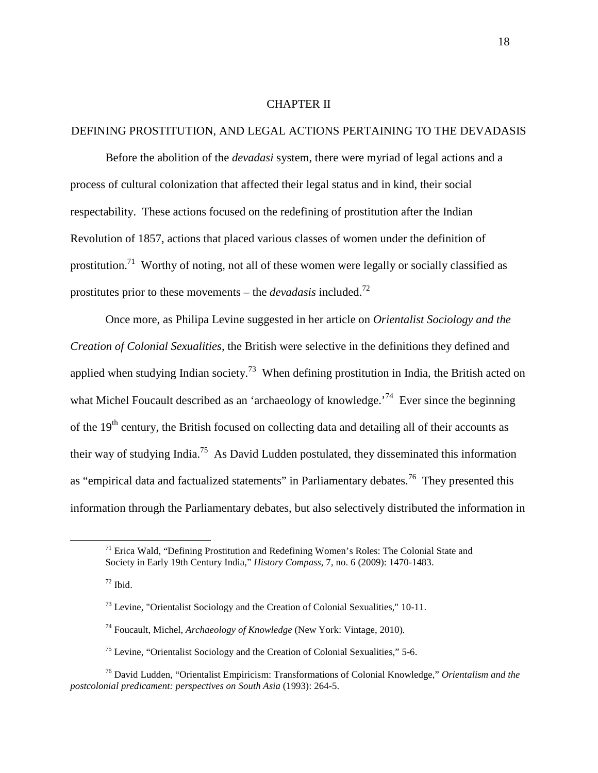### CHAPTER II

# DEFINING PROSTITUTION, AND LEGAL ACTIONS PERTAINING TO THE DEVADASIS

 Before the abolition of the *devadasi* system, there were myriad of legal actions and a process of cultural colonization that affected their legal status and in kind, their social respectability. These actions focused on the redefining of prostitution after the Indian Revolution of 1857, actions that placed various classes of women under the definition of prostitution.<sup>71</sup> Worthy of noting, not all of these women were legally or socially classified as prostitutes prior to these movements – the *devadasis* included.<sup>72</sup>

Once more, as Philipa Levine suggested in her article on *Orientalist Sociology and the Creation of Colonial Sexualities*, the British were selective in the definitions they defined and applied when studying Indian society.<sup>73</sup> When defining prostitution in India, the British acted on what Michel Foucault described as an 'archaeology of knowledge.<sup>74</sup> Ever since the beginning of the  $19<sup>th</sup>$  century, the British focused on collecting data and detailing all of their accounts as their way of studying India.<sup>75</sup> As David Ludden postulated, they disseminated this information as "empirical data and factualized statements" in Parliamentary debates.<sup>76</sup> They presented this information through the Parliamentary debates, but also selectively distributed the information in

 $171$  Erica Wald, "Defining Prostitution and Redefining Women's Roles: The Colonial State and Society in Early 19th Century India," *History Compass*, 7, no. 6 (2009): 1470-1483.

 $72$  Ibid.

 $^{73}$  Levine, "Orientalist Sociology and the Creation of Colonial Sexualities," 10-11.

<sup>74</sup> Foucault, Michel, *Archaeology of Knowledge* (New York: Vintage, 2010)*.* 

 $75$  Levine, "Orientalist Sociology and the Creation of Colonial Sexualities," 5-6.

<sup>76</sup> David Ludden, "Orientalist Empiricism: Transformations of Colonial Knowledge," *Orientalism and the postcolonial predicament: perspectives on South Asia* (1993): 264-5.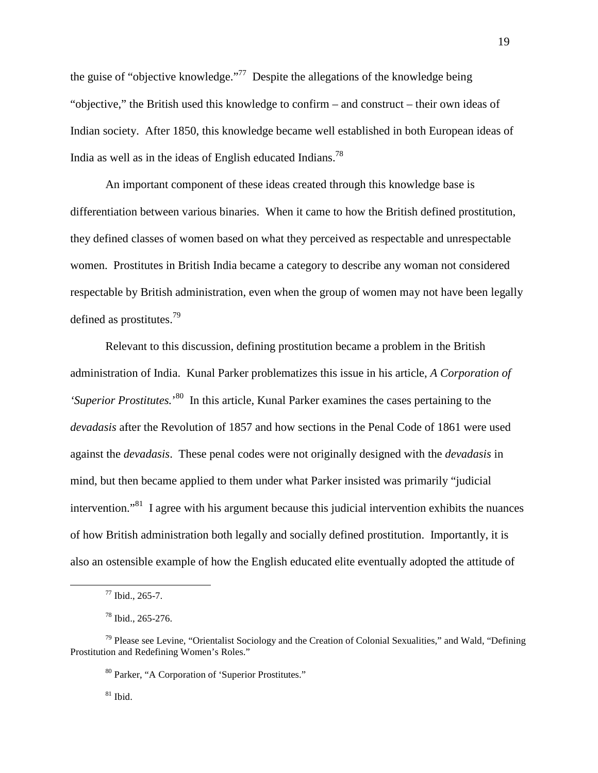the guise of "objective knowledge."<sup>77</sup> Despite the allegations of the knowledge being "objective," the British used this knowledge to confirm – and construct – their own ideas of Indian society. After 1850, this knowledge became well established in both European ideas of India as well as in the ideas of English educated Indians.<sup>78</sup>

An important component of these ideas created through this knowledge base is differentiation between various binaries. When it came to how the British defined prostitution, they defined classes of women based on what they perceived as respectable and unrespectable women. Prostitutes in British India became a category to describe any woman not considered respectable by British administration, even when the group of women may not have been legally defined as prostitutes.<sup>79</sup>

Relevant to this discussion, defining prostitution became a problem in the British administration of India. Kunal Parker problematizes this issue in his article, *A Corporation of*  'Superior Prostitutes.<sup>'80</sup> In this article, Kunal Parker examines the cases pertaining to the *devadasis* after the Revolution of 1857 and how sections in the Penal Code of 1861 were used against the *devadasis*. These penal codes were not originally designed with the *devadasis* in mind, but then became applied to them under what Parker insisted was primarily "judicial intervention."<sup>81</sup> I agree with his argument because this judicial intervention exhibits the nuances of how British administration both legally and socially defined prostitution. Importantly, it is also an ostensible example of how the English educated elite eventually adopted the attitude of

l

<sup>80</sup> Parker, "A Corporation of 'Superior Prostitutes."

 $81$  Ibid.

 $77$  Ibid., 265-7.

<sup>78</sup> Ibid., 265-276.

 $79$  Please see Levine, "Orientalist Sociology and the Creation of Colonial Sexualities," and Wald, "Defining Prostitution and Redefining Women's Roles."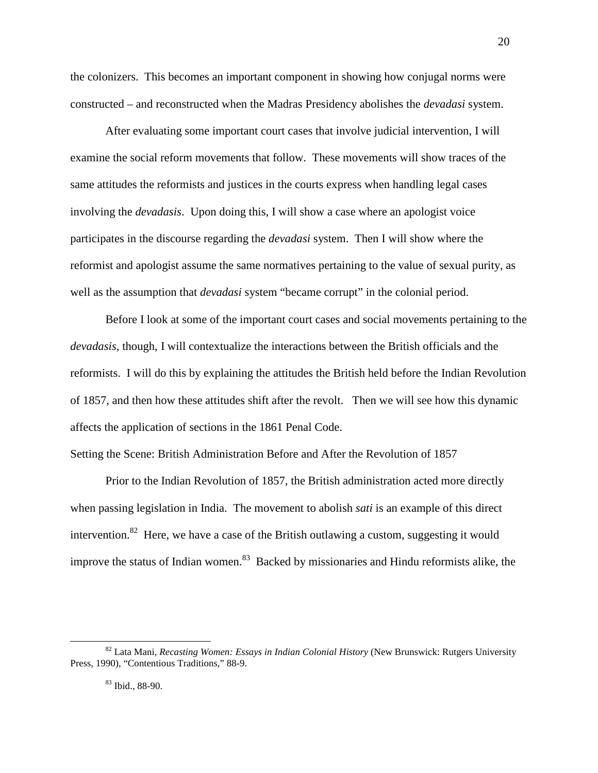the colonizers. This becomes an important component in showing how conjugal norms were constructed – and reconstructed when the Madras Presidency abolishes the *devadasi* system.

After evaluating some important court cases that involve judicial intervention, I will examine the social reform movements that follow. These movements will show traces of the same attitudes the reformists and justices in the courts express when handling legal cases involving the *devadasis*. Upon doing this, I will show a case where an apologist voice participates in the discourse regarding the *devadasi* system. Then I will show where the reformist and apologist assume the same normatives pertaining to the value of sexual purity, as well as the assumption that *devadasi* system "became corrupt" in the colonial period.

Before I look at some of the important court cases and social movements pertaining to the *devadasis*, though, I will contextualize the interactions between the British officials and the reformists. I will do this by explaining the attitudes the British held before the Indian Revolution of 1857, and then how these attitudes shift after the revolt. Then we will see how this dynamic affects the application of sections in the 1861 Penal Code.

Setting the Scene: British Administration Before and After the Revolution of 1857

Prior to the Indian Revolution of 1857, the British administration acted more directly when passing legislation in India. The movement to abolish *sati* is an example of this direct intervention.<sup>82</sup> Here, we have a case of the British outlawing a custom, suggesting it would improve the status of Indian women.<sup>83</sup> Backed by missionaries and Hindu reformists alike, the

<sup>82</sup> Lata Mani, *Recasting Women: Essays in Indian Colonial History* (New Brunswick: Rutgers University Press, 1990), "Contentious Traditions," 88-9.

<sup>83</sup> Ibid., 88-90.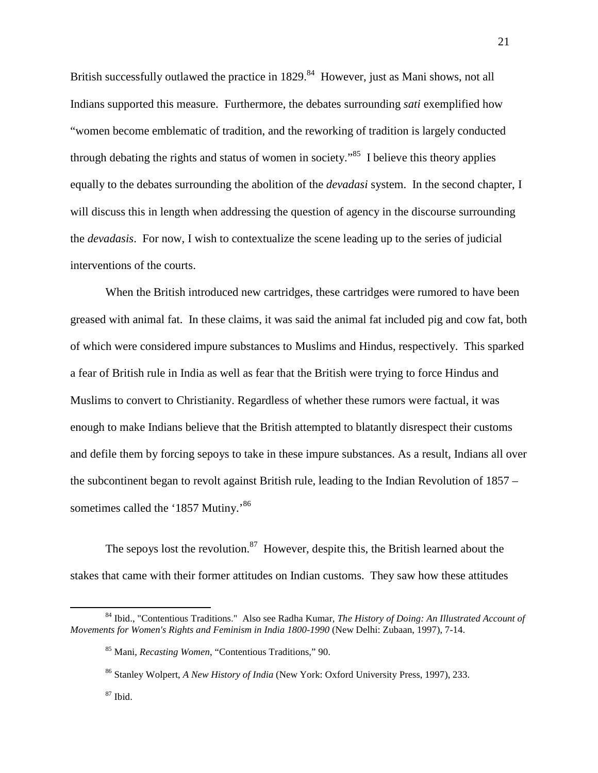British successfully outlawed the practice in  $1829$ .<sup>84</sup> However, just as Mani shows, not all Indians supported this measure. Furthermore, the debates surrounding *sati* exemplified how "women become emblematic of tradition, and the reworking of tradition is largely conducted through debating the rights and status of women in society.<sup> $35$ </sup> I believe this theory applies equally to the debates surrounding the abolition of the *devadasi* system. In the second chapter, I will discuss this in length when addressing the question of agency in the discourse surrounding the *devadasis*. For now, I wish to contextualize the scene leading up to the series of judicial interventions of the courts.

When the British introduced new cartridges, these cartridges were rumored to have been greased with animal fat. In these claims, it was said the animal fat included pig and cow fat, both of which were considered impure substances to Muslims and Hindus, respectively. This sparked a fear of British rule in India as well as fear that the British were trying to force Hindus and Muslims to convert to Christianity. Regardless of whether these rumors were factual, it was enough to make Indians believe that the British attempted to blatantly disrespect their customs and defile them by forcing sepoys to take in these impure substances. As a result, Indians all over the subcontinent began to revolt against British rule, leading to the Indian Revolution of 1857 – sometimes called the '1857 Mutiny.'<sup>86</sup>

The sepoys lost the revolution.<sup>87</sup> However, despite this, the British learned about the stakes that came with their former attitudes on Indian customs. They saw how these attitudes

<sup>84</sup> Ibid., "Contentious Traditions." Also see Radha Kumar, *The History of Doing: An Illustrated Account of Movements for Women's Rights and Feminism in India 1800-1990* (New Delhi: Zubaan, 1997), 7-14.

<sup>85</sup> Mani, *Recasting Women*, "Contentious Traditions," 90.

<sup>86</sup> Stanley Wolpert, *A New History of India* (New York: Oxford University Press, 1997), 233.

<sup>87</sup> Ibid.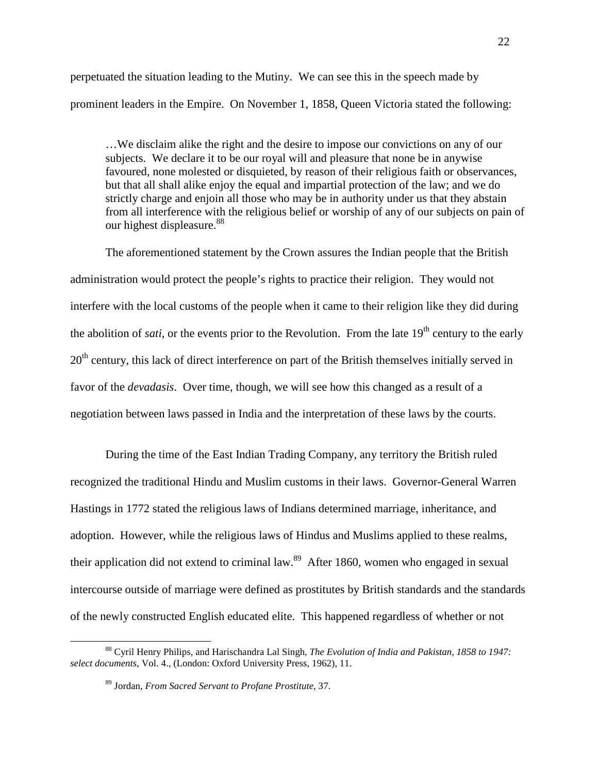perpetuated the situation leading to the Mutiny. We can see this in the speech made by prominent leaders in the Empire. On November 1, 1858, Queen Victoria stated the following:

…We disclaim alike the right and the desire to impose our convictions on any of our subjects. We declare it to be our royal will and pleasure that none be in anywise favoured, none molested or disquieted, by reason of their religious faith or observances, but that all shall alike enjoy the equal and impartial protection of the law; and we do strictly charge and enjoin all those who may be in authority under us that they abstain from all interference with the religious belief or worship of any of our subjects on pain of our highest displeasure.<sup>88</sup>

The aforementioned statement by the Crown assures the Indian people that the British administration would protect the people's rights to practice their religion. They would not interfere with the local customs of the people when it came to their religion like they did during the abolition of *sati*, or the events prior to the Revolution. From the late 19<sup>th</sup> century to the early  $20<sup>th</sup>$  century, this lack of direct interference on part of the British themselves initially served in favor of the *devadasis*. Over time, though, we will see how this changed as a result of a negotiation between laws passed in India and the interpretation of these laws by the courts.

During the time of the East Indian Trading Company, any territory the British ruled recognized the traditional Hindu and Muslim customs in their laws. Governor-General Warren Hastings in 1772 stated the religious laws of Indians determined marriage, inheritance, and adoption. However, while the religious laws of Hindus and Muslims applied to these realms, their application did not extend to criminal law.<sup>89</sup> After 1860, women who engaged in sexual intercourse outside of marriage were defined as prostitutes by British standards and the standards of the newly constructed English educated elite. This happened regardless of whether or not

<sup>88</sup> Cyril Henry Philips, and Harischandra Lal Singh, *The Evolution of India and Pakistan, 1858 to 1947: select documents*, Vol. 4., (London: Oxford University Press, 1962), 11.

<sup>89</sup> Jordan, *From Sacred Servant to Profane Prostitute*, 37.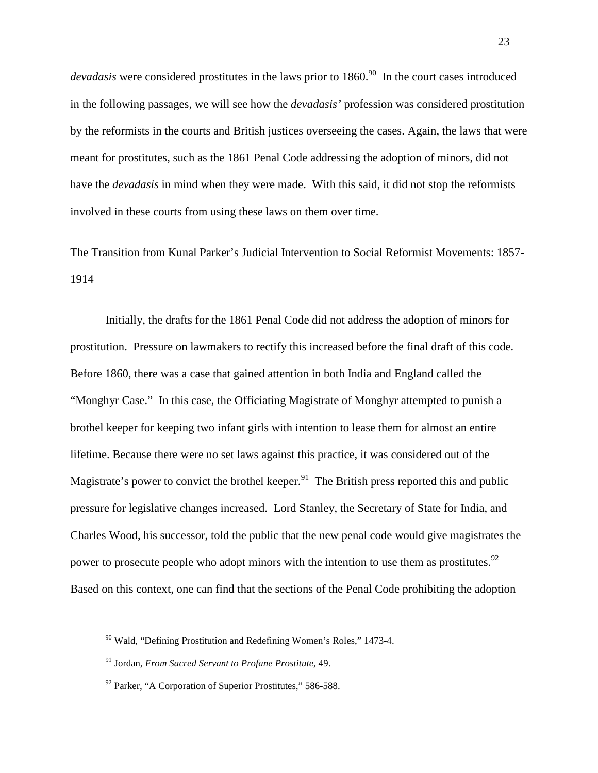*devadasis* were considered prostitutes in the laws prior to 1860.<sup>90</sup> In the court cases introduced in the following passages, we will see how the *devadasis'* profession was considered prostitution by the reformists in the courts and British justices overseeing the cases. Again, the laws that were meant for prostitutes, such as the 1861 Penal Code addressing the adoption of minors, did not have the *devadasis* in mind when they were made. With this said, it did not stop the reformists involved in these courts from using these laws on them over time.

The Transition from Kunal Parker's Judicial Intervention to Social Reformist Movements: 1857- 1914

 Initially, the drafts for the 1861 Penal Code did not address the adoption of minors for prostitution. Pressure on lawmakers to rectify this increased before the final draft of this code. Before 1860, there was a case that gained attention in both India and England called the "Monghyr Case." In this case, the Officiating Magistrate of Monghyr attempted to punish a brothel keeper for keeping two infant girls with intention to lease them for almost an entire lifetime. Because there were no set laws against this practice, it was considered out of the Magistrate's power to convict the brothel keeper.<sup>91</sup> The British press reported this and public pressure for legislative changes increased. Lord Stanley, the Secretary of State for India, and Charles Wood, his successor, told the public that the new penal code would give magistrates the power to prosecute people who adopt minors with the intention to use them as prostitutes.<sup>92</sup> Based on this context, one can find that the sections of the Penal Code prohibiting the adoption

<sup>90</sup> Wald, "Defining Prostitution and Redefining Women's Roles," 1473-4.

<sup>91</sup> Jordan, *From Sacred Servant to Profane Prostitute*, 49.

 $92$  Parker, "A Corporation of Superior Prostitutes," 586-588.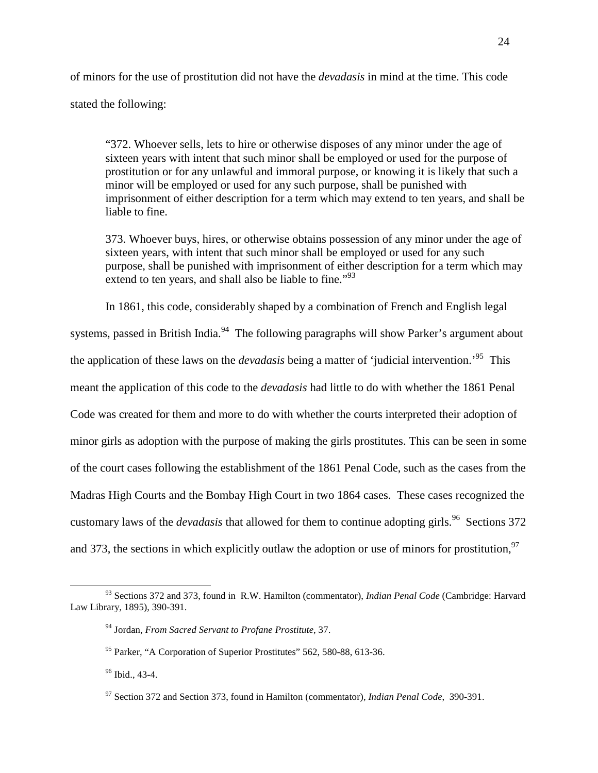of minors for the use of prostitution did not have the *devadasis* in mind at the time. This code stated the following:

"372. Whoever sells, lets to hire or otherwise disposes of any minor under the age of sixteen years with intent that such minor shall be employed or used for the purpose of prostitution or for any unlawful and immoral purpose, or knowing it is likely that such a minor will be employed or used for any such purpose, shall be punished with imprisonment of either description for a term which may extend to ten years, and shall be liable to fine.

373. Whoever buys, hires, or otherwise obtains possession of any minor under the age of sixteen years, with intent that such minor shall be employed or used for any such purpose, shall be punished with imprisonment of either description for a term which may extend to ten years, and shall also be liable to fine."<sup>93</sup>

In 1861, this code, considerably shaped by a combination of French and English legal systems, passed in British India.<sup>94</sup> The following paragraphs will show Parker's argument about the application of these laws on the *devadasis* being a matter of 'judicial intervention.'<sup>95</sup> This meant the application of this code to the *devadasis* had little to do with whether the 1861 Penal Code was created for them and more to do with whether the courts interpreted their adoption of minor girls as adoption with the purpose of making the girls prostitutes. This can be seen in some of the court cases following the establishment of the 1861 Penal Code, such as the cases from the Madras High Courts and the Bombay High Court in two 1864 cases. These cases recognized the customary laws of the *devadasis* that allowed for them to continue adopting girls.<sup>96</sup> Sections 372 and 373, the sections in which explicitly outlaw the adoption or use of minors for prostitution,  $97$ 

<sup>93</sup> Sections 372 and 373, found in R.W. Hamilton (commentator), *Indian Penal Code* (Cambridge: Harvard Law Library, 1895), 390-391.

<sup>94</sup> Jordan, *From Sacred Servant to Profane Prostitute*, 37.

<sup>95</sup> Parker, "A Corporation of Superior Prostitutes" 562, 580-88, 613-36.

<sup>&</sup>lt;sup>96</sup> Ibid., 43-4.

<sup>97</sup> Section 372 and Section 373, found in Hamilton (commentator), *Indian Penal Code*, 390-391.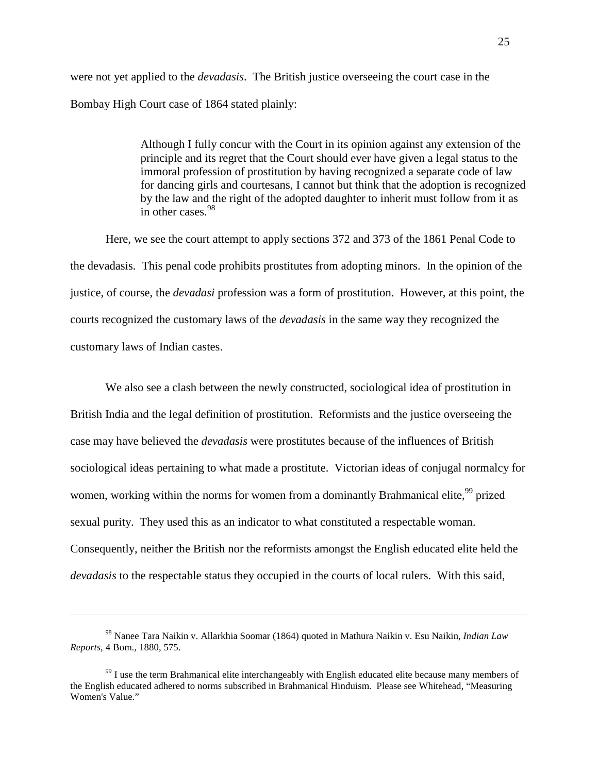were not yet applied to the *devadasis*. The British justice overseeing the court case in the Bombay High Court case of 1864 stated plainly:

> Although I fully concur with the Court in its opinion against any extension of the principle and its regret that the Court should ever have given a legal status to the immoral profession of prostitution by having recognized a separate code of law for dancing girls and courtesans, I cannot but think that the adoption is recognized by the law and the right of the adopted daughter to inherit must follow from it as in other cases.<sup>98</sup>

 Here, we see the court attempt to apply sections 372 and 373 of the 1861 Penal Code to the devadasis. This penal code prohibits prostitutes from adopting minors. In the opinion of the justice, of course, the *devadasi* profession was a form of prostitution. However, at this point, the courts recognized the customary laws of the *devadasis* in the same way they recognized the customary laws of Indian castes.

 We also see a clash between the newly constructed, sociological idea of prostitution in British India and the legal definition of prostitution. Reformists and the justice overseeing the case may have believed the *devadasis* were prostitutes because of the influences of British sociological ideas pertaining to what made a prostitute. Victorian ideas of conjugal normalcy for women, working within the norms for women from a dominantly Brahmanical elite,<sup>99</sup> prized sexual purity. They used this as an indicator to what constituted a respectable woman. Consequently, neither the British nor the reformists amongst the English educated elite held the *devadasis* to the respectable status they occupied in the courts of local rulers. With this said,

<sup>98</sup> Nanee Tara Naikin v. Allarkhia Soomar (1864) quoted in Mathura Naikin v. Esu Naikin, *Indian Law Reports*, 4 Bom., 1880, 575.

 $99$  I use the term Brahmanical elite interchangeably with English educated elite because many members of the English educated adhered to norms subscribed in Brahmanical Hinduism. Please see Whitehead, "Measuring Women's Value."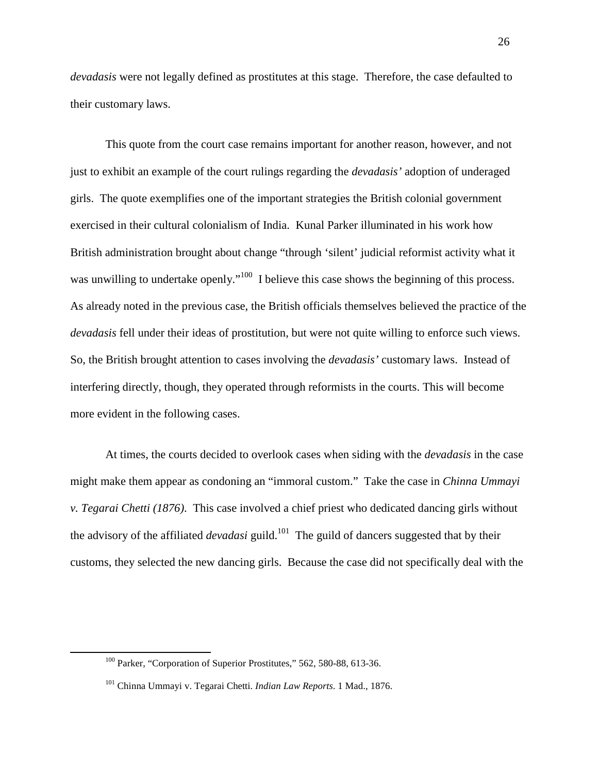*devadasis* were not legally defined as prostitutes at this stage. Therefore, the case defaulted to their customary laws.

 This quote from the court case remains important for another reason, however, and not just to exhibit an example of the court rulings regarding the *devadasis'* adoption of underaged girls. The quote exemplifies one of the important strategies the British colonial government exercised in their cultural colonialism of India. Kunal Parker illuminated in his work how British administration brought about change "through 'silent' judicial reformist activity what it was unwilling to undertake openly."<sup>100</sup> I believe this case shows the beginning of this process. As already noted in the previous case, the British officials themselves believed the practice of the *devadasis* fell under their ideas of prostitution, but were not quite willing to enforce such views. So, the British brought attention to cases involving the *devadasis'* customary laws. Instead of interfering directly, though, they operated through reformists in the courts. This will become more evident in the following cases.

 At times, the courts decided to overlook cases when siding with the *devadasis* in the case might make them appear as condoning an "immoral custom." Take the case in *Chinna Ummayi v. Tegarai Chetti (1876)*. This case involved a chief priest who dedicated dancing girls without the advisory of the affiliated *devadasi* guild.<sup>101</sup> The guild of dancers suggested that by their customs, they selected the new dancing girls. Because the case did not specifically deal with the

<sup>&</sup>lt;sup>100</sup> Parker, "Corporation of Superior Prostitutes," 562, 580-88, 613-36.

<sup>101</sup> Chinna Ummayi v. Tegarai Chetti. *Indian Law Reports*. 1 Mad., 1876.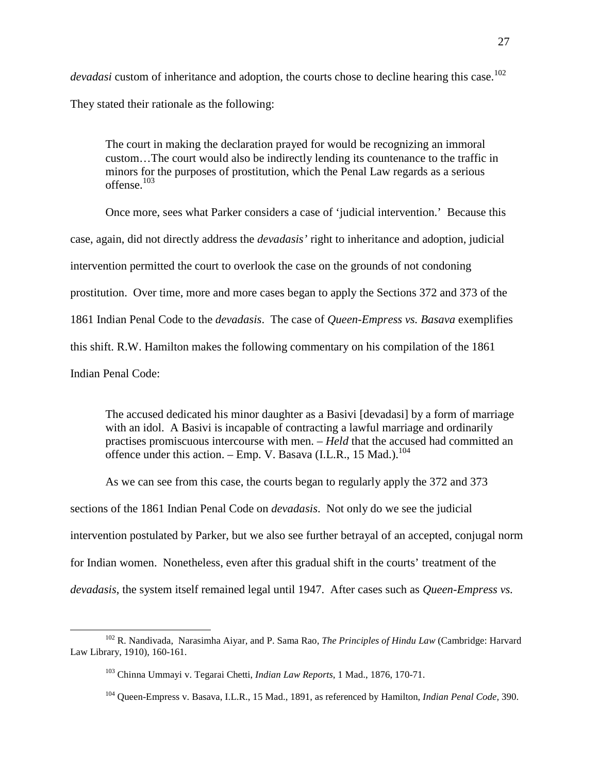*devadasi* custom of inheritance and adoption, the courts chose to decline hearing this case.<sup>102</sup> They stated their rationale as the following:

The court in making the declaration prayed for would be recognizing an immoral custom…The court would also be indirectly lending its countenance to the traffic in minors for the purposes of prostitution, which the Penal Law regards as a serious offense.<sup>103</sup>

Once more, sees what Parker considers a case of 'judicial intervention.' Because this case, again, did not directly address the *devadasis'* right to inheritance and adoption, judicial intervention permitted the court to overlook the case on the grounds of not condoning prostitution. Over time, more and more cases began to apply the Sections 372 and 373 of the 1861 Indian Penal Code to the *devadasis*. The case of *Queen-Empress vs. Basava* exemplifies this shift. R.W. Hamilton makes the following commentary on his compilation of the 1861 Indian Penal Code:

The accused dedicated his minor daughter as a Basivi [devadasi] by a form of marriage with an idol. A Basivi is incapable of contracting a lawful marriage and ordinarily practises promiscuous intercourse with men. – *Held* that the accused had committed an offence under this action. – Emp. V. Basava (I.L.R., 15 Mad.).<sup>104</sup>

As we can see from this case, the courts began to regularly apply the 372 and 373 sections of the 1861 Indian Penal Code on *devadasis*. Not only do we see the judicial intervention postulated by Parker, but we also see further betrayal of an accepted, conjugal norm for Indian women. Nonetheless, even after this gradual shift in the courts' treatment of the *devadasis*, the system itself remained legal until 1947. After cases such as *Queen-Empress vs.* 

<sup>102</sup> R. Nandivada, Narasimha Aiyar, and P. Sama Rao, *The Principles of Hindu Law* (Cambridge: Harvard Law Library, 1910), 160-161.

<sup>103</sup> Chinna Ummayi v. Tegarai Chetti, *Indian Law Reports*, 1 Mad., 1876, 170-71.

<sup>104</sup> Queen-Empress v. Basava, I.L.R., 15 Mad., 1891, as referenced by Hamilton, *Indian Penal Code,* 390.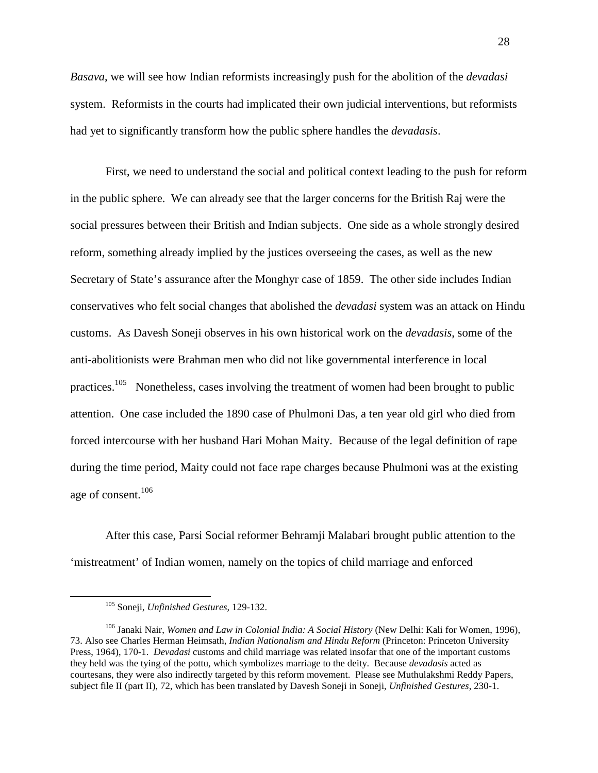*Basava*, we will see how Indian reformists increasingly push for the abolition of the *devadasi* system. Reformists in the courts had implicated their own judicial interventions, but reformists had yet to significantly transform how the public sphere handles the *devadasis*.

First, we need to understand the social and political context leading to the push for reform in the public sphere. We can already see that the larger concerns for the British Raj were the social pressures between their British and Indian subjects. One side as a whole strongly desired reform, something already implied by the justices overseeing the cases, as well as the new Secretary of State's assurance after the Monghyr case of 1859. The other side includes Indian conservatives who felt social changes that abolished the *devadasi* system was an attack on Hindu customs. As Davesh Soneji observes in his own historical work on the *devadasis*, some of the anti-abolitionists were Brahman men who did not like governmental interference in local practices.<sup>105</sup> Nonetheless, cases involving the treatment of women had been brought to public attention. One case included the 1890 case of Phulmoni Das, a ten year old girl who died from forced intercourse with her husband Hari Mohan Maity. Because of the legal definition of rape during the time period, Maity could not face rape charges because Phulmoni was at the existing age of consent.<sup>106</sup>

 After this case, Parsi Social reformer Behramji Malabari brought public attention to the 'mistreatment' of Indian women, namely on the topics of child marriage and enforced

<sup>105</sup> Soneji, *Unfinished Gestures*, 129-132.

<sup>106</sup> Janaki Nair, *Women and Law in Colonial India: A Social History* (New Delhi: Kali for Women, 1996), 73. Also see Charles Herman Heimsath, *Indian Nationalism and Hindu Reform* (Princeton: Princeton University Press, 1964), 170-1. *Devadasi* customs and child marriage was related insofar that one of the important customs they held was the tying of the pottu, which symbolizes marriage to the deity. Because *devadasis* acted as courtesans, they were also indirectly targeted by this reform movement. Please see Muthulakshmi Reddy Papers, subject file II (part II), 72, which has been translated by Davesh Soneji in Soneji, *Unfinished Gestures*, 230-1.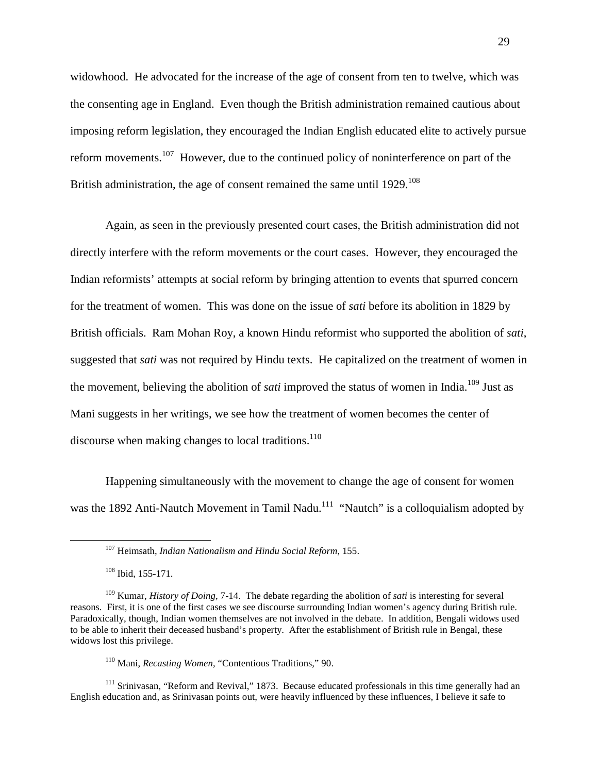widowhood. He advocated for the increase of the age of consent from ten to twelve, which was the consenting age in England. Even though the British administration remained cautious about imposing reform legislation, they encouraged the Indian English educated elite to actively pursue reform movements.<sup>107</sup> However, due to the continued policy of noninterference on part of the British administration, the age of consent remained the same until  $1929$ <sup>108</sup>

Again, as seen in the previously presented court cases, the British administration did not directly interfere with the reform movements or the court cases. However, they encouraged the Indian reformists' attempts at social reform by bringing attention to events that spurred concern for the treatment of women. This was done on the issue of *sati* before its abolition in 1829 by British officials. Ram Mohan Roy, a known Hindu reformist who supported the abolition of *sati*, suggested that *sati* was not required by Hindu texts. He capitalized on the treatment of women in the movement, believing the abolition of *sati* improved the status of women in India.<sup>109</sup> Just as Mani suggests in her writings, we see how the treatment of women becomes the center of discourse when making changes to local traditions.<sup>110</sup>

Happening simultaneously with the movement to change the age of consent for women was the 1892 Anti-Nautch Movement in Tamil Nadu.<sup>111</sup> "Nautch" is a colloquialism adopted by

 $108$  Ibid, 155-171.

l

 $111$  Srinivasan, "Reform and Revival," 1873. Because educated professionals in this time generally had an English education and, as Srinivasan points out, were heavily influenced by these influences, I believe it safe to

<sup>107</sup> Heimsath*, Indian Nationalism and Hindu Social Reform*, 155.

<sup>109</sup> Kumar, *History of Doing*, 7-14. The debate regarding the abolition of *sati* is interesting for several reasons. First, it is one of the first cases we see discourse surrounding Indian women's agency during British rule. Paradoxically, though, Indian women themselves are not involved in the debate. In addition, Bengali widows used to be able to inherit their deceased husband's property. After the establishment of British rule in Bengal, these widows lost this privilege.

<sup>110</sup> Mani, *Recasting Women*, "Contentious Traditions," 90.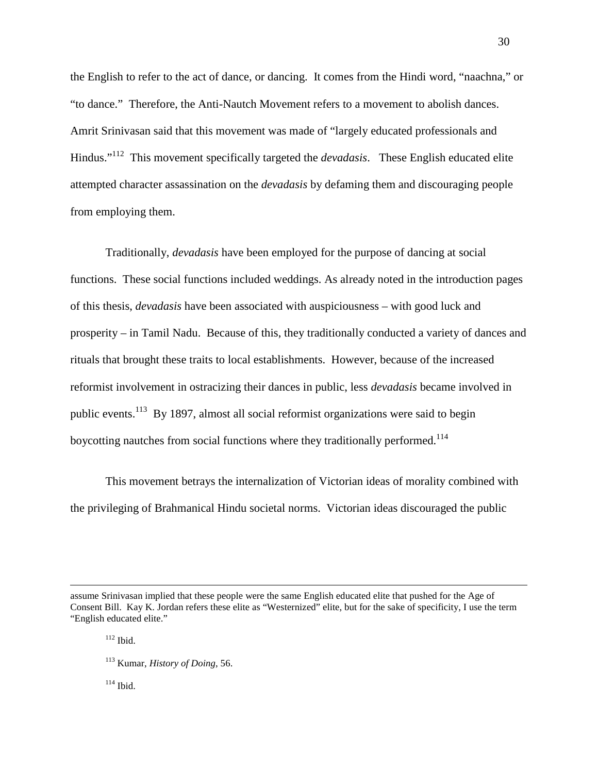the English to refer to the act of dance, or dancing. It comes from the Hindi word, "naachna," or "to dance." Therefore, the Anti-Nautch Movement refers to a movement to abolish dances. Amrit Srinivasan said that this movement was made of "largely educated professionals and Hindus."<sup>112</sup> This movement specifically targeted the *devadasis*. These English educated elite attempted character assassination on the *devadasis* by defaming them and discouraging people from employing them.

Traditionally, *devadasis* have been employed for the purpose of dancing at social functions. These social functions included weddings. As already noted in the introduction pages of this thesis, *devadasis* have been associated with auspiciousness – with good luck and prosperity – in Tamil Nadu. Because of this, they traditionally conducted a variety of dances and rituals that brought these traits to local establishments. However, because of the increased reformist involvement in ostracizing their dances in public, less *devadasis* became involved in public events.<sup>113</sup> By 1897, almost all social reformist organizations were said to begin boycotting nautches from social functions where they traditionally performed.<sup>114</sup>

This movement betrays the internalization of Victorian ideas of morality combined with the privileging of Brahmanical Hindu societal norms. Victorian ideas discouraged the public

l

 $114$  Ibid.

assume Srinivasan implied that these people were the same English educated elite that pushed for the Age of Consent Bill. Kay K. Jordan refers these elite as "Westernized" elite, but for the sake of specificity, I use the term "English educated elite."

 $112$  Ibid.

<sup>113</sup> Kumar, *History of Doing*, 56.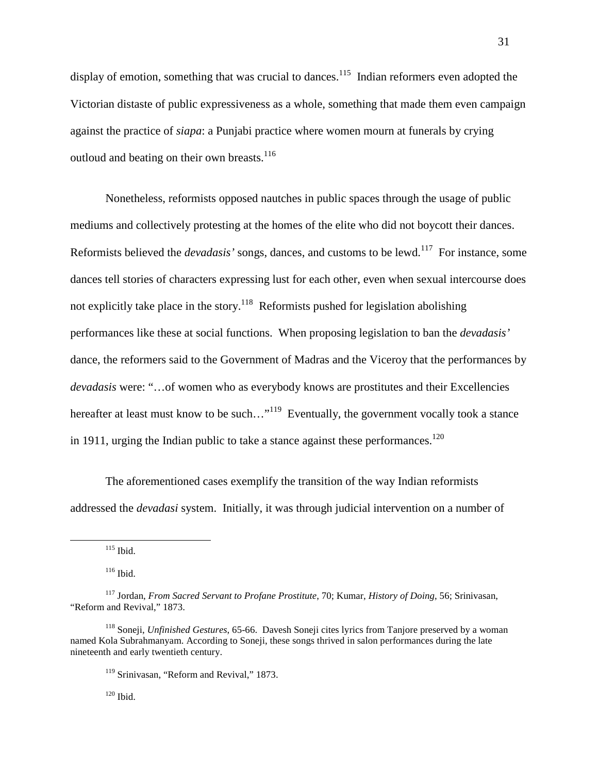display of emotion, something that was crucial to dances.<sup>115</sup> Indian reformers even adopted the Victorian distaste of public expressiveness as a whole, something that made them even campaign against the practice of *siapa*: a Punjabi practice where women mourn at funerals by crying outloud and beating on their own breasts.<sup>116</sup>

Nonetheless, reformists opposed nautches in public spaces through the usage of public mediums and collectively protesting at the homes of the elite who did not boycott their dances. Reformists believed the *devadasis'* songs, dances, and customs to be lewd.<sup>117</sup> For instance, some dances tell stories of characters expressing lust for each other, even when sexual intercourse does not explicitly take place in the story.<sup>118</sup> Reformists pushed for legislation abolishing performances like these at social functions. When proposing legislation to ban the *devadasis'* dance, the reformers said to the Government of Madras and the Viceroy that the performances by *devadasis* were: "…of women who as everybody knows are prostitutes and their Excellencies hereafter at least must know to be such..."<sup>119</sup> Eventually, the government vocally took a stance in 1911, urging the Indian public to take a stance against these performances.<sup>120</sup>

The aforementioned cases exemplify the transition of the way Indian reformists addressed the *devadasi* system. Initially, it was through judicial intervention on a number of

<sup>115</sup> Ibid.

l

<sup>116</sup> Ibid.

<sup>117</sup> Jordan, *From Sacred Servant to Profane Prostitute*, 70; Kumar, *History of Doing*, 56; Srinivasan, "Reform and Revival," 1873.

<sup>118</sup> Soneji, *Unfinished Gestures*, 65-66. Davesh Soneji cites lyrics from Tanjore preserved by a woman named Kola Subrahmanyam. According to Soneji, these songs thrived in salon performances during the late nineteenth and early twentieth century.

<sup>&</sup>lt;sup>119</sup> Srinivasan, "Reform and Revival," 1873.

 $120$  Ibid.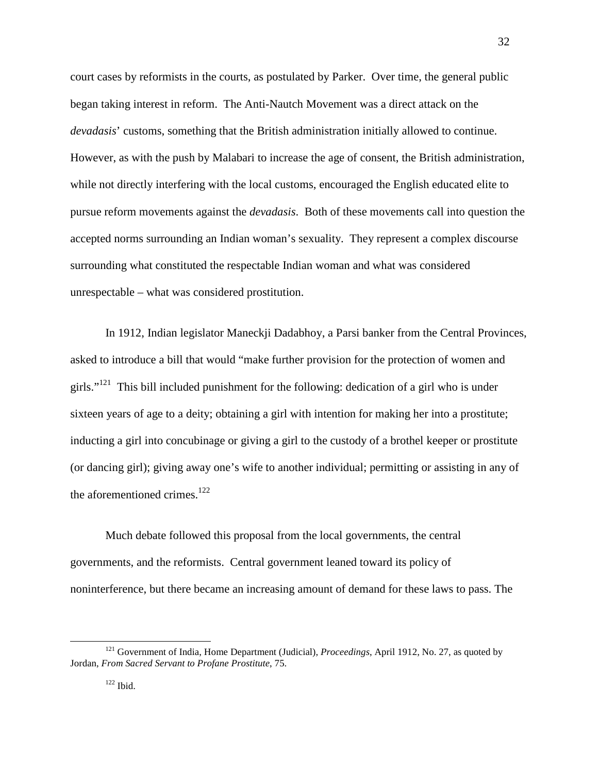court cases by reformists in the courts, as postulated by Parker. Over time, the general public began taking interest in reform. The Anti-Nautch Movement was a direct attack on the *devadasis*' customs, something that the British administration initially allowed to continue. However, as with the push by Malabari to increase the age of consent, the British administration, while not directly interfering with the local customs, encouraged the English educated elite to pursue reform movements against the *devadasis*. Both of these movements call into question the accepted norms surrounding an Indian woman's sexuality. They represent a complex discourse surrounding what constituted the respectable Indian woman and what was considered unrespectable – what was considered prostitution.

In 1912, Indian legislator Maneckji Dadabhoy, a Parsi banker from the Central Provinces, asked to introduce a bill that would "make further provision for the protection of women and girls."<sup>121</sup> This bill included punishment for the following: dedication of a girl who is under sixteen years of age to a deity; obtaining a girl with intention for making her into a prostitute; inducting a girl into concubinage or giving a girl to the custody of a brothel keeper or prostitute (or dancing girl); giving away one's wife to another individual; permitting or assisting in any of the aforementioned crimes.<sup>122</sup>

Much debate followed this proposal from the local governments, the central governments, and the reformists. Central government leaned toward its policy of noninterference, but there became an increasing amount of demand for these laws to pass. The

<sup>121</sup> Government of India, Home Department (Judicial), *Proceedings*, April 1912, No. 27, as quoted by Jordan, *From Sacred Servant to Profane Prostitute*, 75.

 $122$  Ibid.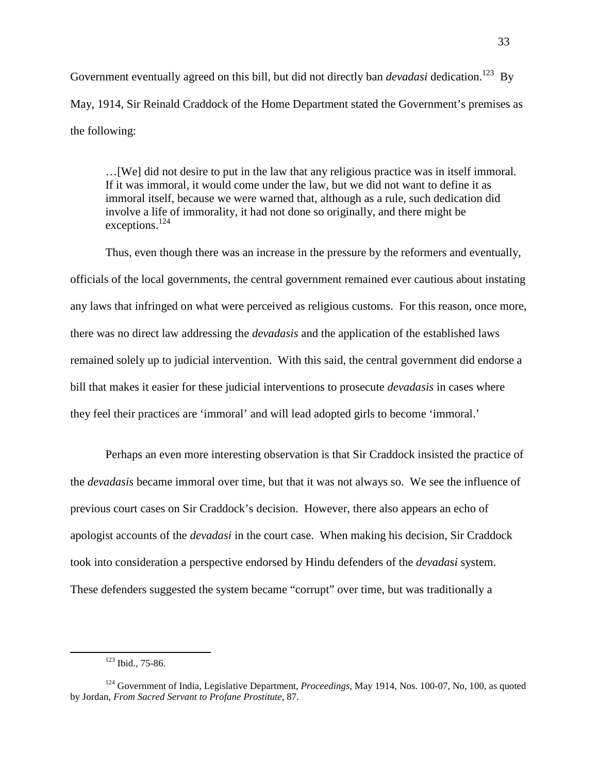Government eventually agreed on this bill, but did not directly ban *devadasi* dedication.<sup>123</sup> By May, 1914, Sir Reinald Craddock of the Home Department stated the Government's premises as the following:

…[We] did not desire to put in the law that any religious practice was in itself immoral. If it was immoral, it would come under the law, but we did not want to define it as immoral itself, because we were warned that, although as a rule, such dedication did involve a life of immorality, it had not done so originally, and there might be exceptions.<sup>124</sup>

Thus, even though there was an increase in the pressure by the reformers and eventually, officials of the local governments, the central government remained ever cautious about instating any laws that infringed on what were perceived as religious customs. For this reason, once more, there was no direct law addressing the *devadasis* and the application of the established laws remained solely up to judicial intervention. With this said, the central government did endorse a bill that makes it easier for these judicial interventions to prosecute *devadasis* in cases where they feel their practices are 'immoral' and will lead adopted girls to become 'immoral.'

Perhaps an even more interesting observation is that Sir Craddock insisted the practice of the *devadasis* became immoral over time, but that it was not always so. We see the influence of previous court cases on Sir Craddock's decision. However, there also appears an echo of apologist accounts of the *devadasi* in the court case. When making his decision, Sir Craddock took into consideration a perspective endorsed by Hindu defenders of the *devadasi* system. These defenders suggested the system became "corrupt" over time, but was traditionally a

<sup>123</sup> Ibid., 75-86.

<sup>124</sup> Government of India, Legislative Department, *Proceedings*, May 1914, Nos. 100-07, No, 100, as quoted by Jordan, *From Sacred Servant to Profane Prostitute*, 87.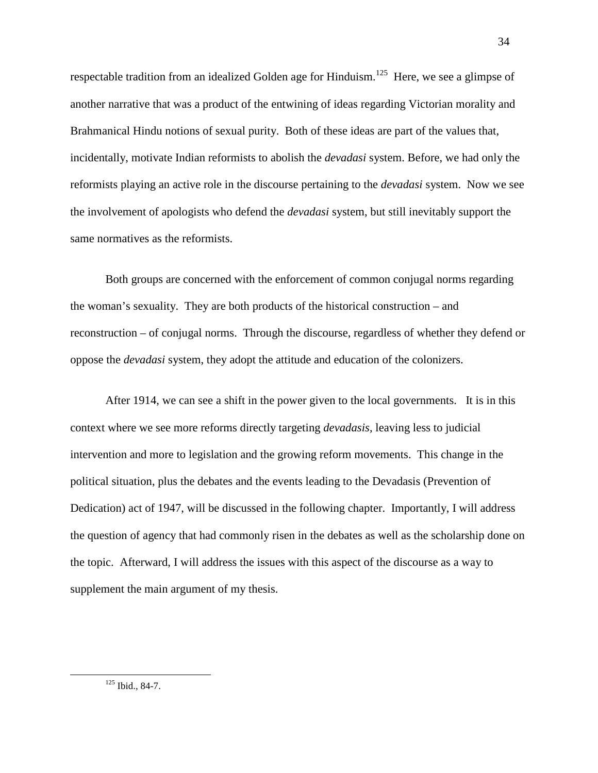respectable tradition from an idealized Golden age for Hinduism.<sup>125</sup> Here, we see a glimpse of another narrative that was a product of the entwining of ideas regarding Victorian morality and Brahmanical Hindu notions of sexual purity. Both of these ideas are part of the values that, incidentally, motivate Indian reformists to abolish the *devadasi* system. Before, we had only the reformists playing an active role in the discourse pertaining to the *devadasi* system. Now we see the involvement of apologists who defend the *devadasi* system, but still inevitably support the same normatives as the reformists.

Both groups are concerned with the enforcement of common conjugal norms regarding the woman's sexuality. They are both products of the historical construction – and reconstruction – of conjugal norms. Through the discourse, regardless of whether they defend or oppose the *devadasi* system, they adopt the attitude and education of the colonizers.

After 1914, we can see a shift in the power given to the local governments. It is in this context where we see more reforms directly targeting *devadasis,* leaving less to judicial intervention and more to legislation and the growing reform movements. This change in the political situation, plus the debates and the events leading to the Devadasis (Prevention of Dedication) act of 1947, will be discussed in the following chapter. Importantly, I will address the question of agency that had commonly risen in the debates as well as the scholarship done on the topic. Afterward, I will address the issues with this aspect of the discourse as a way to supplement the main argument of my thesis.

<sup>125</sup> Ibid., 84-7.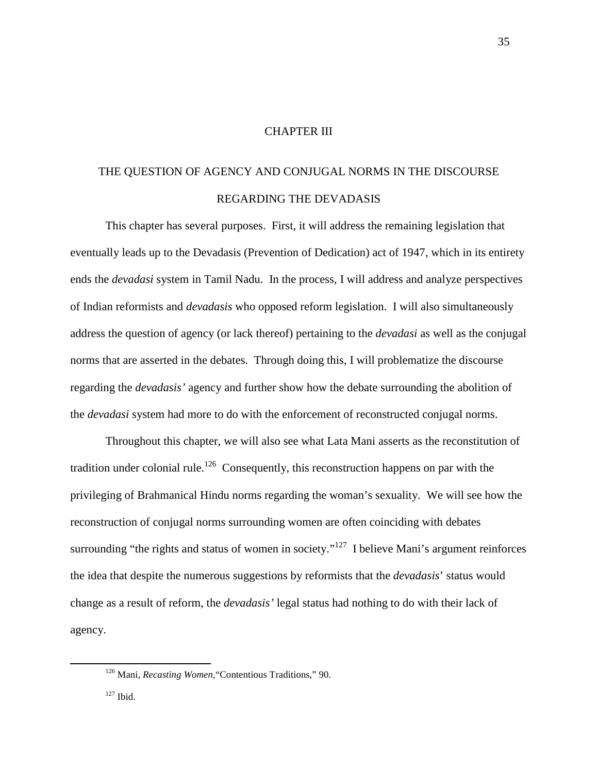# CHAPTER III

# THE QUESTION OF AGENCY AND CONJUGAL NORMS IN THE DISCOURSE REGARDING THE DEVADASIS

 This chapter has several purposes. First, it will address the remaining legislation that eventually leads up to the Devadasis (Prevention of Dedication) act of 1947, which in its entirety ends the *devadasi* system in Tamil Nadu. In the process, I will address and analyze perspectives of Indian reformists and *devadasis* who opposed reform legislation. I will also simultaneously address the question of agency (or lack thereof) pertaining to the *devadasi* as well as the conjugal norms that are asserted in the debates. Through doing this, I will problematize the discourse regarding the *devadasis'* agency and further show how the debate surrounding the abolition of the *devadasi* system had more to do with the enforcement of reconstructed conjugal norms.

Throughout this chapter, we will also see what Lata Mani asserts as the reconstitution of tradition under colonial rule.<sup>126</sup> Consequently, this reconstruction happens on par with the privileging of Brahmanical Hindu norms regarding the woman's sexuality. We will see how the reconstruction of conjugal norms surrounding women are often coinciding with debates surrounding "the rights and status of women in society."<sup>127</sup> I believe Mani's argument reinforces the idea that despite the numerous suggestions by reformists that the *devadasis*' status would change as a result of reform, the *devadasis'* legal status had nothing to do with their lack of agency.

<sup>126</sup> Mani, *Recasting Women*,"Contentious Traditions," 90.

 $127$  Ibid.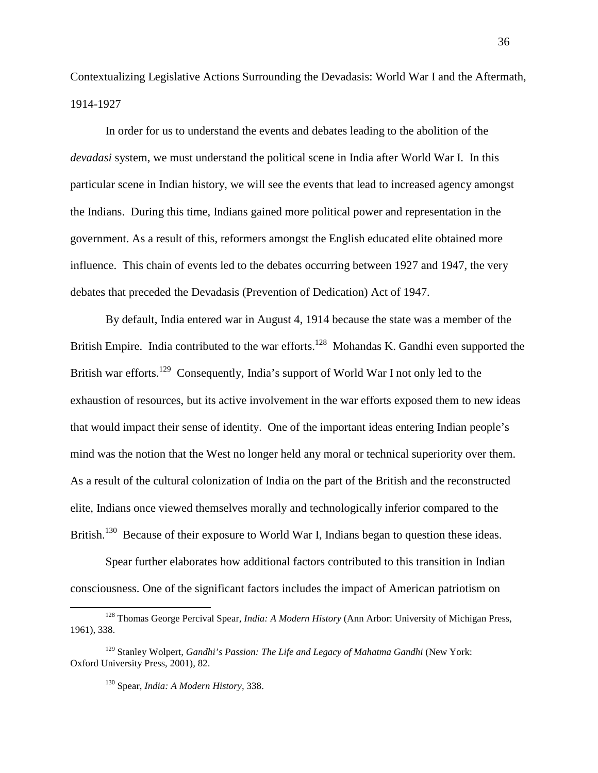Contextualizing Legislative Actions Surrounding the Devadasis: World War I and the Aftermath, 1914-1927

In order for us to understand the events and debates leading to the abolition of the *devadasi* system, we must understand the political scene in India after World War I. In this particular scene in Indian history, we will see the events that lead to increased agency amongst the Indians. During this time, Indians gained more political power and representation in the government. As a result of this, reformers amongst the English educated elite obtained more influence. This chain of events led to the debates occurring between 1927 and 1947, the very debates that preceded the Devadasis (Prevention of Dedication) Act of 1947.

By default, India entered war in August 4, 1914 because the state was a member of the British Empire. India contributed to the war efforts.<sup>128</sup> Mohandas K. Gandhi even supported the British war efforts.<sup>129</sup> Consequently, India's support of World War I not only led to the exhaustion of resources, but its active involvement in the war efforts exposed them to new ideas that would impact their sense of identity. One of the important ideas entering Indian people's mind was the notion that the West no longer held any moral or technical superiority over them. As a result of the cultural colonization of India on the part of the British and the reconstructed elite, Indians once viewed themselves morally and technologically inferior compared to the British.<sup>130</sup> Because of their exposure to World War I, Indians began to question these ideas.

Spear further elaborates how additional factors contributed to this transition in Indian consciousness. One of the significant factors includes the impact of American patriotism on

<sup>128</sup> Thomas George Percival Spear, *India: A Modern History* (Ann Arbor: University of Michigan Press, 1961)*,* 338.

<sup>129</sup> Stanley Wolpert, *Gandhi's Passion: The Life and Legacy of Mahatma Gandhi* (New York: Oxford University Press, 2001)*,* 82.

<sup>130</sup> Spear, *India: A Modern History,* 338.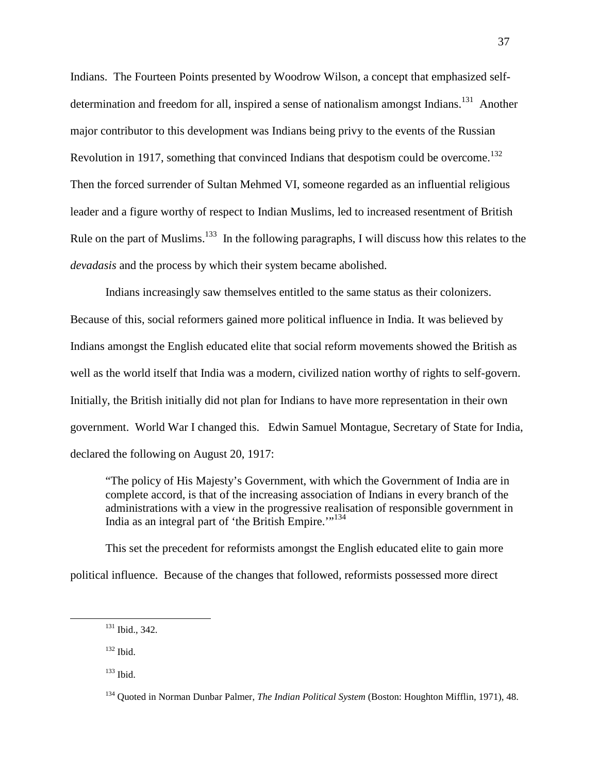Indians. The Fourteen Points presented by Woodrow Wilson, a concept that emphasized selfdetermination and freedom for all, inspired a sense of nationalism amongst Indians.<sup>131</sup> Another major contributor to this development was Indians being privy to the events of the Russian Revolution in 1917, something that convinced Indians that despotism could be overcome.<sup>132</sup> Then the forced surrender of Sultan Mehmed VI, someone regarded as an influential religious leader and a figure worthy of respect to Indian Muslims, led to increased resentment of British Rule on the part of Muslims.<sup>133</sup> In the following paragraphs, I will discuss how this relates to the *devadasis* and the process by which their system became abolished.

Indians increasingly saw themselves entitled to the same status as their colonizers. Because of this, social reformers gained more political influence in India. It was believed by Indians amongst the English educated elite that social reform movements showed the British as well as the world itself that India was a modern, civilized nation worthy of rights to self-govern. Initially, the British initially did not plan for Indians to have more representation in their own government. World War I changed this. Edwin Samuel Montague, Secretary of State for India, declared the following on August 20, 1917:

"The policy of His Majesty's Government, with which the Government of India are in complete accord, is that of the increasing association of Indians in every branch of the administrations with a view in the progressive realisation of responsible government in India as an integral part of 'the British Empire."<sup>134</sup>

This set the precedent for reformists amongst the English educated elite to gain more political influence. Because of the changes that followed, reformists possessed more direct

<sup>131</sup> Ibid., 342.

 $132$  Ibid.

 $133$  Ibid.

<sup>134</sup> Quoted in Norman Dunbar Palmer, *The Indian Political System* (Boston: Houghton Mifflin, 1971)*,* 48.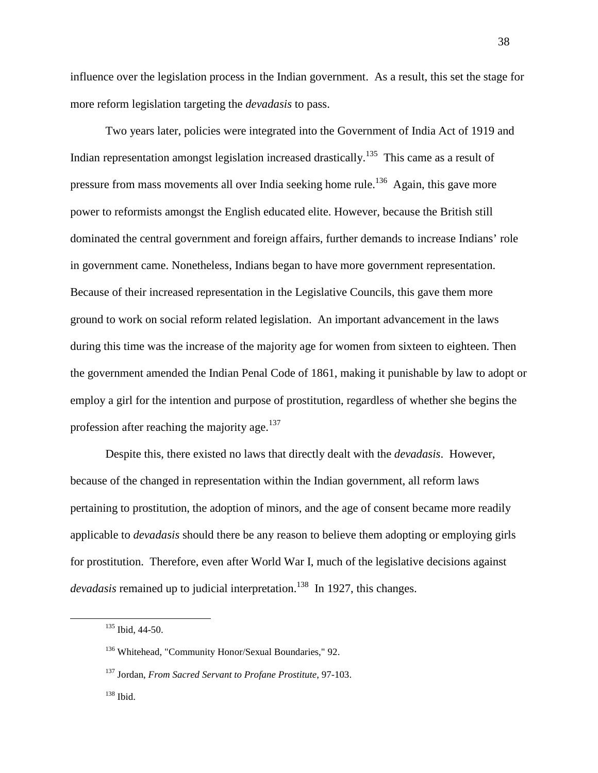influence over the legislation process in the Indian government. As a result, this set the stage for more reform legislation targeting the *devadasis* to pass.

Two years later, policies were integrated into the Government of India Act of 1919 and Indian representation amongst legislation increased drastically.<sup>135</sup> This came as a result of pressure from mass movements all over India seeking home rule.<sup>136</sup> Again, this gave more power to reformists amongst the English educated elite. However, because the British still dominated the central government and foreign affairs, further demands to increase Indians' role in government came. Nonetheless, Indians began to have more government representation. Because of their increased representation in the Legislative Councils, this gave them more ground to work on social reform related legislation. An important advancement in the laws during this time was the increase of the majority age for women from sixteen to eighteen. Then the government amended the Indian Penal Code of 1861, making it punishable by law to adopt or employ a girl for the intention and purpose of prostitution, regardless of whether she begins the profession after reaching the majority age. $137$ 

Despite this, there existed no laws that directly dealt with the *devadasis*. However, because of the changed in representation within the Indian government, all reform laws pertaining to prostitution, the adoption of minors, and the age of consent became more readily applicable to *devadasis* should there be any reason to believe them adopting or employing girls for prostitution. Therefore, even after World War I, much of the legislative decisions against *devadasis* remained up to judicial interpretation.<sup>138</sup> In 1927, this changes.

<sup>135</sup> Ibid, 44-50.

<sup>&</sup>lt;sup>136</sup> Whitehead, "Community Honor/Sexual Boundaries," 92.

<sup>137</sup> Jordan, *From Sacred Servant to Profane Prostitute*, 97-103.

<sup>138</sup> Ibid.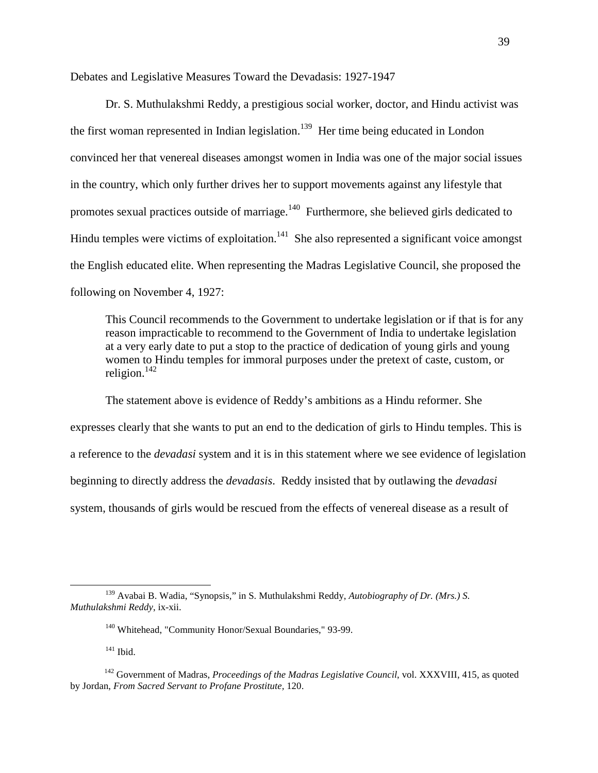Debates and Legislative Measures Toward the Devadasis: 1927-1947

Dr. S. Muthulakshmi Reddy, a prestigious social worker, doctor, and Hindu activist was the first woman represented in Indian legislation.<sup>139</sup> Her time being educated in London convinced her that venereal diseases amongst women in India was one of the major social issues in the country, which only further drives her to support movements against any lifestyle that promotes sexual practices outside of marriage.<sup>140</sup> Furthermore, she believed girls dedicated to Hindu temples were victims of exploitation.<sup>141</sup> She also represented a significant voice amongst the English educated elite. When representing the Madras Legislative Council, she proposed the following on November 4, 1927:

 This Council recommends to the Government to undertake legislation or if that is for any reason impracticable to recommend to the Government of India to undertake legislation at a very early date to put a stop to the practice of dedication of young girls and young women to Hindu temples for immoral purposes under the pretext of caste, custom, or religion. $142$ 

The statement above is evidence of Reddy's ambitions as a Hindu reformer. She expresses clearly that she wants to put an end to the dedication of girls to Hindu temples. This is a reference to the *devadasi* system and it is in this statement where we see evidence of legislation beginning to directly address the *devadasis*. Reddy insisted that by outlawing the *devadasi* system, thousands of girls would be rescued from the effects of venereal disease as a result of

<sup>139</sup> Avabai B. Wadia, "Synopsis," in S. Muthulakshmi Reddy, *Autobiography of Dr. (Mrs.) S. Muthulakshmi Reddy*, ix-xii.

<sup>&</sup>lt;sup>140</sup> Whitehead, "Community Honor/Sexual Boundaries," 93-99.

 $141$  Ibid.

<sup>&</sup>lt;sup>142</sup> Government of Madras, *Proceedings of the Madras Legislative Council*, vol. XXXVIII, 415, as quoted by Jordan, *From Sacred Servant to Profane Prostitute,* 120.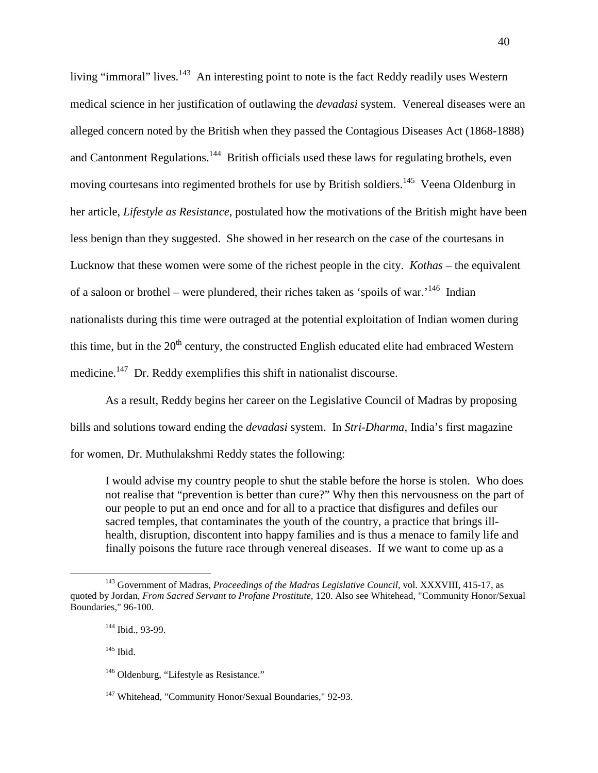living "immoral" lives.<sup>143</sup> An interesting point to note is the fact Reddy readily uses Western medical science in her justification of outlawing the *devadasi* system. Venereal diseases were an alleged concern noted by the British when they passed the Contagious Diseases Act (1868-1888) and Cantonment Regulations.<sup>144</sup> British officials used these laws for regulating brothels, even moving courtesans into regimented brothels for use by British soldiers.<sup>145</sup> Veena Oldenburg in her article, *Lifestyle as Resistance*, postulated how the motivations of the British might have been less benign than they suggested. She showed in her research on the case of the courtesans in Lucknow that these women were some of the richest people in the city. *Kothas* – the equivalent of a saloon or brothel – were plundered, their riches taken as 'spoils of war.<sup>146</sup> Indian nationalists during this time were outraged at the potential exploitation of Indian women during this time, but in the  $20<sup>th</sup>$  century, the constructed English educated elite had embraced Western medicine.<sup>147</sup> Dr. Reddy exemplifies this shift in nationalist discourse.

 As a result, Reddy begins her career on the Legislative Council of Madras by proposing bills and solutions toward ending the *devadasi* system. In *Stri-Dharma*, India's first magazine for women, Dr. Muthulakshmi Reddy states the following:

I would advise my country people to shut the stable before the horse is stolen. Who does not realise that "prevention is better than cure?" Why then this nervousness on the part of our people to put an end once and for all to a practice that disfigures and defiles our sacred temples, that contaminates the youth of the country, a practice that brings illhealth, disruption, discontent into happy families and is thus a menace to family life and finally poisons the future race through venereal diseases. If we want to come up as a

<sup>143</sup> Government of Madras, *Proceedings of the Madras Legislative Council*, vol. XXXVIII, 415-17, as quoted by Jordan, *From Sacred Servant to Profane Prostitute,* 120. Also see Whitehead, "Community Honor/Sexual Boundaries," 96-100.

<sup>144</sup> Ibid., 93-99.

 $145$  Ibid.

<sup>&</sup>lt;sup>146</sup> Oldenburg, "Lifestyle as Resistance."

<sup>&</sup>lt;sup>147</sup> Whitehead, "Community Honor/Sexual Boundaries," 92-93.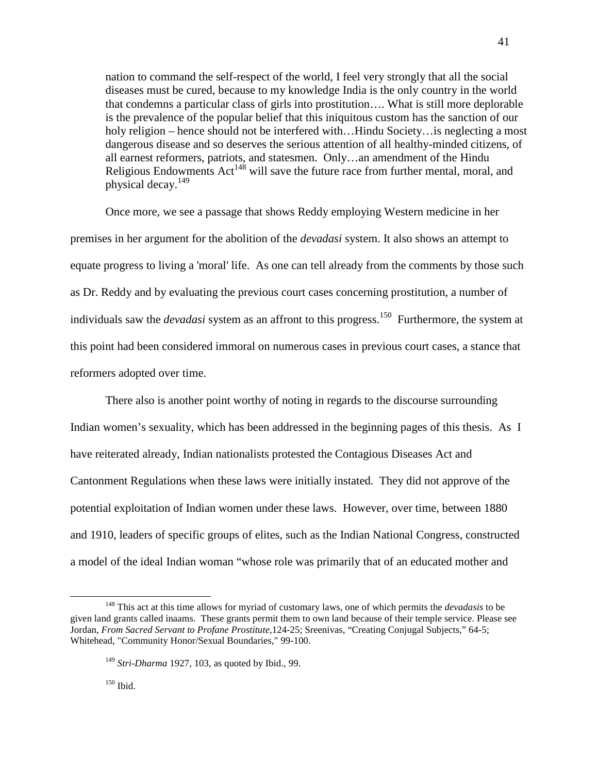nation to command the self-respect of the world, I feel very strongly that all the social diseases must be cured, because to my knowledge India is the only country in the world that condemns a particular class of girls into prostitution…. What is still more deplorable is the prevalence of the popular belief that this iniquitous custom has the sanction of our holy religion – hence should not be interfered with...Hindu Society... is neglecting a most dangerous disease and so deserves the serious attention of all healthy-minded citizens, of all earnest reformers, patriots, and statesmen. Only…an amendment of the Hindu Religious Endowments  $Act^{148}$  will save the future race from further mental, moral, and physical decay.<sup>149</sup>

Once more, we see a passage that shows Reddy employing Western medicine in her premises in her argument for the abolition of the *devadasi* system. It also shows an attempt to equate progress to living a 'moral' life. As one can tell already from the comments by those such as Dr. Reddy and by evaluating the previous court cases concerning prostitution, a number of individuals saw the *devadasi* system as an affront to this progress.<sup>150</sup> Furthermore, the system at this point had been considered immoral on numerous cases in previous court cases, a stance that reformers adopted over time.

There also is another point worthy of noting in regards to the discourse surrounding Indian women's sexuality, which has been addressed in the beginning pages of this thesis. As I have reiterated already, Indian nationalists protested the Contagious Diseases Act and Cantonment Regulations when these laws were initially instated. They did not approve of the potential exploitation of Indian women under these laws. However, over time, between 1880 and 1910, leaders of specific groups of elites, such as the Indian National Congress, constructed a model of the ideal Indian woman "whose role was primarily that of an educated mother and

<sup>148</sup> This act at this time allows for myriad of customary laws, one of which permits the *devadasis* to be given land grants called inaams. These grants permit them to own land because of their temple service. Please see Jordan, *From Sacred Servant to Profane Prostitute,*124-25; Sreenivas, "Creating Conjugal Subjects," 64-5; Whitehead, "Community Honor/Sexual Boundaries," 99-100.

<sup>149</sup> *Stri-Dharma* 1927, 103, as quoted by Ibid., 99.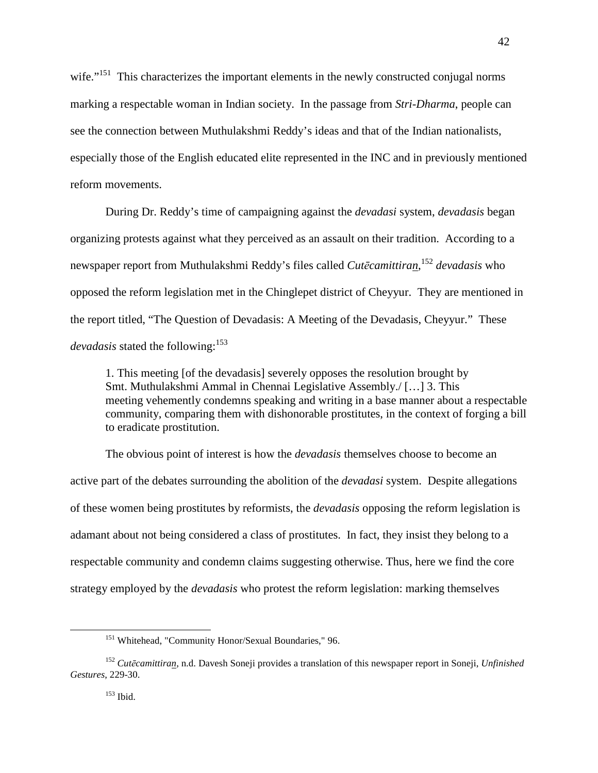wife."<sup>151</sup> This characterizes the important elements in the newly constructed conjugal norms marking a respectable woman in Indian society. In the passage from *Stri-Dharma*, people can see the connection between Muthulakshmi Reddy's ideas and that of the Indian nationalists, especially those of the English educated elite represented in the INC and in previously mentioned reform movements.

During Dr. Reddy's time of campaigning against the *devadasi* system, *devadasis* began organizing protests against what they perceived as an assault on their tradition. According to a newspaper report from Muthulakshmi Reddy's files called *Cutēcamittiran*, <sup>152</sup> *devadasis* who opposed the reform legislation met in the Chinglepet district of Cheyyur. They are mentioned in the report titled, "The Question of Devadasis: A Meeting of the Devadasis, Cheyyur." These *devadasis* stated the following:<sup>153</sup>

1. This meeting [of the devadasis] severely opposes the resolution brought by Smt. Muthulakshmi Ammal in Chennai Legislative Assembly./ […] 3. This meeting vehemently condemns speaking and writing in a base manner about a respectable community, comparing them with dishonorable prostitutes, in the context of forging a bill to eradicate prostitution.

The obvious point of interest is how the *devadasis* themselves choose to become an active part of the debates surrounding the abolition of the *devadasi* system. Despite allegations of these women being prostitutes by reformists, the *devadasis* opposing the reform legislation is adamant about not being considered a class of prostitutes. In fact, they insist they belong to a respectable community and condemn claims suggesting otherwise. Thus, here we find the core strategy employed by the *devadasis* who protest the reform legislation: marking themselves

<sup>&</sup>lt;sup>151</sup> Whitehead, "Community Honor/Sexual Boundaries," 96.

<sup>152</sup> *Cutēcamittiran*, n.d. Davesh Soneji provides a translation of this newspaper report in Soneji, *Unfinished Gestures*, 229-30.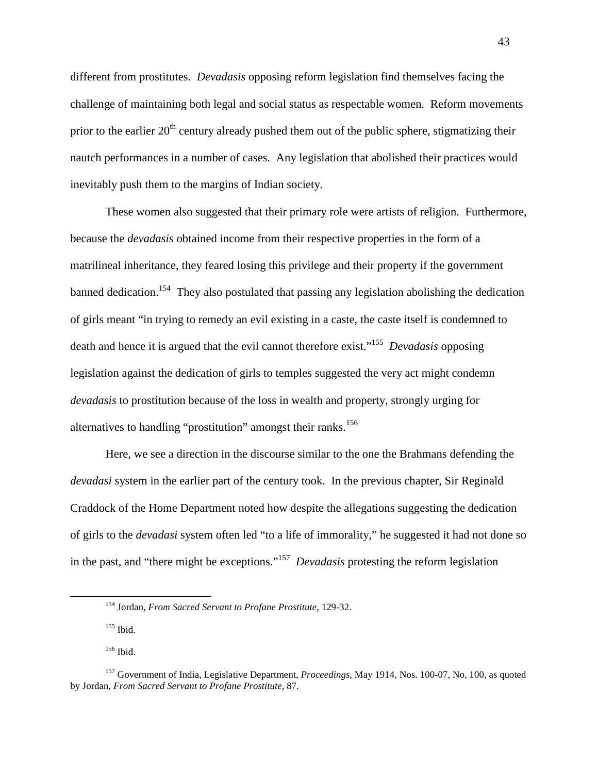different from prostitutes. *Devadasis* opposing reform legislation find themselves facing the challenge of maintaining both legal and social status as respectable women. Reform movements prior to the earlier  $20<sup>th</sup>$  century already pushed them out of the public sphere, stigmatizing their nautch performances in a number of cases. Any legislation that abolished their practices would inevitably push them to the margins of Indian society.

These women also suggested that their primary role were artists of religion. Furthermore, because the *devadasis* obtained income from their respective properties in the form of a matrilineal inheritance, they feared losing this privilege and their property if the government banned dedication.<sup>154</sup> They also postulated that passing any legislation abolishing the dedication of girls meant "in trying to remedy an evil existing in a caste, the caste itself is condemned to death and hence it is argued that the evil cannot therefore exist."<sup>155</sup> *Devadasis* opposing legislation against the dedication of girls to temples suggested the very act might condemn *devadasis* to prostitution because of the loss in wealth and property, strongly urging for alternatives to handling "prostitution" amongst their ranks.<sup>156</sup>

Here, we see a direction in the discourse similar to the one the Brahmans defending the *devadasi* system in the earlier part of the century took. In the previous chapter, Sir Reginald Craddock of the Home Department noted how despite the allegations suggesting the dedication of girls to the *devadasi* system often led "to a life of immorality," he suggested it had not done so in the past, and "there might be exceptions."<sup>157</sup> *Devadasis* protesting the reform legislation

<sup>154</sup> Jordan, *From Sacred Servant to Profane Prostitute*, 129-32.

<sup>155</sup> Ibid.

<sup>156</sup> Ibid.

<sup>157</sup> Government of India, Legislative Department, *Proceedings*, May 1914, Nos. 100-07, No, 100, as quoted by Jordan, *From Sacred Servant to Profane Prostitute*, 87.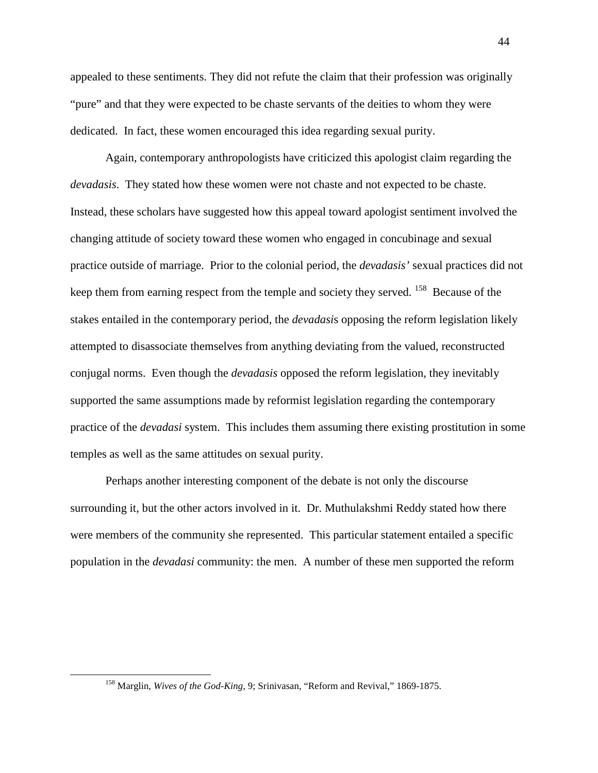appealed to these sentiments. They did not refute the claim that their profession was originally "pure" and that they were expected to be chaste servants of the deities to whom they were dedicated. In fact, these women encouraged this idea regarding sexual purity.

Again, contemporary anthropologists have criticized this apologist claim regarding the *devadasis*. They stated how these women were not chaste and not expected to be chaste. Instead, these scholars have suggested how this appeal toward apologist sentiment involved the changing attitude of society toward these women who engaged in concubinage and sexual practice outside of marriage. Prior to the colonial period, the *devadasis'* sexual practices did not keep them from earning respect from the temple and society they served. <sup>158</sup> Because of the stakes entailed in the contemporary period, the *devadasi*s opposing the reform legislation likely attempted to disassociate themselves from anything deviating from the valued, reconstructed conjugal norms. Even though the *devadasis* opposed the reform legislation, they inevitably supported the same assumptions made by reformist legislation regarding the contemporary practice of the *devadasi* system. This includes them assuming there existing prostitution in some temples as well as the same attitudes on sexual purity.

Perhaps another interesting component of the debate is not only the discourse surrounding it, but the other actors involved in it. Dr. Muthulakshmi Reddy stated how there were members of the community she represented. This particular statement entailed a specific population in the *devadasi* community: the men. A number of these men supported the reform

<sup>158</sup> Marglin, *Wives of the God-King*, 9; Srinivasan, "Reform and Revival," 1869-1875.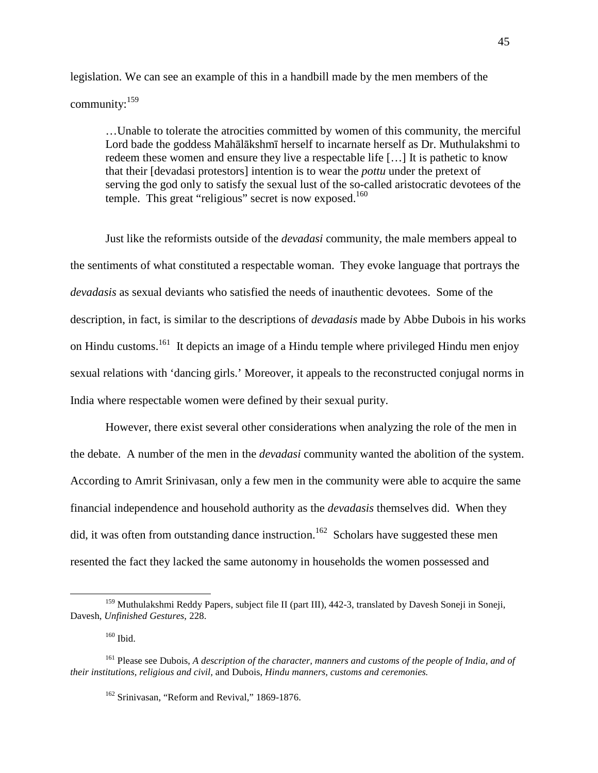legislation. We can see an example of this in a handbill made by the men members of the community:<sup>159</sup>

…Unable to tolerate the atrocities committed by women of this community, the merciful Lord bade the goddess Mahālākshmī herself to incarnate herself as Dr. Muthulakshmi to redeem these women and ensure they live a respectable life […] It is pathetic to know that their [devadasi protestors] intention is to wear the *pottu* under the pretext of serving the god only to satisfy the sexual lust of the so-called aristocratic devotees of the temple. This great "religious" secret is now exposed.<sup>160</sup>

 Just like the reformists outside of the *devadasi* community, the male members appeal to the sentiments of what constituted a respectable woman. They evoke language that portrays the *devadasis* as sexual deviants who satisfied the needs of inauthentic devotees. Some of the description, in fact, is similar to the descriptions of *devadasis* made by Abbe Dubois in his works on Hindu customs.<sup>161</sup> It depicts an image of a Hindu temple where privileged Hindu men enjoy sexual relations with 'dancing girls.' Moreover, it appeals to the reconstructed conjugal norms in India where respectable women were defined by their sexual purity.

 However, there exist several other considerations when analyzing the role of the men in the debate. A number of the men in the *devadasi* community wanted the abolition of the system. According to Amrit Srinivasan, only a few men in the community were able to acquire the same financial independence and household authority as the *devadasis* themselves did. When they did, it was often from outstanding dance instruction.<sup>162</sup> Scholars have suggested these men resented the fact they lacked the same autonomy in households the women possessed and

<sup>&</sup>lt;sup>159</sup> Muthulakshmi Reddy Papers, subject file II (part III), 442-3, translated by Davesh Soneji in Soneji, Davesh, *Unfinished Gestures*, 228.

<sup>160</sup> Ibid.

<sup>161</sup> Please see Dubois, *A description of the character, manners and customs of the people of India, and of their institutions, religious and civil,* and Dubois, *Hindu manners, customs and ceremonies.*

<sup>&</sup>lt;sup>162</sup> Srinivasan, "Reform and Revival," 1869-1876.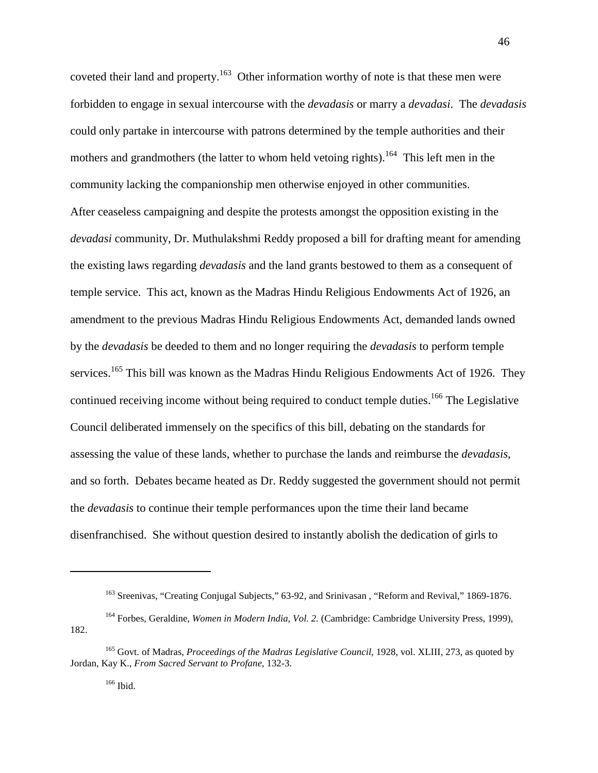coveted their land and property.<sup>163</sup> Other information worthy of note is that these men were forbidden to engage in sexual intercourse with the *devadasis* or marry a *devadasi*. The *devadasis* could only partake in intercourse with patrons determined by the temple authorities and their mothers and grandmothers (the latter to whom held vetoing rights).<sup>164</sup> This left men in the community lacking the companionship men otherwise enjoyed in other communities. After ceaseless campaigning and despite the protests amongst the opposition existing in the *devadasi* community, Dr. Muthulakshmi Reddy proposed a bill for drafting meant for amending the existing laws regarding *devadasis* and the land grants bestowed to them as a consequent of temple service. This act, known as the Madras Hindu Religious Endowments Act of 1926, an amendment to the previous Madras Hindu Religious Endowments Act, demanded lands owned by the *devadasis* be deeded to them and no longer requiring the *devadasis* to perform temple services.<sup>165</sup> This bill was known as the Madras Hindu Religious Endowments Act of 1926. They continued receiving income without being required to conduct temple duties.<sup>166</sup> The Legislative Council deliberated immensely on the specifics of this bill, debating on the standards for assessing the value of these lands, whether to purchase the lands and reimburse the *devadasis*, and so forth. Debates became heated as Dr. Reddy suggested the government should not permit the *devadasis* to continue their temple performances upon the time their land became disenfranchised. She without question desired to instantly abolish the dedication of girls to

<sup>&</sup>lt;sup>163</sup> Sreenivas, "Creating Conjugal Subjects," 63-92, and Srinivasan, "Reform and Revival," 1869-1876.

<sup>164</sup> Forbes, Geraldine, *Women in Modern India, Vol. 2.* (Cambridge: Cambridge University Press, 1999), 182.

<sup>165</sup> Govt. of Madras, *Proceedings of the Madras Legislative Council*, 1928, vol. XLIII, 273, as quoted by Jordan, Kay K., *From Sacred Servant to Profane,* 132-3.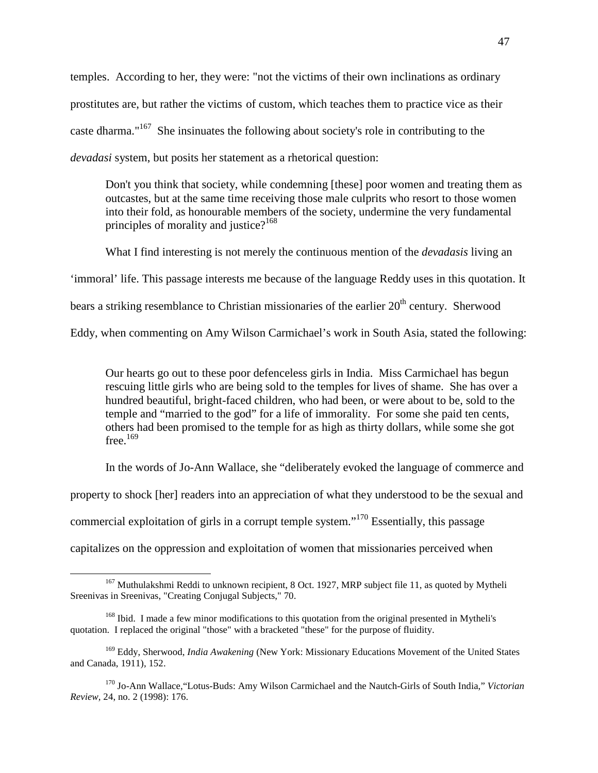temples. According to her, they were: "not the victims of their own inclinations as ordinary prostitutes are, but rather the victims of custom, which teaches them to practice vice as their caste dharma."<sup>167</sup> She insinuates the following about society's role in contributing to the *devadasi* system, but posits her statement as a rhetorical question:

 Don't you think that society, while condemning [these] poor women and treating them as outcastes, but at the same time receiving those male culprits who resort to those women into their fold, as honourable members of the society, undermine the very fundamental principles of morality and justice?<sup>168</sup>

What I find interesting is not merely the continuous mention of the *devadasis* living an 'immoral' life. This passage interests me because of the language Reddy uses in this quotation. It bears a striking resemblance to Christian missionaries of the earlier  $20<sup>th</sup>$  century. Sherwood Eddy, when commenting on Amy Wilson Carmichael's work in South Asia, stated the following:

Our hearts go out to these poor defenceless girls in India. Miss Carmichael has begun rescuing little girls who are being sold to the temples for lives of shame. She has over a hundred beautiful, bright-faced children, who had been, or were about to be, sold to the temple and "married to the god" for a life of immorality. For some she paid ten cents, others had been promised to the temple for as high as thirty dollars, while some she got free. $169$ 

In the words of Jo-Ann Wallace, she "deliberately evoked the language of commerce and

property to shock [her] readers into an appreciation of what they understood to be the sexual and

commercial exploitation of girls in a corrupt temple system."<sup>170</sup> Essentially, this passage

capitalizes on the oppression and exploitation of women that missionaries perceived when

<sup>&</sup>lt;sup>167</sup> Muthulakshmi Reddi to unknown recipient, 8 Oct. 1927, MRP subject file 11, as quoted by Mytheli Sreenivas in Sreenivas, "Creating Conjugal Subjects," 70.

<sup>&</sup>lt;sup>168</sup> Ibid. I made a few minor modifications to this quotation from the original presented in Mytheli's quotation. I replaced the original "those" with a bracketed "these" for the purpose of fluidity.

<sup>169</sup> Eddy, Sherwood, *India Awakening* (New York: Missionary Educations Movement of the United States and Canada, 1911)*,* 152.

<sup>170</sup> Jo-Ann Wallace,"Lotus-Buds: Amy Wilson Carmichael and the Nautch-Girls of South India," *Victorian Review,* 24, no. 2 (1998): 176.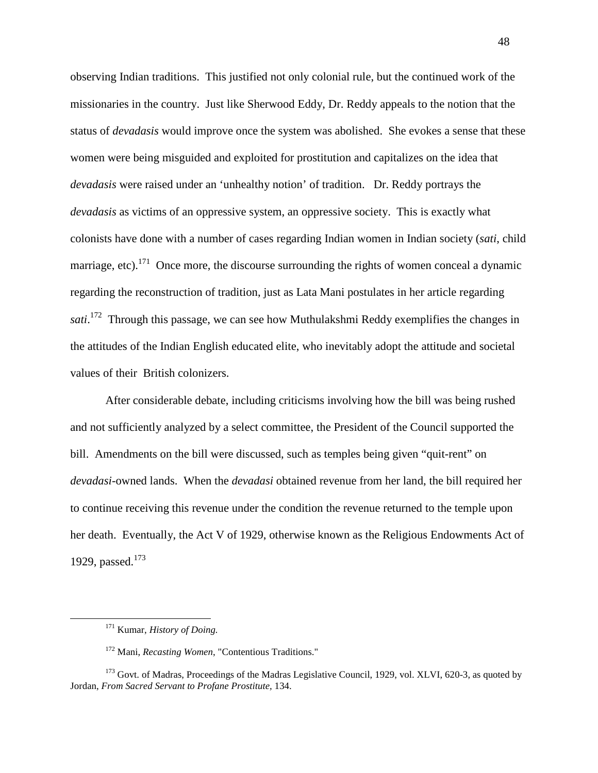observing Indian traditions. This justified not only colonial rule, but the continued work of the missionaries in the country. Just like Sherwood Eddy, Dr. Reddy appeals to the notion that the status of *devadasis* would improve once the system was abolished. She evokes a sense that these women were being misguided and exploited for prostitution and capitalizes on the idea that *devadasis* were raised under an 'unhealthy notion' of tradition. Dr. Reddy portrays the *devadasis* as victims of an oppressive system, an oppressive society. This is exactly what colonists have done with a number of cases regarding Indian women in Indian society (*sati*, child marriage, etc).<sup>171</sup> Once more, the discourse surrounding the rights of women conceal a dynamic regarding the reconstruction of tradition, just as Lata Mani postulates in her article regarding sati.<sup>172</sup> Through this passage, we can see how Muthulakshmi Reddy exemplifies the changes in the attitudes of the Indian English educated elite, who inevitably adopt the attitude and societal values of their British colonizers.

After considerable debate, including criticisms involving how the bill was being rushed and not sufficiently analyzed by a select committee, the President of the Council supported the bill. Amendments on the bill were discussed, such as temples being given "quit-rent" on *devadasi*-owned lands. When the *devadasi* obtained revenue from her land, the bill required her to continue receiving this revenue under the condition the revenue returned to the temple upon her death. Eventually, the Act V of 1929, otherwise known as the Religious Endowments Act of 1929, passed.<sup>173</sup>

<sup>171</sup> Kumar, *History of Doing.* 

<sup>172</sup> Mani, *Recasting Women*, "Contentious Traditions."

<sup>&</sup>lt;sup>173</sup> Govt. of Madras, Proceedings of the Madras Legislative Council, 1929, vol. XLVI, 620-3, as quoted by Jordan, *From Sacred Servant to Profane Prostitute,* 134.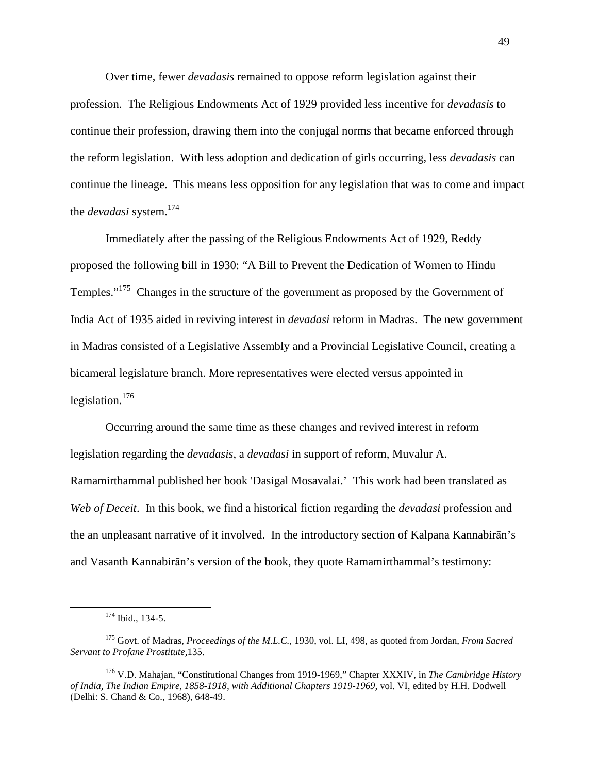Over time, fewer *devadasis* remained to oppose reform legislation against their profession. The Religious Endowments Act of 1929 provided less incentive for *devadasis* to continue their profession, drawing them into the conjugal norms that became enforced through the reform legislation. With less adoption and dedication of girls occurring, less *devadasis* can continue the lineage. This means less opposition for any legislation that was to come and impact the *devadasi* system.<sup>174</sup>

Immediately after the passing of the Religious Endowments Act of 1929, Reddy proposed the following bill in 1930: "A Bill to Prevent the Dedication of Women to Hindu Temples."<sup>175</sup> Changes in the structure of the government as proposed by the Government of India Act of 1935 aided in reviving interest in *devadasi* reform in Madras. The new government in Madras consisted of a Legislative Assembly and a Provincial Legislative Council, creating a bicameral legislature branch. More representatives were elected versus appointed in legislation.<sup>176</sup>

Occurring around the same time as these changes and revived interest in reform legislation regarding the *devadasis*, a *devadasi* in support of reform, Muvalur A. Ramamirthammal published her book 'Dasigal Mosavalai.' This work had been translated as *Web of Deceit*. In this book, we find a historical fiction regarding the *devadasi* profession and the an unpleasant narrative of it involved. In the introductory section of Kalpana Kannabirān's and Vasanth Kannabirān's version of the book, they quote Ramamirthammal's testimony:

<sup>174</sup> Ibid., 134-5.

<sup>175</sup> Govt. of Madras, *Proceedings of the M.L.C.,* 1930, vol. LI, 498, as quoted from Jordan, *From Sacred Servant to Profane Prostitute,*135.

<sup>176</sup> V.D. Mahajan, "Constitutional Changes from 1919-1969," Chapter XXXIV, in *The Cambridge History of India, The Indian Empire, 1858-1918, with Additional Chapters 1919-1969,* vol. VI, edited by H.H. Dodwell (Delhi: S. Chand & Co., 1968), 648-49.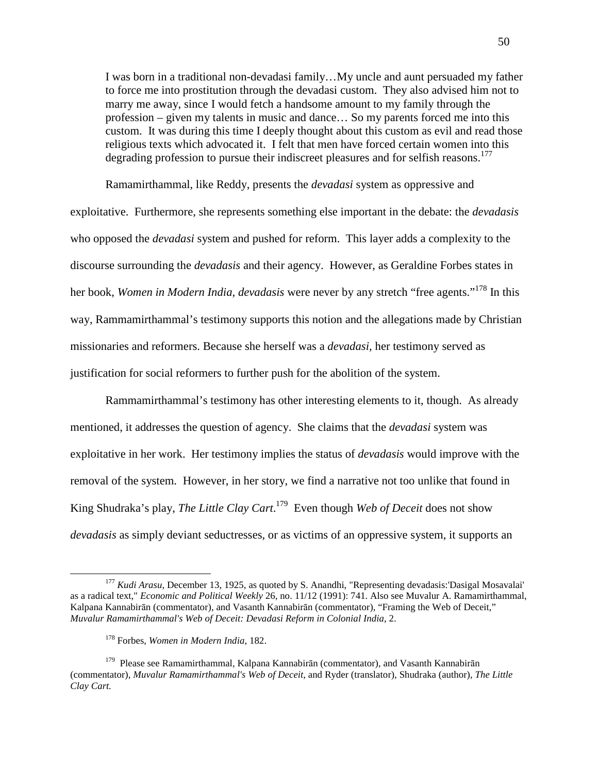I was born in a traditional non-devadasi family…My uncle and aunt persuaded my father to force me into prostitution through the devadasi custom. They also advised him not to marry me away, since I would fetch a handsome amount to my family through the profession – given my talents in music and dance… So my parents forced me into this custom. It was during this time I deeply thought about this custom as evil and read those religious texts which advocated it. I felt that men have forced certain women into this degrading profession to pursue their indiscreet pleasures and for selfish reasons.<sup>177</sup>

 Ramamirthammal, like Reddy, presents the *devadasi* system as oppressive and exploitative. Furthermore, she represents something else important in the debate: the *devadasis* who opposed the *devadasi* system and pushed for reform. This layer adds a complexity to the discourse surrounding the *devadasis* and their agency. However, as Geraldine Forbes states in her book, *Women in Modern India*, *devadasis* were never by any stretch "free agents."<sup>178</sup> In this way, Rammamirthammal's testimony supports this notion and the allegations made by Christian missionaries and reformers. Because she herself was a *devadasi*, her testimony served as justification for social reformers to further push for the abolition of the system.

 Rammamirthammal's testimony has other interesting elements to it, though. As already mentioned, it addresses the question of agency. She claims that the *devadasi* system was exploitative in her work. Her testimony implies the status of *devadasis* would improve with the removal of the system. However, in her story, we find a narrative not too unlike that found in King Shudraka's play, *The Little Clay Cart*. <sup>179</sup> Even though *Web of Deceit* does not show *devadasis* as simply deviant seductresses, or as victims of an oppressive system, it supports an

<sup>177</sup> *Kudi Arasu*, December 13, 1925, as quoted by S. Anandhi, "Representing devadasis:'Dasigal Mosavalai' as a radical text," *Economic and Political Weekly* 26, no. 11/12 (1991): 741. Also see Muvalur A. Ramamirthammal, Kalpana Kannabirān (commentator), and Vasanth Kannabirān (commentator), "Framing the Web of Deceit," *Muvalur Ramamirthammal's Web of Deceit: Devadasi Reform in Colonial India*, 2.

<sup>178</sup> Forbes, *Women in Modern India*, 182.

 $179$  Please see Ramamirthammal, Kalpana Kannabirān (commentator), and Vasanth Kannabirān (commentator), *Muvalur Ramamirthammal's Web of Deceit*, and Ryder (translator), Shudraka (author), *The Little Clay Cart.*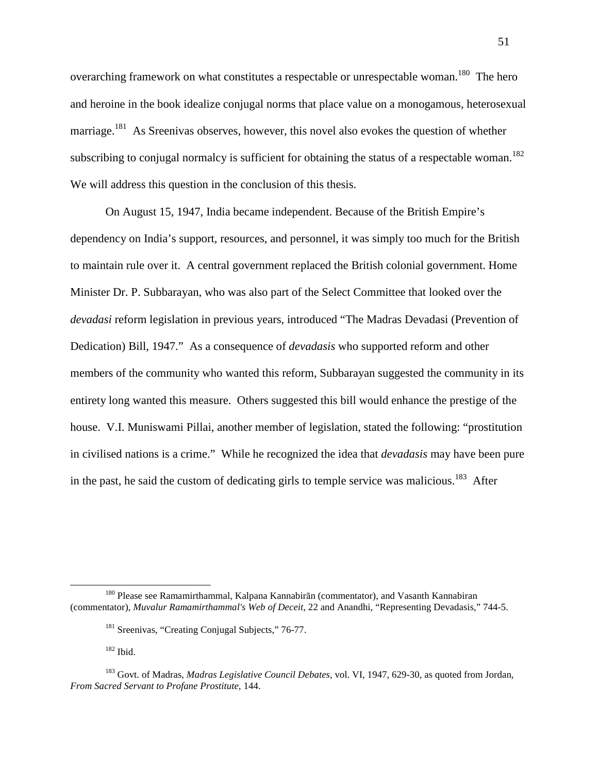overarching framework on what constitutes a respectable or unrespectable woman.<sup>180</sup> The hero and heroine in the book idealize conjugal norms that place value on a monogamous, heterosexual marriage.<sup>181</sup> As Sreenivas observes, however, this novel also evokes the question of whether subscribing to conjugal normalcy is sufficient for obtaining the status of a respectable woman.<sup>182</sup> We will address this question in the conclusion of this thesis.

On August 15, 1947, India became independent. Because of the British Empire's dependency on India's support, resources, and personnel, it was simply too much for the British to maintain rule over it. A central government replaced the British colonial government. Home Minister Dr. P. Subbarayan, who was also part of the Select Committee that looked over the *devadasi* reform legislation in previous years, introduced "The Madras Devadasi (Prevention of Dedication) Bill, 1947." As a consequence of *devadasis* who supported reform and other members of the community who wanted this reform, Subbarayan suggested the community in its entirety long wanted this measure. Others suggested this bill would enhance the prestige of the house. V.I. Muniswami Pillai, another member of legislation, stated the following: "prostitution in civilised nations is a crime." While he recognized the idea that *devadasis* may have been pure in the past, he said the custom of dedicating girls to temple service was malicious.<sup>183</sup> After

<sup>180</sup> Please see Ramamirthammal, Kalpana Kannabirān (commentator), and Vasanth Kannabiran (commentator), *Muvalur Ramamirthammal's Web of Deceit*, 22 and Anandhi, "Representing Devadasis," 744-5.

<sup>&</sup>lt;sup>181</sup> Sreenivas, "Creating Conjugal Subjects," 76-77.

 $182$  Ibid.

<sup>183</sup> Govt. of Madras, *Madras Legislative Council Debates*, vol. VI, 1947, 629-30, as quoted from Jordan, *From Sacred Servant to Profane Prostitute,* 144.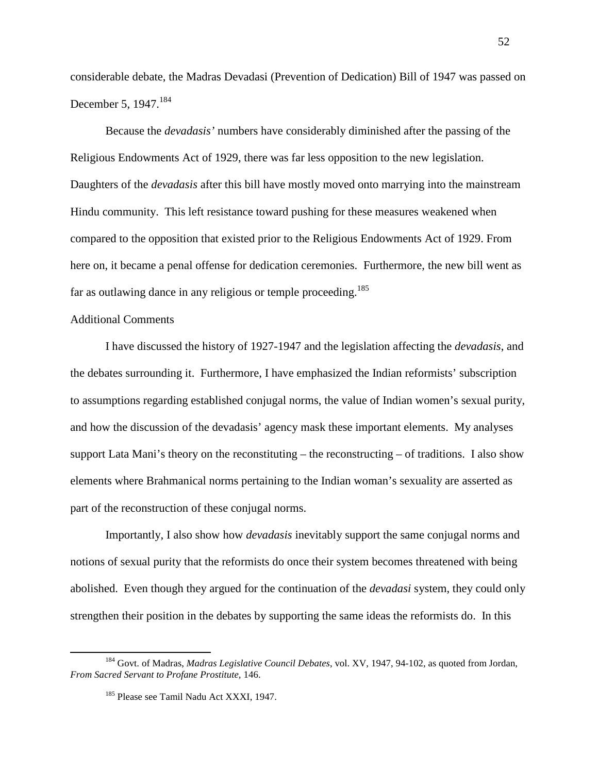considerable debate, the Madras Devadasi (Prevention of Dedication) Bill of 1947 was passed on December 5, 1947.<sup>184</sup>

Because the *devadasis'* numbers have considerably diminished after the passing of the Religious Endowments Act of 1929, there was far less opposition to the new legislation. Daughters of the *devadasis* after this bill have mostly moved onto marrying into the mainstream Hindu community. This left resistance toward pushing for these measures weakened when compared to the opposition that existed prior to the Religious Endowments Act of 1929. From here on, it became a penal offense for dedication ceremonies. Furthermore, the new bill went as far as outlawing dance in any religious or temple proceeding.<sup>185</sup>

# Additional Comments

l

I have discussed the history of 1927-1947 and the legislation affecting the *devadasis*, and the debates surrounding it. Furthermore, I have emphasized the Indian reformists' subscription to assumptions regarding established conjugal norms, the value of Indian women's sexual purity, and how the discussion of the devadasis' agency mask these important elements. My analyses support Lata Mani's theory on the reconstituting – the reconstructing – of traditions. I also show elements where Brahmanical norms pertaining to the Indian woman's sexuality are asserted as part of the reconstruction of these conjugal norms.

Importantly, I also show how *devadasis* inevitably support the same conjugal norms and notions of sexual purity that the reformists do once their system becomes threatened with being abolished. Even though they argued for the continuation of the *devadasi* system, they could only strengthen their position in the debates by supporting the same ideas the reformists do. In this

<sup>184</sup> Govt. of Madras, *Madras Legislative Council Debates*, vol. XV, 1947, 94-102, as quoted from Jordan, *From Sacred Servant to Profane Prostitute,* 146.

<sup>&</sup>lt;sup>185</sup> Please see Tamil Nadu Act XXXI, 1947.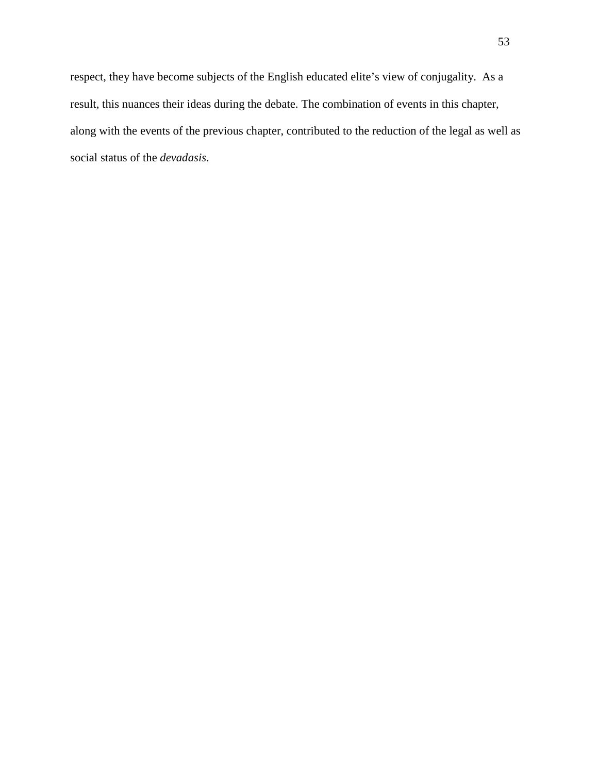respect, they have become subjects of the English educated elite's view of conjugality. As a result, this nuances their ideas during the debate. The combination of events in this chapter, along with the events of the previous chapter, contributed to the reduction of the legal as well as social status of the *devadasis*.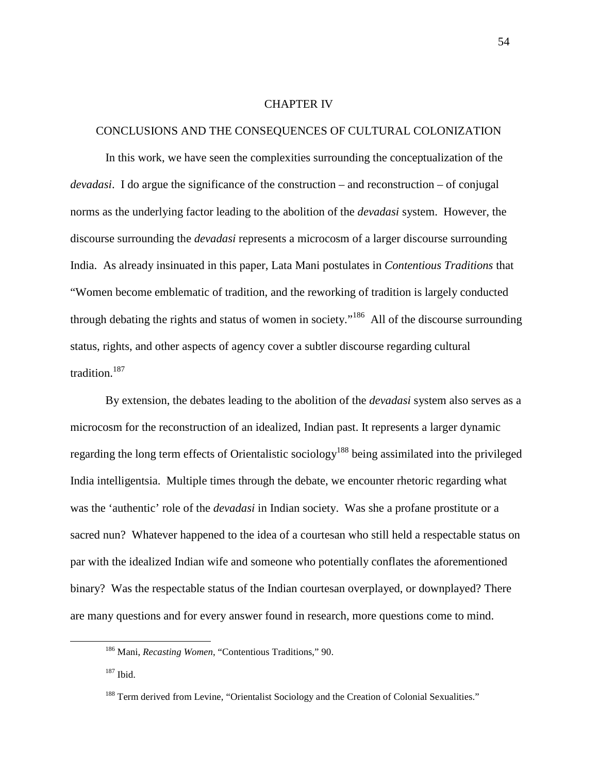### CHAPTER IV

### CONCLUSIONS AND THE CONSEQUENCES OF CULTURAL COLONIZATION

In this work, we have seen the complexities surrounding the conceptualization of the *devadasi*. I do argue the significance of the construction – and reconstruction – of conjugal norms as the underlying factor leading to the abolition of the *devadasi* system. However, the discourse surrounding the *devadasi* represents a microcosm of a larger discourse surrounding India. As already insinuated in this paper, Lata Mani postulates in *Contentious Traditions* that "Women become emblematic of tradition, and the reworking of tradition is largely conducted through debating the rights and status of women in society."<sup>186</sup> All of the discourse surrounding status, rights, and other aspects of agency cover a subtler discourse regarding cultural tradition.<sup>187</sup>

By extension, the debates leading to the abolition of the *devadasi* system also serves as a microcosm for the reconstruction of an idealized, Indian past. It represents a larger dynamic regarding the long term effects of Orientalistic sociology<sup>188</sup> being assimilated into the privileged India intelligentsia. Multiple times through the debate, we encounter rhetoric regarding what was the 'authentic' role of the *devadasi* in Indian society. Was she a profane prostitute or a sacred nun? Whatever happened to the idea of a courtesan who still held a respectable status on par with the idealized Indian wife and someone who potentially conflates the aforementioned binary? Was the respectable status of the Indian courtesan overplayed, or downplayed? There are many questions and for every answer found in research, more questions come to mind.

<sup>186</sup> Mani, *Recasting Women*, "Contentious Traditions," 90.

<sup>187</sup> Ibid.

<sup>&</sup>lt;sup>188</sup> Term derived from Levine, "Orientalist Sociology and the Creation of Colonial Sexualities."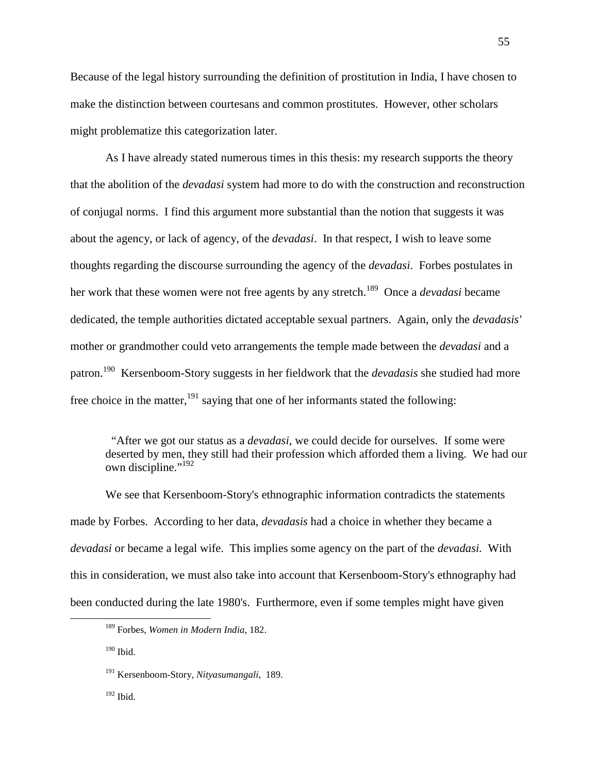Because of the legal history surrounding the definition of prostitution in India, I have chosen to make the distinction between courtesans and common prostitutes. However, other scholars might problematize this categorization later.

As I have already stated numerous times in this thesis: my research supports the theory that the abolition of the *devadasi* system had more to do with the construction and reconstruction of conjugal norms. I find this argument more substantial than the notion that suggests it was about the agency, or lack of agency, of the *devadasi*. In that respect, I wish to leave some thoughts regarding the discourse surrounding the agency of the *devadasi*. Forbes postulates in her work that these women were not free agents by any stretch.<sup>189</sup> Once a *devadasi* became dedicated, the temple authorities dictated acceptable sexual partners. Again, only the *devadasis'* mother or grandmother could veto arrangements the temple made between the *devadasi* and a patron.<sup>190</sup> Kersenboom-Story suggests in her fieldwork that the *devadasis* she studied had more free choice in the matter,  $191$  saying that one of her informants stated the following:

 "After we got our status as a *devadasi*, we could decide for ourselves. If some were deserted by men, they still had their profession which afforded them a living. We had our own discipline."<sup>192</sup>

We see that Kersenboom-Story's ethnographic information contradicts the statements made by Forbes. According to her data, *devadasis* had a choice in whether they became a *devadasi* or became a legal wife. This implies some agency on the part of the *devadasi.* With this in consideration, we must also take into account that Kersenboom-Story's ethnography had been conducted during the late 1980's. Furthermore, even if some temples might have given

<sup>189</sup> Forbes, *Women in Modern India*, 182.

 $190$  Ibid.

<sup>191</sup> Kersenboom-Story*, Nityasumangali*, 189.

<sup>192</sup> Ibid.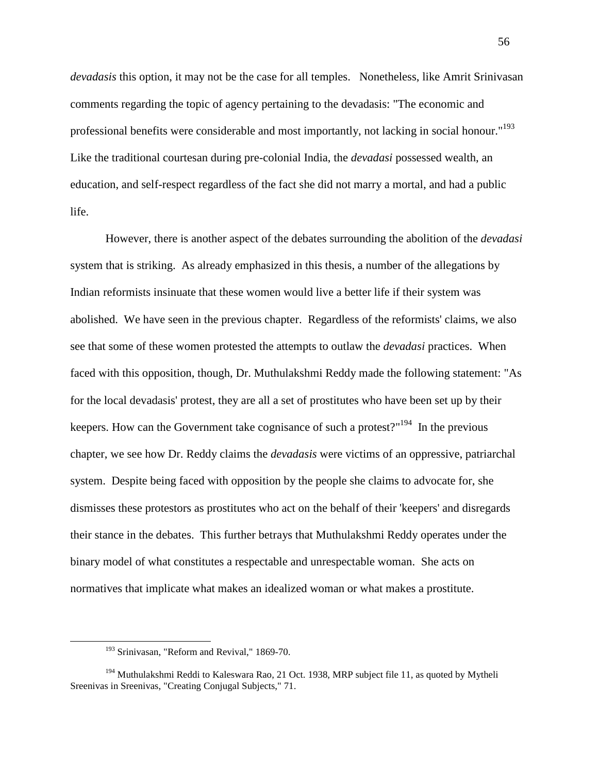*devadasis* this option, it may not be the case for all temples. Nonetheless, like Amrit Srinivasan comments regarding the topic of agency pertaining to the devadasis: "The economic and professional benefits were considerable and most importantly, not lacking in social honour."<sup>193</sup> Like the traditional courtesan during pre-colonial India, the *devadasi* possessed wealth, an education, and self-respect regardless of the fact she did not marry a mortal, and had a public life.

 However, there is another aspect of the debates surrounding the abolition of the *devadasi* system that is striking. As already emphasized in this thesis, a number of the allegations by Indian reformists insinuate that these women would live a better life if their system was abolished. We have seen in the previous chapter. Regardless of the reformists' claims, we also see that some of these women protested the attempts to outlaw the *devadasi* practices. When faced with this opposition, though, Dr. Muthulakshmi Reddy made the following statement: "As for the local devadasis' protest, they are all a set of prostitutes who have been set up by their keepers. How can the Government take cognisance of such a protest?"<sup>194</sup> In the previous chapter, we see how Dr. Reddy claims the *devadasis* were victims of an oppressive, patriarchal system. Despite being faced with opposition by the people she claims to advocate for, she dismisses these protestors as prostitutes who act on the behalf of their 'keepers' and disregards their stance in the debates. This further betrays that Muthulakshmi Reddy operates under the binary model of what constitutes a respectable and unrespectable woman. She acts on normatives that implicate what makes an idealized woman or what makes a prostitute.

<sup>&</sup>lt;sup>193</sup> Srinivasan, "Reform and Revival," 1869-70.

<sup>&</sup>lt;sup>194</sup> Muthulakshmi Reddi to Kaleswara Rao, 21 Oct. 1938, MRP subject file 11, as quoted by Mytheli Sreenivas in Sreenivas, "Creating Conjugal Subjects," 71.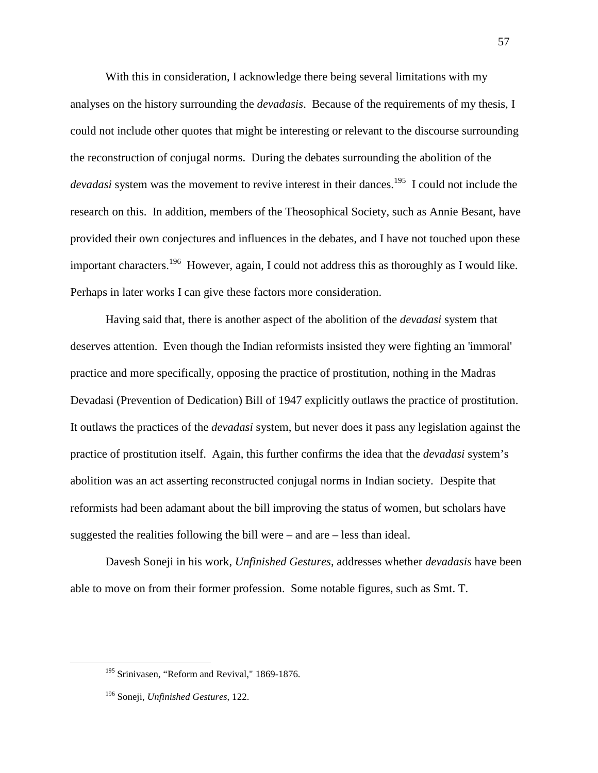With this in consideration, I acknowledge there being several limitations with my analyses on the history surrounding the *devadasis*. Because of the requirements of my thesis, I could not include other quotes that might be interesting or relevant to the discourse surrounding the reconstruction of conjugal norms. During the debates surrounding the abolition of the *devadasi* system was the movement to revive interest in their dances.<sup>195</sup> I could not include the research on this. In addition, members of the Theosophical Society, such as Annie Besant, have provided their own conjectures and influences in the debates, and I have not touched upon these important characters.<sup>196</sup> However, again, I could not address this as thoroughly as I would like. Perhaps in later works I can give these factors more consideration.

 Having said that, there is another aspect of the abolition of the *devadasi* system that deserves attention. Even though the Indian reformists insisted they were fighting an 'immoral' practice and more specifically, opposing the practice of prostitution, nothing in the Madras Devadasi (Prevention of Dedication) Bill of 1947 explicitly outlaws the practice of prostitution. It outlaws the practices of the *devadasi* system, but never does it pass any legislation against the practice of prostitution itself. Again, this further confirms the idea that the *devadasi* system's abolition was an act asserting reconstructed conjugal norms in Indian society. Despite that reformists had been adamant about the bill improving the status of women, but scholars have suggested the realities following the bill were – and are – less than ideal.

Davesh Soneji in his work, *Unfinished Gestures*, addresses whether *devadasis* have been able to move on from their former profession. Some notable figures, such as Smt. T.

<sup>&</sup>lt;sup>195</sup> Srinivasen, "Reform and Revival," 1869-1876.

<sup>196</sup> Soneji, *Unfinished Gestures*, 122.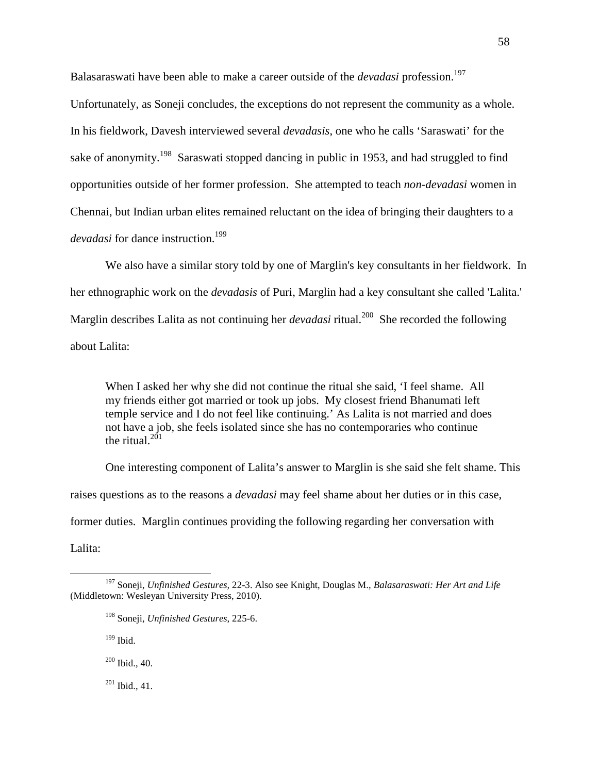Balasaraswati have been able to make a career outside of the *devadasi* profession.<sup>197</sup>

Unfortunately, as Soneji concludes, the exceptions do not represent the community as a whole. In his fieldwork, Davesh interviewed several *devadasis*, one who he calls 'Saraswati' for the sake of anonymity.<sup>198</sup> Saraswati stopped dancing in public in 1953, and had struggled to find opportunities outside of her former profession. She attempted to teach *non-devadasi* women in Chennai, but Indian urban elites remained reluctant on the idea of bringing their daughters to a *devadasi* for dance instruction.<sup>199</sup>

We also have a similar story told by one of Marglin's key consultants in her fieldwork. In her ethnographic work on the *devadasis* of Puri, Marglin had a key consultant she called 'Lalita.' Marglin describes Lalita as not continuing her *devadasi* ritual.<sup>200</sup> She recorded the following about Lalita:

 When I asked her why she did not continue the ritual she said, 'I feel shame. All my friends either got married or took up jobs. My closest friend Bhanumati left temple service and I do not feel like continuing.' As Lalita is not married and does not have a job, she feels isolated since she has no contemporaries who continue the ritual. $201$ 

One interesting component of Lalita's answer to Marglin is she said she felt shame. This raises questions as to the reasons a *devadasi* may feel shame about her duties or in this case, former duties. Marglin continues providing the following regarding her conversation with Lalita:

 $199$  Ibid.

l

<sup>200</sup> Ibid., 40.

 $201$  Ibid., 41.

<sup>197</sup> Soneji, *Unfinished Gestures,* 22-3. Also see Knight, Douglas M., *Balasaraswati: Her Art and Life* (Middletown: Wesleyan University Press, 2010).

<sup>198</sup> Soneji, *Unfinished Gestures*, 225-6.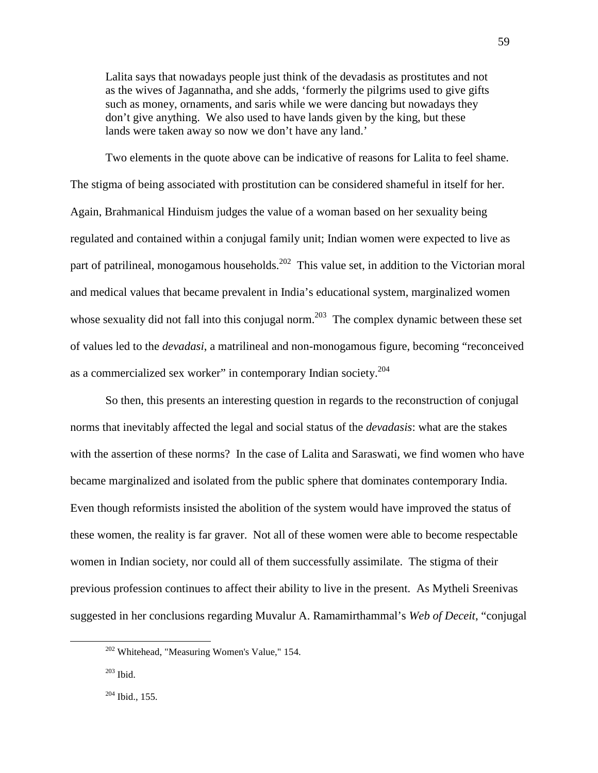Lalita says that nowadays people just think of the devadasis as prostitutes and not as the wives of Jagannatha, and she adds, 'formerly the pilgrims used to give gifts such as money, ornaments, and saris while we were dancing but nowadays they don't give anything. We also used to have lands given by the king, but these lands were taken away so now we don't have any land.'

Two elements in the quote above can be indicative of reasons for Lalita to feel shame. The stigma of being associated with prostitution can be considered shameful in itself for her. Again, Brahmanical Hinduism judges the value of a woman based on her sexuality being regulated and contained within a conjugal family unit; Indian women were expected to live as part of patrilineal, monogamous households.<sup>202</sup> This value set, in addition to the Victorian moral and medical values that became prevalent in India's educational system, marginalized women whose sexuality did not fall into this conjugal norm.<sup>203</sup> The complex dynamic between these set of values led to the *devadasi*, a matrilineal and non-monogamous figure, becoming "reconceived as a commercialized sex worker" in contemporary Indian society.<sup>204</sup>

So then, this presents an interesting question in regards to the reconstruction of conjugal norms that inevitably affected the legal and social status of the *devadasis*: what are the stakes with the assertion of these norms? In the case of Lalita and Saraswati, we find women who have became marginalized and isolated from the public sphere that dominates contemporary India. Even though reformists insisted the abolition of the system would have improved the status of these women, the reality is far graver. Not all of these women were able to become respectable women in Indian society, nor could all of them successfully assimilate. The stigma of their previous profession continues to affect their ability to live in the present. As Mytheli Sreenivas suggested in her conclusions regarding Muvalur A. Ramamirthammal's *Web of Deceit*, "conjugal

<sup>202</sup> Whitehead, "Measuring Women's Value," 154.

<sup>203</sup> Ibid.

 $204$  Ibid., 155.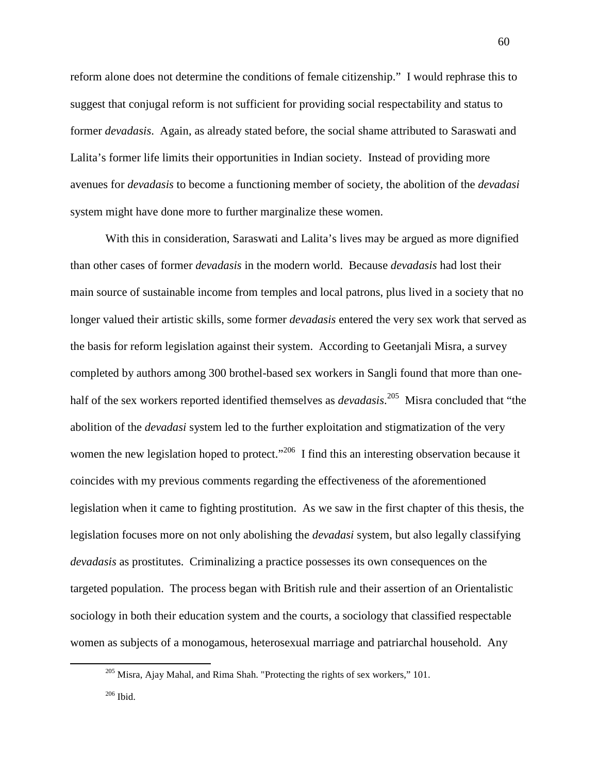reform alone does not determine the conditions of female citizenship." I would rephrase this to suggest that conjugal reform is not sufficient for providing social respectability and status to former *devadasis*. Again, as already stated before, the social shame attributed to Saraswati and Lalita's former life limits their opportunities in Indian society. Instead of providing more avenues for *devadasis* to become a functioning member of society, the abolition of the *devadasi* system might have done more to further marginalize these women.

With this in consideration, Saraswati and Lalita's lives may be argued as more dignified than other cases of former *devadasis* in the modern world. Because *devadasis* had lost their main source of sustainable income from temples and local patrons, plus lived in a society that no longer valued their artistic skills, some former *devadasis* entered the very sex work that served as the basis for reform legislation against their system. According to Geetanjali Misra, a survey completed by authors among 300 brothel-based sex workers in Sangli found that more than onehalf of the sex workers reported identified themselves as *devadasis*. <sup>205</sup> Misra concluded that "the abolition of the *devadasi* system led to the further exploitation and stigmatization of the very women the new legislation hoped to protect."<sup>206</sup> I find this an interesting observation because it coincides with my previous comments regarding the effectiveness of the aforementioned legislation when it came to fighting prostitution. As we saw in the first chapter of this thesis, the legislation focuses more on not only abolishing the *devadasi* system, but also legally classifying *devadasis* as prostitutes. Criminalizing a practice possesses its own consequences on the targeted population. The process began with British rule and their assertion of an Orientalistic sociology in both their education system and the courts, a sociology that classified respectable women as subjects of a monogamous, heterosexual marriage and patriarchal household. Any

 $205$  Misra, Ajay Mahal, and Rima Shah. "Protecting the rights of sex workers," 101.

<sup>206</sup> Ibid.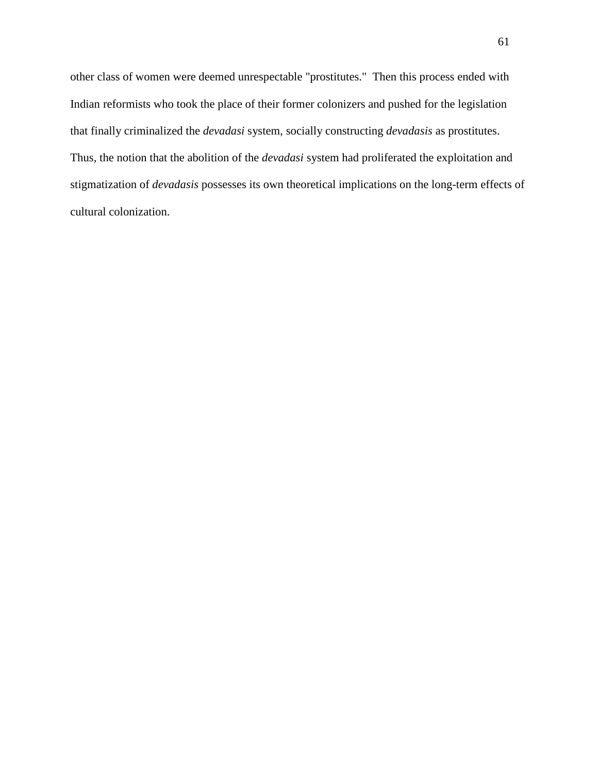other class of women were deemed unrespectable "prostitutes." Then this process ended with Indian reformists who took the place of their former colonizers and pushed for the legislation that finally criminalized the *devadasi* system, socially constructing *devadasis* as prostitutes. Thus, the notion that the abolition of the *devadasi* system had proliferated the exploitation and stigmatization of *devadasis* possesses its own theoretical implications on the long-term effects of cultural colonization.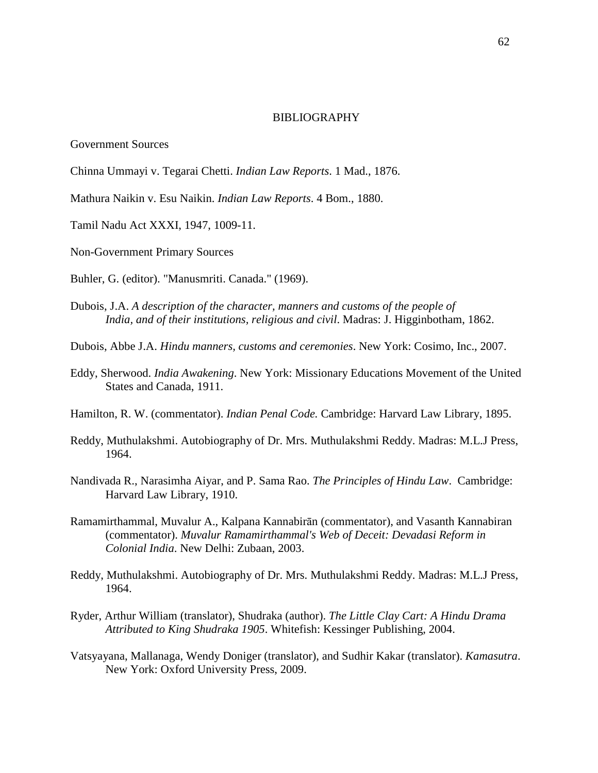### BIBLIOGRAPHY

### Government Sources

- Chinna Ummayi v. Tegarai Chetti. *Indian Law Reports*. 1 Mad., 1876.
- Mathura Naikin v. Esu Naikin. *Indian Law Reports*. 4 Bom., 1880.
- Tamil Nadu Act XXXI, 1947, 1009-11.
- Non-Government Primary Sources
- Buhler, G. (editor). "Manusmriti. Canada." (1969).
- Dubois, J.A. *A description of the character, manners and customs of the people of India, and of their institutions, religious and civil*. Madras: J. Higginbotham, 1862.
- Dubois, Abbe J.A. *Hindu manners, customs and ceremonies*. New York: Cosimo, Inc., 2007.
- Eddy, Sherwood. *India Awakening*. New York: Missionary Educations Movement of the United States and Canada, 1911.
- Hamilton, R. W. (commentator). *Indian Penal Code.* Cambridge: Harvard Law Library, 1895.
- Reddy, Muthulakshmi. Autobiography of Dr. Mrs. Muthulakshmi Reddy. Madras: M.L.J Press, 1964.
- Nandivada R., Narasimha Aiyar, and P. Sama Rao. *The Principles of Hindu Law*. Cambridge: Harvard Law Library, 1910.
- Ramamirthammal, Muvalur A., Kalpana Kannabirān (commentator), and Vasanth Kannabiran (commentator). *Muvalur Ramamirthammal's Web of Deceit: Devadasi Reform in Colonial India*. New Delhi: Zubaan, 2003.
- Reddy, Muthulakshmi. Autobiography of Dr. Mrs. Muthulakshmi Reddy. Madras: M.L.J Press, 1964.
- Ryder, Arthur William (translator), Shudraka (author). *The Little Clay Cart: A Hindu Drama Attributed to King Shudraka 1905*. Whitefish: Kessinger Publishing, 2004.
- Vatsyayana, Mallanaga, Wendy Doniger (translator), and Sudhir Kakar (translator). *Kamasutra*. New York: Oxford University Press, 2009.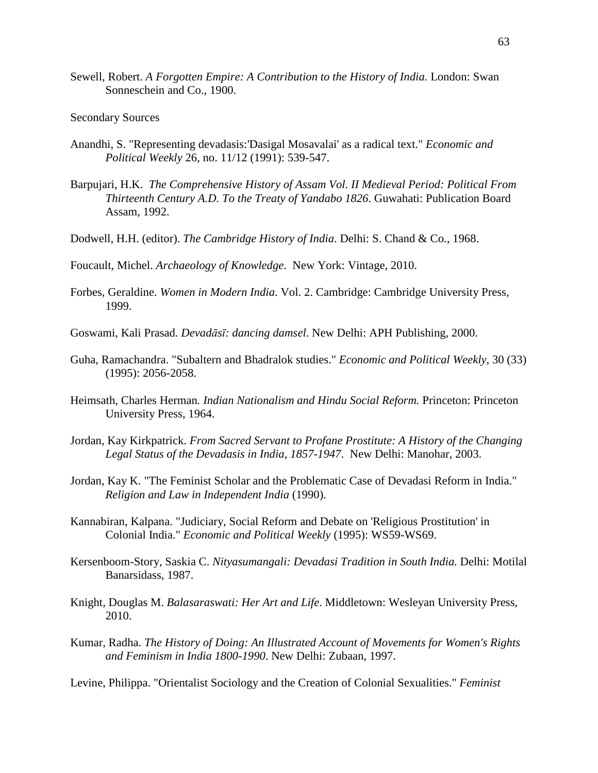- Sewell, Robert. *A Forgotten Empire: A Contribution to the History of India.* London: Swan Sonneschein and Co., 1900.
- Secondary Sources
- Anandhi, S. "Representing devadasis:'Dasigal Mosavalai' as a radical text." *Economic and Political Weekly* 26, no. 11/12 (1991): 539-547.
- Barpujari, H.K. *The Comprehensive History of Assam Vol. II Medieval Period: Political From Thirteenth Century A.D. To the Treaty of Yandabo 1826*. Guwahati: Publication Board Assam, 1992.
- Dodwell, H.H. (editor). *The Cambridge History of India*. Delhi: S. Chand & Co., 1968.

Foucault, Michel. *Archaeology of Knowledge*. New York: Vintage, 2010.

- Forbes, Geraldine. *Women in Modern India*. Vol. 2. Cambridge: Cambridge University Press, 1999.
- Goswami, Kali Prasad. *Devadāsī: dancing damsel*. New Delhi: APH Publishing, 2000.
- Guha, Ramachandra. "Subaltern and Bhadralok studies." *Economic and Political Weekly*, 30 (33) (1995): 2056-2058.
- Heimsath*,* Charles Herman*. Indian Nationalism and Hindu Social Reform.* Princeton: Princeton University Press, 1964.
- Jordan, Kay Kirkpatrick. *From Sacred Servant to Profane Prostitute: A History of the Changing Legal Status of the Devadasis in India, 1857-1947*. New Delhi: Manohar, 2003.
- Jordan, Kay K. "The Feminist Scholar and the Problematic Case of Devadasi Reform in India." *Religion and Law in Independent India* (1990).
- Kannabiran, Kalpana. "Judiciary, Social Reform and Debate on 'Religious Prostitution' in Colonial India." *Economic and Political Weekly* (1995): WS59-WS69.
- Kersenboom-Story, Saskia C. *Nityasumangali: Devadasi Tradition in South India.* Delhi: Motilal Banarsidass, 1987.
- Knight, Douglas M. *Balasaraswati: Her Art and Life*. Middletown: Wesleyan University Press, 2010.
- Kumar, Radha. *The History of Doing: An Illustrated Account of Movements for Women's Rights and Feminism in India 1800-1990*. New Delhi: Zubaan, 1997.

Levine, Philippa. "Orientalist Sociology and the Creation of Colonial Sexualities." *Feminist*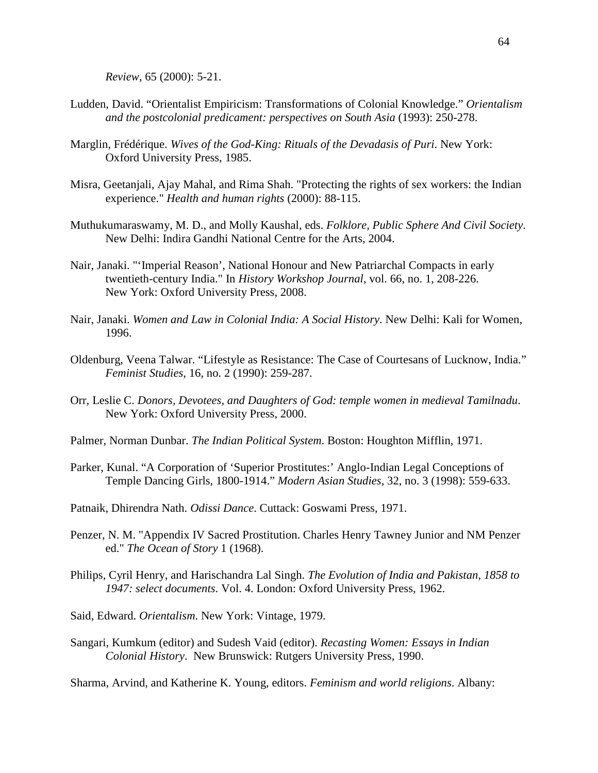*Review*, 65 (2000): 5-21.

- Ludden, David. "Orientalist Empiricism: Transformations of Colonial Knowledge." *Orientalism and the postcolonial predicament: perspectives on South Asia* (1993): 250-278.
- Marglin, Frédérique. *Wives of the God-King: Rituals of the Devadasis of Puri*. New York: Oxford University Press, 1985.
- Misra, Geetanjali, Ajay Mahal, and Rima Shah. "Protecting the rights of sex workers: the Indian experience." *Health and human rights* (2000): 88-115.
- Muthukumaraswamy, M. D., and Molly Kaushal, eds. *Folklore, Public Sphere And Civil Society*. New Delhi: Indira Gandhi National Centre for the Arts, 2004.
- Nair, Janaki. "'Imperial Reason', National Honour and New Patriarchal Compacts in early twentieth-century India." In *History Workshop Journal*, vol. 66, no. 1, 208-226. New York: Oxford University Press, 2008.
- Nair, Janaki. *Women and Law in Colonial India: A Social History*. New Delhi: Kali for Women, 1996.
- Oldenburg, Veena Talwar. "Lifestyle as Resistance: The Case of Courtesans of Lucknow, India." *Feminist Studies*, 16, no. 2 (1990): 259-287.
- Orr, Leslie C. *Donors, Devotees, and Daughters of God: temple women in medieval Tamilnadu*. New York: Oxford University Press, 2000.
- Palmer, Norman Dunbar. *The Indian Political System*. Boston: Houghton Mifflin, 1971.
- Parker, Kunal. "A Corporation of 'Superior Prostitutes:' Anglo-Indian Legal Conceptions of Temple Dancing Girls, 1800-1914." *Modern Asian Studies*, 32, no. 3 (1998): 559-633.
- Patnaik, Dhirendra Nath. *Odissi Dance*. Cuttack: Goswami Press, 1971.
- Penzer, N. M. "Appendix IV Sacred Prostitution. Charles Henry Tawney Junior and NM Penzer ed." *The Ocean of Story* 1 (1968).
- Philips, Cyril Henry, and Harischandra Lal Singh. *The Evolution of India and Pakistan, 1858 to 1947: select documents*. Vol. 4. London: Oxford University Press, 1962.
- Said, Edward. *Orientalism*. New York: Vintage, 1979.
- Sangari, Kumkum (editor) and Sudesh Vaid (editor). *Recasting Women: Essays in Indian Colonial History*. New Brunswick: Rutgers University Press, 1990.

Sharma, Arvind, and Katherine K. Young, editors. *Feminism and world religions*. Albany: